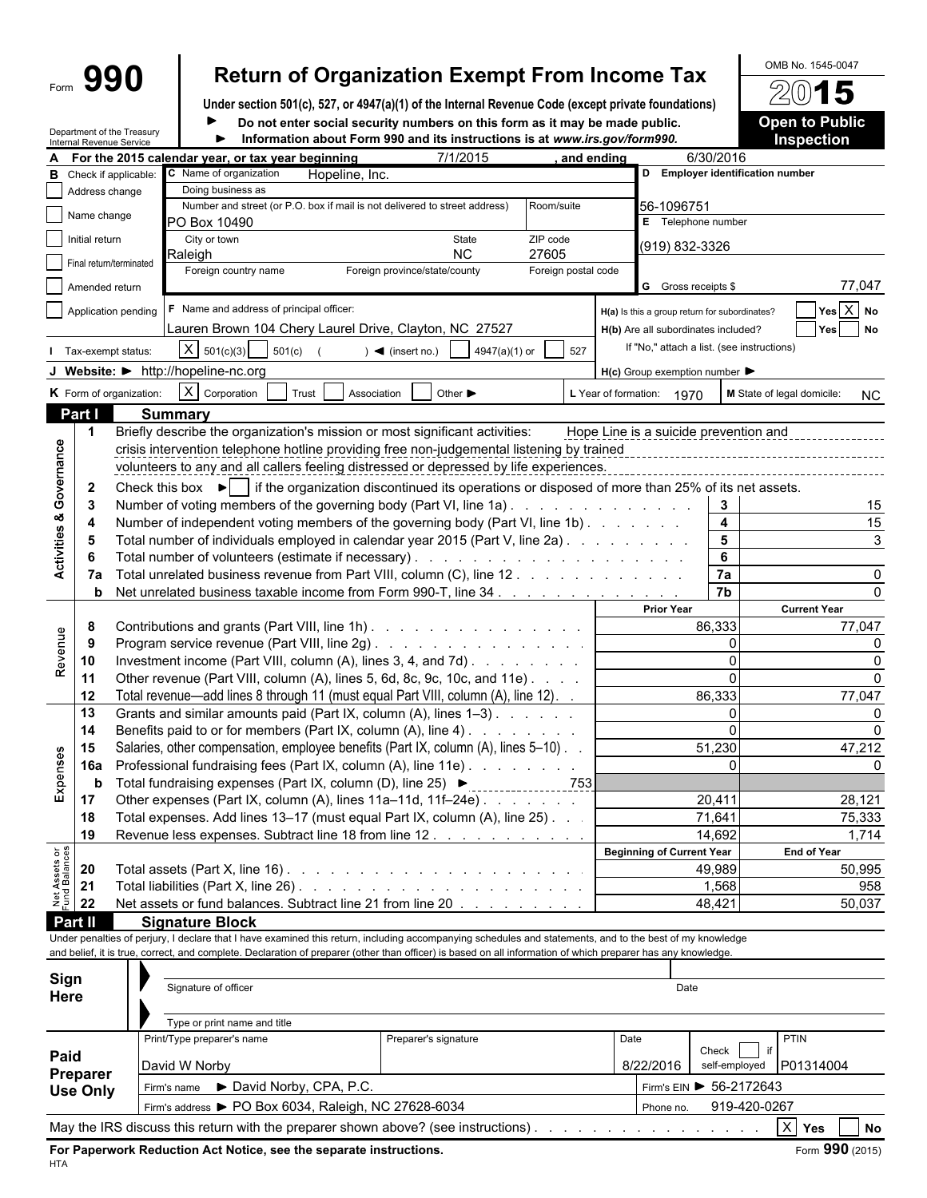# Form **990 Return of Organization Exempt From Income Tax**  $\frac{\text{OMB No. 1545-0047}}{2015}$

**Under section 501(c), 527, or 4947(a)(1) of the Internal Revenue Code (except private foundations)**  $\blacktriangleright$ 

Department of the Treasury

Do not enter social security numbers on this form as it may be made public.

| <b>Open to Public</b> |  |  |
|-----------------------|--|--|
| <b>Inspection</b>     |  |  |

|                                | Internal Revenue Service | Department of the Treasury |                                                                                                                                                                                                                                                                                                                          | Information about Form 990 and its instructions is at www.irs.gov/form990. |                     |      |                                                                                      |                         | <b>Inspection</b>                       |
|--------------------------------|--------------------------|----------------------------|--------------------------------------------------------------------------------------------------------------------------------------------------------------------------------------------------------------------------------------------------------------------------------------------------------------------------|----------------------------------------------------------------------------|---------------------|------|--------------------------------------------------------------------------------------|-------------------------|-----------------------------------------|
|                                |                          |                            | For the 2015 calendar year, or tax year beginning                                                                                                                                                                                                                                                                        | 7/1/2015                                                                   | and ending          |      |                                                                                      | 6/30/2016               |                                         |
| в                              |                          | Check if applicable:       | C Name of organization<br>Hopeline, Inc.                                                                                                                                                                                                                                                                                 |                                                                            |                     |      | D Employer identification number                                                     |                         |                                         |
|                                | Address change           |                            | Doing business as                                                                                                                                                                                                                                                                                                        |                                                                            |                     |      |                                                                                      |                         |                                         |
|                                | Name change              |                            | Number and street (or P.O. box if mail is not delivered to street address)                                                                                                                                                                                                                                               |                                                                            | Room/suite          |      | 56-1096751                                                                           |                         |                                         |
|                                |                          |                            | PO Box 10490                                                                                                                                                                                                                                                                                                             |                                                                            |                     |      | E Telephone number                                                                   |                         |                                         |
|                                | Initial return           |                            | City or town<br>Raleigh                                                                                                                                                                                                                                                                                                  | State<br><b>NC</b>                                                         | ZIP code<br>27605   |      | (919) 832-3326                                                                       |                         |                                         |
|                                |                          | Final return/terminated    | Foreign country name                                                                                                                                                                                                                                                                                                     | Foreign province/state/county                                              | Foreign postal code |      |                                                                                      |                         |                                         |
|                                | Amended return           |                            |                                                                                                                                                                                                                                                                                                                          |                                                                            |                     |      | G Gross receipts \$                                                                  |                         | 77,047                                  |
|                                |                          |                            | F Name and address of principal officer:                                                                                                                                                                                                                                                                                 |                                                                            |                     |      |                                                                                      |                         | $Yes$ $X$ No                            |
|                                |                          | Application pending        | Lauren Brown 104 Chery Laurel Drive, Clayton, NC 27527                                                                                                                                                                                                                                                                   |                                                                            |                     |      | H(a) Is this a group return for subordinates?<br>H(b) Are all subordinates included? |                         | <b>No</b>                               |
|                                |                          |                            |                                                                                                                                                                                                                                                                                                                          |                                                                            |                     |      | If "No," attach a list. (see instructions)                                           |                         | Yes                                     |
|                                |                          | Tax-exempt status:         | $X \mid 501(c)(3)$<br>501(c)                                                                                                                                                                                                                                                                                             | $\blacktriangleleft$ (insert no.)<br>4947(a)(1) or                         | 527                 |      |                                                                                      |                         |                                         |
|                                |                          |                            | J Website: > http://hopeline-nc.org                                                                                                                                                                                                                                                                                      |                                                                            |                     |      | $H(c)$ Group exemption number $\blacktriangleright$                                  |                         |                                         |
|                                |                          | K Form of organization:    | $X$ Corporation<br>Trust<br>Association                                                                                                                                                                                                                                                                                  | Other $\blacktriangleright$                                                |                     |      | L Year of formation: 1970                                                            |                         | M State of legal domicile:<br><b>NC</b> |
|                                | Part I                   |                            | <b>Summary</b>                                                                                                                                                                                                                                                                                                           |                                                                            |                     |      |                                                                                      |                         |                                         |
|                                | $\mathbf 1$              |                            | Briefly describe the organization's mission or most significant activities:                                                                                                                                                                                                                                              |                                                                            |                     |      | Hope Line is a suicide prevention and                                                |                         |                                         |
|                                |                          |                            | crisis intervention telephone hotline providing free non-judgemental listening by trained                                                                                                                                                                                                                                |                                                                            |                     |      |                                                                                      |                         |                                         |
|                                |                          |                            | volunteers to any and all callers feeling distressed or depressed by life experiences.                                                                                                                                                                                                                                   |                                                                            |                     |      |                                                                                      |                         |                                         |
| Activities & Governance        | $\mathbf{2}$             |                            | Check this box $\blacktriangleright$   if the organization discontinued its operations or disposed of more than 25% of its net assets.                                                                                                                                                                                   |                                                                            |                     |      |                                                                                      |                         |                                         |
|                                | -3                       |                            | Number of voting members of the governing body (Part VI, line 1a).                                                                                                                                                                                                                                                       |                                                                            |                     |      |                                                                                      | $\mathbf{3}$            | 15                                      |
|                                | 4                        |                            | Number of independent voting members of the governing body (Part VI, line 1b)                                                                                                                                                                                                                                            |                                                                            |                     |      |                                                                                      | $\overline{\mathbf{4}}$ | 15                                      |
|                                | -5                       |                            | Total number of individuals employed in calendar year 2015 (Part V, line 2a).                                                                                                                                                                                                                                            |                                                                            |                     |      |                                                                                      | $\overline{5}$          | 3                                       |
|                                |                          |                            |                                                                                                                                                                                                                                                                                                                          |                                                                            |                     |      |                                                                                      | $\boldsymbol{6}$        |                                         |
|                                | 7a                       |                            | Total unrelated business revenue from Part VIII, column (C), line 12.                                                                                                                                                                                                                                                    |                                                                            |                     |      |                                                                                      | 7a                      |                                         |
|                                | b                        |                            | Net unrelated business taxable income from Form 990-T, line 34                                                                                                                                                                                                                                                           |                                                                            |                     |      |                                                                                      | 7 <sub>b</sub>          |                                         |
|                                |                          |                            |                                                                                                                                                                                                                                                                                                                          |                                                                            |                     |      | <b>Prior Year</b>                                                                    |                         | <b>Current Year</b>                     |
|                                | 8                        |                            | Contributions and grants (Part VIII, line 1h)                                                                                                                                                                                                                                                                            |                                                                            |                     |      |                                                                                      | 86,333                  | 77,047                                  |
| Revenue                        | -9                       |                            |                                                                                                                                                                                                                                                                                                                          |                                                                            |                     |      |                                                                                      | $\Omega$                |                                         |
|                                | 10                       |                            | Investment income (Part VIII, column (A), lines 3, 4, and 7d).                                                                                                                                                                                                                                                           |                                                                            |                     |      |                                                                                      |                         |                                         |
|                                | 11                       |                            | Other revenue (Part VIII, column (A), lines 5, 6d, 8c, 9c, 10c, and 11e)                                                                                                                                                                                                                                                 |                                                                            |                     |      |                                                                                      | $\Omega$                |                                         |
|                                | 12                       |                            | Total revenue-add lines 8 through 11 (must equal Part VIII, column (A), line 12). .                                                                                                                                                                                                                                      |                                                                            |                     |      |                                                                                      | 86,333                  | 77,047                                  |
|                                | 13                       |                            | Grants and similar amounts paid (Part IX, column (A), lines 1-3)                                                                                                                                                                                                                                                         |                                                                            |                     |      |                                                                                      | $\Omega$                |                                         |
|                                | 14                       |                            | Benefits paid to or for members (Part IX, column (A), line 4)                                                                                                                                                                                                                                                            |                                                                            |                     |      |                                                                                      | $\Omega$                |                                         |
|                                | 15                       |                            | Salaries, other compensation, employee benefits (Part IX, column (A), lines 5-10).                                                                                                                                                                                                                                       |                                                                            |                     |      |                                                                                      | 51,230                  | 47,212                                  |
| Expenses                       | 16a                      |                            | Professional fundraising fees (Part IX, column (A), line 11e)                                                                                                                                                                                                                                                            |                                                                            |                     |      |                                                                                      |                         |                                         |
|                                | b                        |                            | Total fundraising expenses (Part IX, column (D), line 25) ▶                                                                                                                                                                                                                                                              |                                                                            |                     |      |                                                                                      |                         |                                         |
|                                | 17                       |                            | Other expenses (Part IX, column (A), lines 11a-11d, 11f-24e)                                                                                                                                                                                                                                                             |                                                                            |                     |      |                                                                                      | 20,411                  | 28,121                                  |
|                                | 18                       |                            | Total expenses. Add lines 13-17 (must equal Part IX, column (A), line 25). .                                                                                                                                                                                                                                             |                                                                            |                     |      |                                                                                      | 71,641                  | 75,333                                  |
|                                | 19                       |                            | Revenue less expenses. Subtract line 18 from line 12                                                                                                                                                                                                                                                                     |                                                                            |                     |      |                                                                                      | 14,692                  | 1,714                                   |
| Net Assets or<br>Fund Balances |                          |                            |                                                                                                                                                                                                                                                                                                                          |                                                                            |                     |      | <b>Beginning of Current Year</b>                                                     |                         | <b>End of Year</b>                      |
|                                | 20                       |                            |                                                                                                                                                                                                                                                                                                                          |                                                                            |                     |      |                                                                                      | 49,989                  | 50,995                                  |
|                                | 21                       |                            |                                                                                                                                                                                                                                                                                                                          |                                                                            |                     |      |                                                                                      | 1,568                   | 958                                     |
|                                | 22                       |                            | Net assets or fund balances. Subtract line 21 from line 20                                                                                                                                                                                                                                                               |                                                                            |                     |      |                                                                                      | 48,421                  | 50,037                                  |
|                                | Part II                  |                            | <b>Signature Block</b>                                                                                                                                                                                                                                                                                                   |                                                                            |                     |      |                                                                                      |                         |                                         |
|                                |                          |                            | Under penalties of perjury, I declare that I have examined this return, including accompanying schedules and statements, and to the best of my knowledge<br>and belief, it is true, correct, and complete. Declaration of preparer (other than officer) is based on all information of which preparer has any knowledge. |                                                                            |                     |      |                                                                                      |                         |                                         |
|                                |                          |                            |                                                                                                                                                                                                                                                                                                                          |                                                                            |                     |      |                                                                                      |                         |                                         |
| Sign                           |                          |                            | Signature of officer                                                                                                                                                                                                                                                                                                     |                                                                            |                     |      | Date                                                                                 |                         |                                         |
| Here                           |                          |                            |                                                                                                                                                                                                                                                                                                                          |                                                                            |                     |      |                                                                                      |                         |                                         |
|                                |                          |                            | Type or print name and title                                                                                                                                                                                                                                                                                             |                                                                            |                     |      |                                                                                      |                         |                                         |
|                                |                          |                            | Print/Type preparer's name                                                                                                                                                                                                                                                                                               | Preparer's signature                                                       |                     | Date |                                                                                      |                         | <b>PTIN</b>                             |
| Paid                           |                          |                            |                                                                                                                                                                                                                                                                                                                          |                                                                            |                     |      |                                                                                      | Check   if              |                                         |

| Paid<br>Preparer | .<br>David W Norby                                                                 | $\sim$ | 8/22/2016 | Check<br>self-employed P01314004            |           |  |
|------------------|------------------------------------------------------------------------------------|--------|-----------|---------------------------------------------|-----------|--|
| <b>Use Only</b>  | ▶ David Norby, CPA, P.C.<br>Firm's name                                            |        |           | Firm's EIN $\blacktriangleright$ 56-2172643 |           |  |
|                  | Firm's address ▶ PO Box 6034, Raleigh, NC 27628-6034                               |        | Phone no. | 919-420-0267                                |           |  |
|                  | May the IRS discuss this return with the preparer shown above? (see instructions). |        |           |                                             | Yes<br>No |  |

**For Paperwork Reduction Act Notice, see the separate instructions.** Form 390 (2015) HTA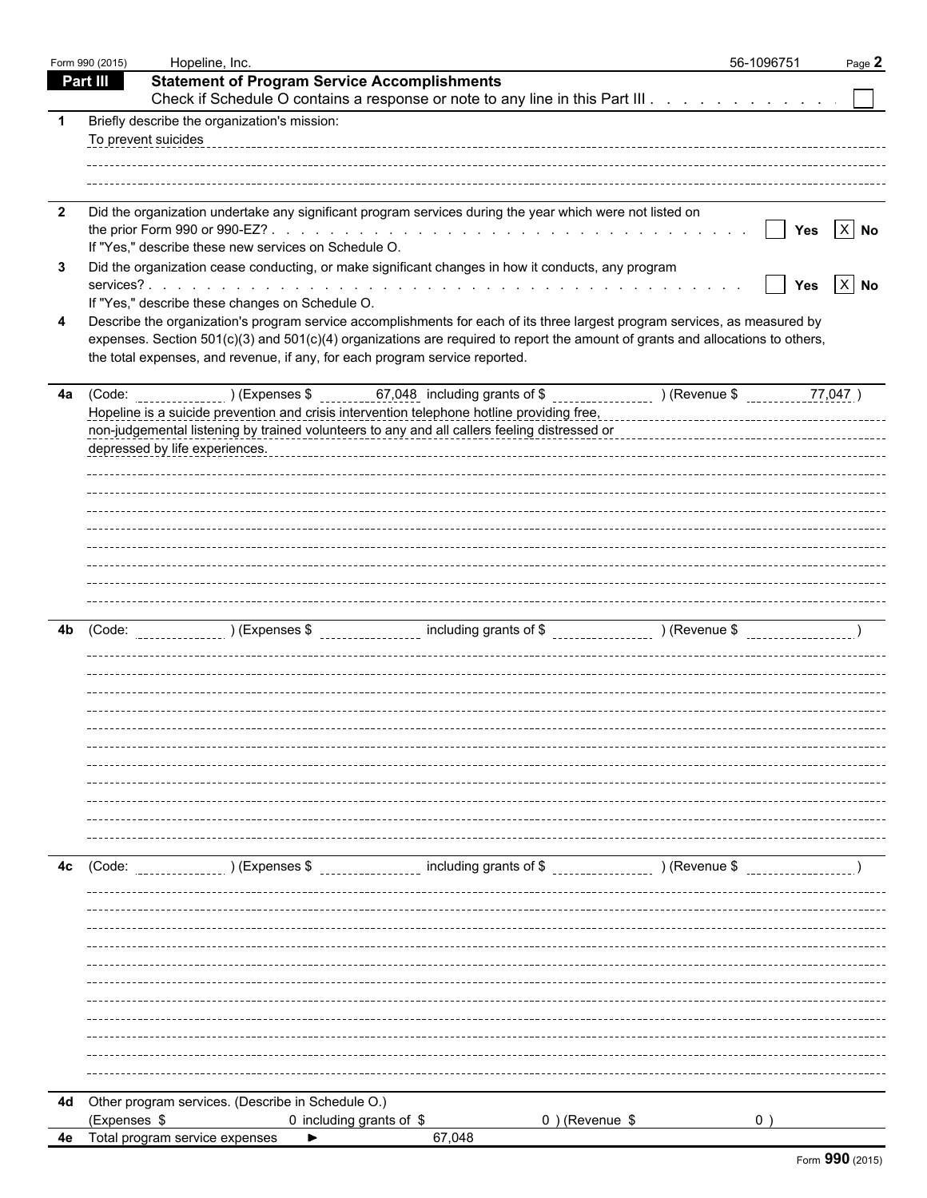|                         | Form 990 (2015) | Hopeline, Inc.                                                                                                                                                                               | 56-1096751 |                               | Page 2 |
|-------------------------|-----------------|----------------------------------------------------------------------------------------------------------------------------------------------------------------------------------------------|------------|-------------------------------|--------|
|                         | <b>Part III</b> | <b>Statement of Program Service Accomplishments</b>                                                                                                                                          |            |                               |        |
|                         |                 | Check if Schedule O contains a response or note to any line in this Part III                                                                                                                 |            |                               |        |
| -1                      |                 | Briefly describe the organization's mission:<br>To prevent suicides                                                                                                                          |            |                               |        |
|                         |                 |                                                                                                                                                                                              |            |                               |        |
| $\overline{\mathbf{2}}$ |                 | Did the organization undertake any significant program services during the year which were not listed on                                                                                     |            |                               |        |
|                         |                 | If "Yes," describe these new services on Schedule O.                                                                                                                                         |            | Yes $X$ No<br>$\vert \ \vert$ |        |
| 3                       |                 | Did the organization cease conducting, or make significant changes in how it conducts, any program                                                                                           |            |                               |        |
|                         |                 | If "Yes," describe these changes on Schedule O.                                                                                                                                              |            | Yes $X$ No<br>$\mathbf{I}$    |        |
| 4                       |                 | Describe the organization's program service accomplishments for each of its three largest program services, as measured by                                                                   |            |                               |        |
|                         |                 | expenses. Section 501(c)(3) and 501(c)(4) organizations are required to report the amount of grants and allocations to others,                                                               |            |                               |        |
|                         |                 | the total expenses, and revenue, if any, for each program service reported.                                                                                                                  |            |                               |        |
|                         |                 | 4a (Code: ) (Expenses \$67,048 including grants of \$ ) (Revenue \$                                                                                                                          |            | 77,047)                       |        |
|                         |                 | Hopeline is a suicide prevention and crisis intervention telephone hotline providing free,                                                                                                   |            |                               |        |
|                         |                 | non-judgemental listening by trained volunteers to any and all callers feeling distressed or<br>non-judgemental listening by trained volunteers to any and all callers feeling distressed or |            |                               |        |
|                         |                 | depressed by life experiences.                                                                                                                                                               |            |                               |        |
|                         |                 |                                                                                                                                                                                              |            |                               |        |
|                         |                 |                                                                                                                                                                                              |            |                               |        |
|                         |                 |                                                                                                                                                                                              |            |                               |        |
|                         |                 |                                                                                                                                                                                              |            |                               |        |
|                         |                 |                                                                                                                                                                                              |            |                               |        |
|                         |                 |                                                                                                                                                                                              |            |                               |        |
| 4b                      | (Code:          |                                                                                                                                                                                              |            |                               |        |
|                         |                 |                                                                                                                                                                                              |            |                               |        |
|                         |                 |                                                                                                                                                                                              |            |                               |        |
|                         |                 |                                                                                                                                                                                              |            |                               |        |
|                         |                 |                                                                                                                                                                                              |            |                               |        |
|                         |                 |                                                                                                                                                                                              |            |                               |        |
|                         |                 |                                                                                                                                                                                              |            |                               |        |
|                         |                 |                                                                                                                                                                                              |            |                               |        |
|                         |                 |                                                                                                                                                                                              |            |                               |        |
|                         |                 |                                                                                                                                                                                              |            |                               |        |
|                         |                 |                                                                                                                                                                                              |            |                               |        |
| 4c                      | (Code:          | ________________ including grants of \$ _________________ ) (Revenue \$<br>) (Expenses \$                                                                                                    |            |                               |        |
|                         |                 |                                                                                                                                                                                              |            |                               |        |
|                         |                 |                                                                                                                                                                                              |            |                               |        |
|                         |                 |                                                                                                                                                                                              |            |                               |        |
|                         |                 |                                                                                                                                                                                              |            |                               |        |
|                         |                 |                                                                                                                                                                                              |            |                               |        |
|                         |                 |                                                                                                                                                                                              |            |                               |        |
|                         |                 |                                                                                                                                                                                              |            |                               |        |
|                         |                 |                                                                                                                                                                                              |            |                               |        |
|                         |                 |                                                                                                                                                                                              |            |                               |        |
|                         |                 | 4d Other program services. (Describe in Schedule O.)                                                                                                                                         |            |                               |        |
|                         | (Expenses \$    | 0) (Revenue \$<br>0 including grants of \$                                                                                                                                                   |            |                               |        |
| 4e                      |                 | Total program service expenses<br>67,048                                                                                                                                                     |            |                               |        |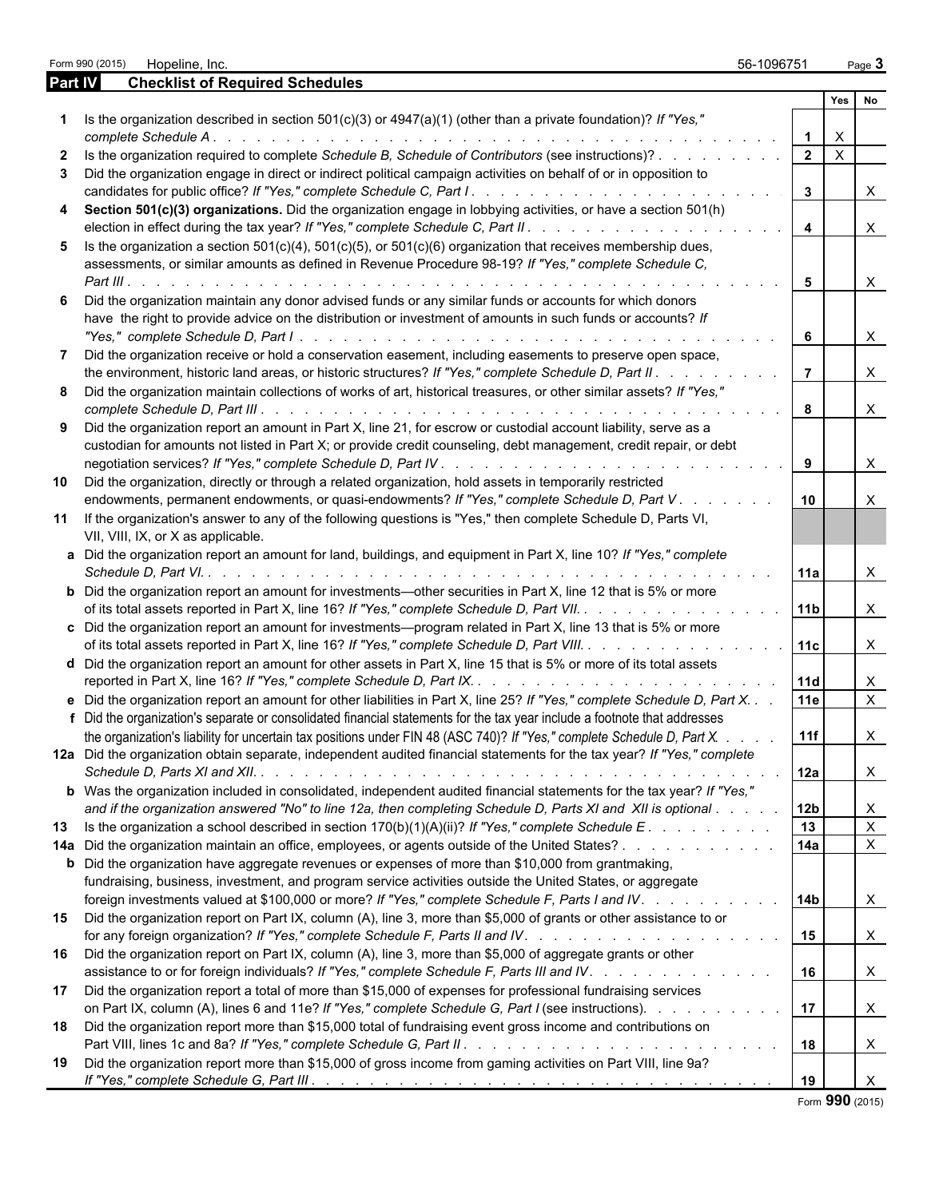|                | Form 990 (2015) Hopeline, Inc.                                                                                                                                                                                                                       | 56-1096751           | Page $3$                     |              |
|----------------|------------------------------------------------------------------------------------------------------------------------------------------------------------------------------------------------------------------------------------------------------|----------------------|------------------------------|--------------|
| <b>Part IV</b> | <b>Checklist of Required Schedules</b>                                                                                                                                                                                                               |                      |                              |              |
|                |                                                                                                                                                                                                                                                      |                      | Yes No                       |              |
|                | Is the organization described in section $501(c)(3)$ or $4947(a)(1)$ (other than a private foundation)? If "Yes,"                                                                                                                                    |                      | $\mathsf{X}$                 |              |
| $\mathbf{2}$   | Is the organization required to complete Schedule B, Schedule of Contributors (see instructions)?                                                                                                                                                    | 2 <sup>1</sup>       | $\overline{X}$               |              |
| 3              | Did the organization engage in direct or indirect political campaign activities on behalf of or in opposition to                                                                                                                                     | $\mathbf{3}$         | $\mathsf{X}$                 |              |
| 4              | Section 501(c)(3) organizations. Did the organization engage in lobbying activities, or have a section 501(h)                                                                                                                                        | $\overline{4}$       | $\mathsf{X}$                 |              |
| 5              | Is the organization a section $501(c)(4)$ , $501(c)(5)$ , or $501(c)(6)$ organization that receives membership dues,<br>assessments, or similar amounts as defined in Revenue Procedure 98-19? If "Yes," complete Schedule C,                        |                      |                              |              |
| 6              | Did the organization maintain any donor advised funds or any similar funds or accounts for which donors<br>have the right to provide advice on the distribution or investment of amounts in such funds or accounts? If                               | $5\overline{5}$<br>6 | $\mathsf{X}$<br>$\mathsf{X}$ |              |
|                | Did the organization receive or hold a conservation easement, including easements to preserve open space,                                                                                                                                            |                      |                              |              |
| 8              | the environment, historic land areas, or historic structures? If "Yes," complete Schedule D, Part II.<br>Did the organization maintain collections of works of art, historical treasures, or other similar assets? If "Yes,"                         | $\vert$ 7            | $\mathsf{X}$                 |              |
|                |                                                                                                                                                                                                                                                      | 8                    | $\mathsf{X}$                 |              |
| 9              | Did the organization report an amount in Part X, line 21, for escrow or custodial account liability, serve as a<br>custodian for amounts not listed in Part X; or provide credit counseling, debt management, credit repair, or debt                 |                      | $\mathsf{X}$                 |              |
| 10             | Did the organization, directly or through a related organization, hold assets in temporarily restricted<br>endowments, permanent endowments, or quasi-endowments? If "Yes," complete Schedule D, Part V.                                             | 10                   | X                            |              |
| 11             | If the organization's answer to any of the following questions is "Yes," then complete Schedule D, Parts VI,<br>VII, VIII, IX, or X as applicable.                                                                                                   |                      |                              |              |
|                | a Did the organization report an amount for land, buildings, and equipment in Part X, line 10? If "Yes," complete                                                                                                                                    | 11a                  | $\times$                     |              |
|                | <b>b</b> Did the organization report an amount for investments—other securities in Part X, line 12 that is 5% or more<br>of its total assets reported in Part X, line 16? If "Yes," complete Schedule D, Part VII.                                   | 11 <sub>b</sub>      | $\times$                     |              |
|                | c Did the organization report an amount for investments—program related in Part X, line 13 that is 5% or more<br>of its total assets reported in Part X, line 16? If "Yes," complete Schedule D, Part VIII.                                          | 11c                  | $\times$                     |              |
|                | <b>d</b> Did the organization report an amount for other assets in Part X, line 15 that is 5% or more of its total assets                                                                                                                            | 11d                  | X                            |              |
|                | e Did the organization report an amount for other liabilities in Part X, line 25? If "Yes," complete Schedule D, Part X.                                                                                                                             | 11e                  |                              | $\mathsf{X}$ |
|                | f Did the organization's separate or consolidated financial statements for the tax year include a footnote that addresses<br>the organization's liability for uncertain tax positions under FIN 48 (ASC 740)? If "Yes," complete Schedule D, Part X. | 11f                  | ∧                            |              |
|                | 12a Did the organization obtain separate, independent audited financial statements for the tax year? If "Yes," complete                                                                                                                              | 12a                  |                              | X.           |
|                | b Was the organization included in consolidated, independent audited financial statements for the tax year? If "Yes,"<br>and if the organization answered "No" to line 12a, then completing Schedule D, Parts XI and XII is optional                 | 12b                  | X                            |              |
|                | 13 Is the organization a school described in section 170(b)(1)(A)(ii)? If "Yes," complete Schedule E.                                                                                                                                                | 13                   | $\mathsf{X}$                 |              |
|                | 14a Did the organization maintain an office, employees, or agents outside of the United States?                                                                                                                                                      | 14a                  |                              | $\mathsf{X}$ |
|                | <b>b</b> Did the organization have aggregate revenues or expenses of more than \$10,000 from grantmaking,<br>fundraising, business, investment, and program service activities outside the United States, or aggregate                               |                      |                              |              |
| 15             | foreign investments valued at \$100,000 or more? If "Yes," complete Schedule F, Parts I and IV.<br>Did the organization report on Part IX, column (A), line 3, more than \$5,000 of grants or other assistance to or                                 | 14b                  | X                            |              |
|                |                                                                                                                                                                                                                                                      | 15                   |                              | X.           |
| 16             | Did the organization report on Part IX, column (A), line 3, more than \$5,000 of aggregate grants or other<br>assistance to or for foreign individuals? If "Yes," complete Schedule F, Parts III and IV.                                             | 16                   | $\mathsf{X}$                 |              |
| 17             | Did the organization report a total of more than \$15,000 of expenses for professional fundraising services<br>on Part IX, column (A), lines 6 and 11e? If "Yes," complete Schedule G, Part I (see instructions).                                    | 17                   | $\mathsf{X}$                 |              |
| 18             | Did the organization report more than \$15,000 total of fundraising event gross income and contributions on                                                                                                                                          | 18                   | X                            |              |
| 19             | Did the organization report more than \$15,000 of gross income from gaming activities on Part VIII, line 9a?                                                                                                                                         | 19                   | X                            |              |

Form **990** (2015)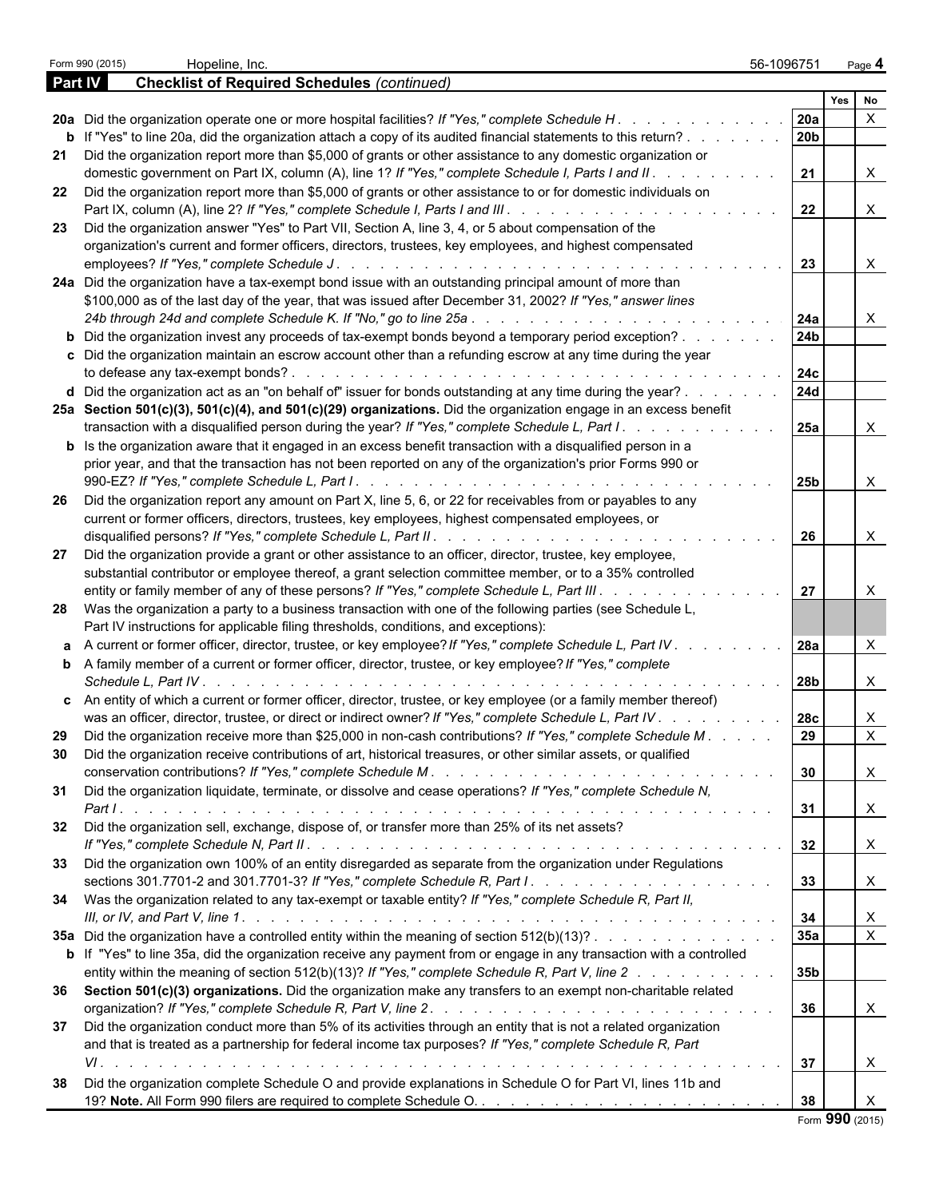|                | Form 990 (2015)<br>Hopeline, Inc.                                                                                                                                                                                                    | 56-1096751      |            | Page 4                    |  |
|----------------|--------------------------------------------------------------------------------------------------------------------------------------------------------------------------------------------------------------------------------------|-----------------|------------|---------------------------|--|
| <b>Part IV</b> | <b>Checklist of Required Schedules (continued)</b>                                                                                                                                                                                   |                 |            |                           |  |
|                |                                                                                                                                                                                                                                      |                 | <b>Yes</b> | No                        |  |
|                | 20a Did the organization operate one or more hospital facilities? If "Yes," complete Schedule H.                                                                                                                                     | 20a<br>20b      |            |                           |  |
| 21             | <b>b</b> If "Yes" to line 20a, did the organization attach a copy of its audited financial statements to this return?<br>Did the organization report more than \$5,000 of grants or other assistance to any domestic organization or |                 |            |                           |  |
|                | domestic government on Part IX, column (A), line 1? If "Yes," complete Schedule I, Parts I and II. .                                                                                                                                 | 21              |            | X                         |  |
| 22             | Did the organization report more than \$5,000 of grants or other assistance to or for domestic individuals on                                                                                                                        | 22              |            | X                         |  |
| 23             | Did the organization answer "Yes" to Part VII, Section A, line 3, 4, or 5 about compensation of the                                                                                                                                  |                 |            |                           |  |
|                | organization's current and former officers, directors, trustees, key employees, and highest compensated                                                                                                                              |                 |            |                           |  |
|                |                                                                                                                                                                                                                                      | 23              |            | X                         |  |
|                | 24a Did the organization have a tax-exempt bond issue with an outstanding principal amount of more than                                                                                                                              |                 |            |                           |  |
|                | \$100,000 as of the last day of the year, that was issued after December 31, 2002? If "Yes," answer lines                                                                                                                            | 24a             |            | X                         |  |
|                | <b>b</b> Did the organization invest any proceeds of tax-exempt bonds beyond a temporary period exception?                                                                                                                           | 24 <sub>b</sub> |            |                           |  |
|                | c Did the organization maintain an escrow account other than a refunding escrow at any time during the year                                                                                                                          |                 |            |                           |  |
|                |                                                                                                                                                                                                                                      | 24c             |            |                           |  |
|                | d Did the organization act as an "on behalf of" issuer for bonds outstanding at any time during the year?<br>25a Section 501(c)(3), 501(c)(4), and 501(c)(29) organizations. Did the organization engage in an excess benefit        | <b>24d</b>      |            |                           |  |
|                | transaction with a disqualified person during the year? If "Yes," complete Schedule L, Part I.                                                                                                                                       | 25a             |            | X                         |  |
|                | <b>b</b> Is the organization aware that it engaged in an excess benefit transaction with a disqualified person in a<br>prior year, and that the transaction has not been reported on any of the organization's prior Forms 990 or    |                 |            |                           |  |
|                |                                                                                                                                                                                                                                      | 25b             |            | X                         |  |
| -26            | Did the organization report any amount on Part X, line 5, 6, or 22 for receivables from or payables to any                                                                                                                           |                 |            |                           |  |
|                | current or former officers, directors, trustees, key employees, highest compensated employees, or                                                                                                                                    |                 |            |                           |  |
|                |                                                                                                                                                                                                                                      | 26              |            | Χ                         |  |
| 27             | Did the organization provide a grant or other assistance to an officer, director, trustee, key employee,                                                                                                                             |                 |            |                           |  |
|                | substantial contributor or employee thereof, a grant selection committee member, or to a 35% controlled<br>entity or family member of any of these persons? If "Yes," complete Schedule L, Part III.                                 | 27              |            | X                         |  |
|                | 28 Was the organization a party to a business transaction with one of the following parties (see Schedule L,                                                                                                                         |                 |            |                           |  |
|                | Part IV instructions for applicable filing thresholds, conditions, and exceptions):                                                                                                                                                  |                 |            |                           |  |
|                | a A current or former officer, director, trustee, or key employee? If "Yes," complete Schedule L, Part IV.                                                                                                                           | 28a             |            |                           |  |
|                | <b>b</b> A family member of a current or former officer, director, trustee, or key employee? If "Yes," complete<br>Schedule L. Part IV.                                                                                              |                 |            |                           |  |
|                | c An entity of which a current or former officer, director, trustee, or key employee (or a family member thereof)                                                                                                                    | 28b             |            | X                         |  |
|                | was an officer, director, trustee, or direct or indirect owner? If "Yes," complete Schedule L, Part IV                                                                                                                               | <b>28c</b>      |            | Χ                         |  |
| 29             | Did the organization receive more than \$25,000 in non-cash contributions? If "Yes," complete Schedule M.                                                                                                                            | 29              |            | X                         |  |
| 30             | Did the organization receive contributions of art, historical treasures, or other similar assets, or qualified                                                                                                                       | 30              |            |                           |  |
| 31             | Did the organization liquidate, terminate, or dissolve and cease operations? If "Yes," complete Schedule N,                                                                                                                          |                 |            | X                         |  |
|                |                                                                                                                                                                                                                                      | 31              |            | $\boldsymbol{\mathsf{X}}$ |  |
| 32             | Did the organization sell, exchange, dispose of, or transfer more than 25% of its net assets?                                                                                                                                        | 32              |            |                           |  |
|                | 33 Did the organization own 100% of an entity disregarded as separate from the organization under Regulations                                                                                                                        |                 |            | $\mathsf{X}$              |  |
|                |                                                                                                                                                                                                                                      | 33              |            | $\boldsymbol{\mathsf{X}}$ |  |
|                | 34 Was the organization related to any tax-exempt or taxable entity? If "Yes," complete Schedule R, Part II,                                                                                                                         |                 |            |                           |  |
|                |                                                                                                                                                                                                                                      | 34              |            | X                         |  |
|                | 35a Did the organization have a controlled entity within the meaning of section 512(b)(13)?                                                                                                                                          | 35a             |            | $\mathsf{X}$              |  |
|                | b If "Yes" to line 35a, did the organization receive any payment from or engage in any transaction with a controlled                                                                                                                 |                 |            |                           |  |
|                | entity within the meaning of section 512(b)(13)? If "Yes," complete Schedule R, Part V, line 2                                                                                                                                       | 35b             |            |                           |  |
|                | 36 Section 501(c)(3) organizations. Did the organization make any transfers to an exempt non-charitable related                                                                                                                      | 36              |            | $\boldsymbol{\mathsf{X}}$ |  |
| 37             | Did the organization conduct more than 5% of its activities through an entity that is not a related organization                                                                                                                     |                 |            |                           |  |
|                | and that is treated as a partnership for federal income tax purposes? If "Yes," complete Schedule R, Part                                                                                                                            |                 |            |                           |  |
|                |                                                                                                                                                                                                                                      | 37              |            | X                         |  |
| 38             | Did the organization complete Schedule O and provide explanations in Schedule O for Part VI, lines 11b and                                                                                                                           |                 |            |                           |  |
|                |                                                                                                                                                                                                                                      | 38              |            | X                         |  |
|                |                                                                                                                                                                                                                                      |                 |            | Form 990 (2015)           |  |

|  |  | Form 990 (2015) |
|--|--|-----------------|
|--|--|-----------------|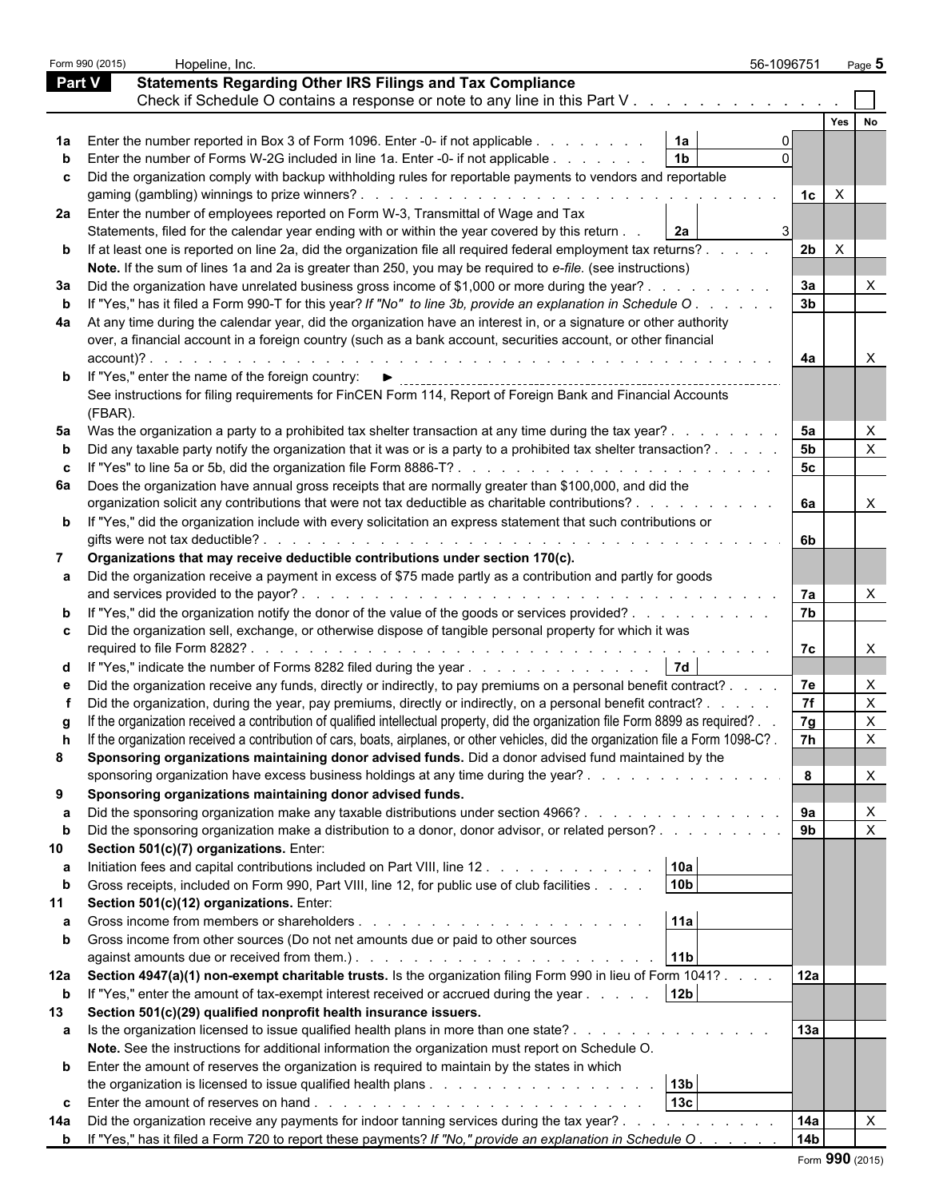|     | Form 990 (2015) | Hopeline, Inc.                                                                                                                                                                                                                                                        | 56-1096751      |          | Page 5                    |  |  |
|-----|-----------------|-----------------------------------------------------------------------------------------------------------------------------------------------------------------------------------------------------------------------------------------------------------------------|-----------------|----------|---------------------------|--|--|
|     | <b>Part V</b>   | <b>Statements Regarding Other IRS Filings and Tax Compliance</b>                                                                                                                                                                                                      |                 |          |                           |  |  |
|     |                 | Check if Schedule O contains a response or note to any line in this Part V.                                                                                                                                                                                           |                 |          |                           |  |  |
|     |                 |                                                                                                                                                                                                                                                                       |                 | Yes      |                           |  |  |
|     |                 | 1a<br>1a Enter the number reported in Box 3 of Form 1096. Enter -0- if not applicable                                                                                                                                                                                 |                 |          |                           |  |  |
|     |                 | 1 <sub>b</sub><br>Enter the number of Forms W-2G included in line 1a. Enter -0- if not applicable                                                                                                                                                                     |                 |          |                           |  |  |
|     |                 |                                                                                                                                                                                                                                                                       |                 |          |                           |  |  |
|     |                 | c Did the organization comply with backup withholding rules for reportable payments to vendors and reportable                                                                                                                                                         | 1c              | $\times$ |                           |  |  |
|     |                 | 2a Enter the number of employees reported on Form W-3, Transmittal of Wage and Tax                                                                                                                                                                                    |                 |          |                           |  |  |
|     |                 | 2a<br>Statements, filed for the calendar year ending with or within the year covered by this return                                                                                                                                                                   |                 |          |                           |  |  |
|     |                 | <b>b</b> If at least one is reported on line 2a, did the organization file all required federal employment tax returns?                                                                                                                                               | 2 <sub>b</sub>  | $\times$ |                           |  |  |
|     |                 | Note. If the sum of lines 1a and 2a is greater than 250, you may be required to e-file. (see instructions)                                                                                                                                                            |                 |          |                           |  |  |
| За  |                 | Did the organization have unrelated business gross income of \$1,000 or more during the year?.                                                                                                                                                                        | За              |          |                           |  |  |
|     |                 | If "Yes," has it filed a Form 990-T for this year? If "No" to line 3b, provide an explanation in Schedule O.                                                                                                                                                          | 3 <sub>b</sub>  |          |                           |  |  |
| 4a  |                 | At any time during the calendar year, did the organization have an interest in, or a signature or other authority                                                                                                                                                     |                 |          |                           |  |  |
|     |                 | over, a financial account in a foreign country (such as a bank account, securities account, or other financial                                                                                                                                                        |                 |          |                           |  |  |
|     | $account$ $?$ . | and the company of the company of the company of the company of the company of the company of the company of the                                                                                                                                                      | 4a              |          |                           |  |  |
|     |                 | If "Yes," enter the name of the foreign country: ▶                                                                                                                                                                                                                    |                 |          |                           |  |  |
|     |                 | See instructions for filing requirements for FinCEN Form 114, Report of Foreign Bank and Financial Accounts                                                                                                                                                           |                 |          |                           |  |  |
|     | (FBAR).         |                                                                                                                                                                                                                                                                       |                 |          |                           |  |  |
| 5а  |                 | Was the organization a party to a prohibited tax shelter transaction at any time during the tax year?.                                                                                                                                                                | 5а              |          | X                         |  |  |
|     |                 | Did any taxable party notify the organization that it was or is a party to a prohibited tax shelter transaction?                                                                                                                                                      | <b>5b</b>       |          | $\boldsymbol{\mathsf{X}}$ |  |  |
|     |                 | If "Yes" to line 5a or 5b, did the organization file Form 8886-T?                                                                                                                                                                                                     | 5 <sub>c</sub>  |          |                           |  |  |
|     |                 | 6a Does the organization have annual gross receipts that are normally greater than \$100,000, and did the                                                                                                                                                             |                 |          |                           |  |  |
|     |                 | organization solicit any contributions that were not tax deductible as charitable contributions?                                                                                                                                                                      | 6a              |          | X                         |  |  |
|     |                 | b If "Yes," did the organization include with every solicitation an express statement that such contributions or                                                                                                                                                      |                 |          |                           |  |  |
|     |                 | gifts were not tax deductible?<br>de la caractería de la caractería de la caractería de la caractería de la caractería                                                                                                                                                | -6b             |          |                           |  |  |
| 7   |                 | Organizations that may receive deductible contributions under section 170(c).                                                                                                                                                                                         |                 |          |                           |  |  |
|     |                 | a Did the organization receive a payment in excess of \$75 made partly as a contribution and partly for goods                                                                                                                                                         |                 |          |                           |  |  |
|     |                 | and services provided to the payor?.<br>a constitution of the constitution of the constitution of the constitution of the constitution of the constitution of the constitution of the constitution of the constitution of the constitution of the constitution of the | 7а              |          | X                         |  |  |
|     |                 | If "Yes," did the organization notify the donor of the value of the goods or services provided?                                                                                                                                                                       | 7b              |          |                           |  |  |
|     |                 | c Did the organization sell, exchange, or otherwise dispose of tangible personal property for which it was                                                                                                                                                            |                 |          |                           |  |  |
|     |                 |                                                                                                                                                                                                                                                                       | 7с              |          | X                         |  |  |
|     |                 | 7d<br>d If "Yes," indicate the number of Forms 8282 filed during the year                                                                                                                                                                                             |                 |          |                           |  |  |
|     |                 | Did the organization receive any funds, directly or indirectly, to pay premiums on a personal benefit contract?.                                                                                                                                                      | 7e              |          | X                         |  |  |
|     |                 | Did the organization, during the year, pay premiums, directly or indirectly, on a personal benefit contract? .                                                                                                                                                        | 7f              |          |                           |  |  |
|     |                 | If the organization received a contribution of qualified intellectual property, did the organization file Form 8899 as required?.                                                                                                                                     | 7g              |          |                           |  |  |
|     |                 | If the organization received a contribution of cars, boats, airplanes, or other vehicles, did the organization file a Form 1098-C?.                                                                                                                                   | 7h              |          | <b>X</b>                  |  |  |
| 8   |                 | Sponsoring organizations maintaining donor advised funds. Did a donor advised fund maintained by the                                                                                                                                                                  |                 |          |                           |  |  |
|     |                 | sponsoring organization have excess business holdings at any time during the year?                                                                                                                                                                                    | 8               |          | X                         |  |  |
| 9   |                 | Sponsoring organizations maintaining donor advised funds.                                                                                                                                                                                                             |                 |          |                           |  |  |
|     |                 | Did the sponsoring organization make any taxable distributions under section 4966?                                                                                                                                                                                    | 9а              |          | $\boldsymbol{\mathsf{X}}$ |  |  |
|     |                 | Did the sponsoring organization make a distribution to a donor, donor advisor, or related person?                                                                                                                                                                     | 9 <sub>b</sub>  |          | $\boldsymbol{\mathsf{X}}$ |  |  |
| 10  |                 | Section 501(c)(7) organizations. Enter:                                                                                                                                                                                                                               |                 |          |                           |  |  |
| а   |                 | 10a<br>Initiation fees and capital contributions included on Part VIII, line 12                                                                                                                                                                                       |                 |          |                           |  |  |
|     |                 | 10 <sub>b</sub><br>Gross receipts, included on Form 990, Part VIII, line 12, for public use of club facilities                                                                                                                                                        |                 |          |                           |  |  |
|     |                 | Section 501(c)(12) organizations. Enter:                                                                                                                                                                                                                              |                 |          |                           |  |  |
|     |                 | 11a                                                                                                                                                                                                                                                                   |                 |          |                           |  |  |
|     |                 | Gross income from other sources (Do not net amounts due or paid to other sources                                                                                                                                                                                      |                 |          |                           |  |  |
|     |                 | 11b                                                                                                                                                                                                                                                                   |                 |          |                           |  |  |
|     |                 | 12a Section 4947(a)(1) non-exempt charitable trusts. Is the organization filing Form 990 in lieu of Form 1041?.                                                                                                                                                       | 12a             |          |                           |  |  |
| b   |                 | If "Yes," enter the amount of tax-exempt interest received or accrued during the year<br>12 <sub>b</sub>                                                                                                                                                              |                 |          |                           |  |  |
| 13  |                 | Section 501(c)(29) qualified nonprofit health insurance issuers.                                                                                                                                                                                                      |                 |          |                           |  |  |
|     |                 | a Is the organization licensed to issue qualified health plans in more than one state?.                                                                                                                                                                               | 13a             |          |                           |  |  |
|     |                 | Note. See the instructions for additional information the organization must report on Schedule O.                                                                                                                                                                     |                 |          |                           |  |  |
|     |                 | <b>b</b> Enter the amount of reserves the organization is required to maintain by the states in which                                                                                                                                                                 |                 |          |                           |  |  |
|     |                 | 13 <sub>b</sub>                                                                                                                                                                                                                                                       |                 |          |                           |  |  |
|     |                 | 13 <sub>c</sub>                                                                                                                                                                                                                                                       |                 |          |                           |  |  |
| 14a |                 | Did the organization receive any payments for indoor tanning services during the tax year?.                                                                                                                                                                           | 14a             |          | $\mathsf{X}$              |  |  |
| b   |                 | If "Yes," has it filed a Form 720 to report these payments? If "No," provide an explanation in Schedule O                                                                                                                                                             | 14 <sub>b</sub> |          |                           |  |  |
|     |                 |                                                                                                                                                                                                                                                                       |                 |          |                           |  |  |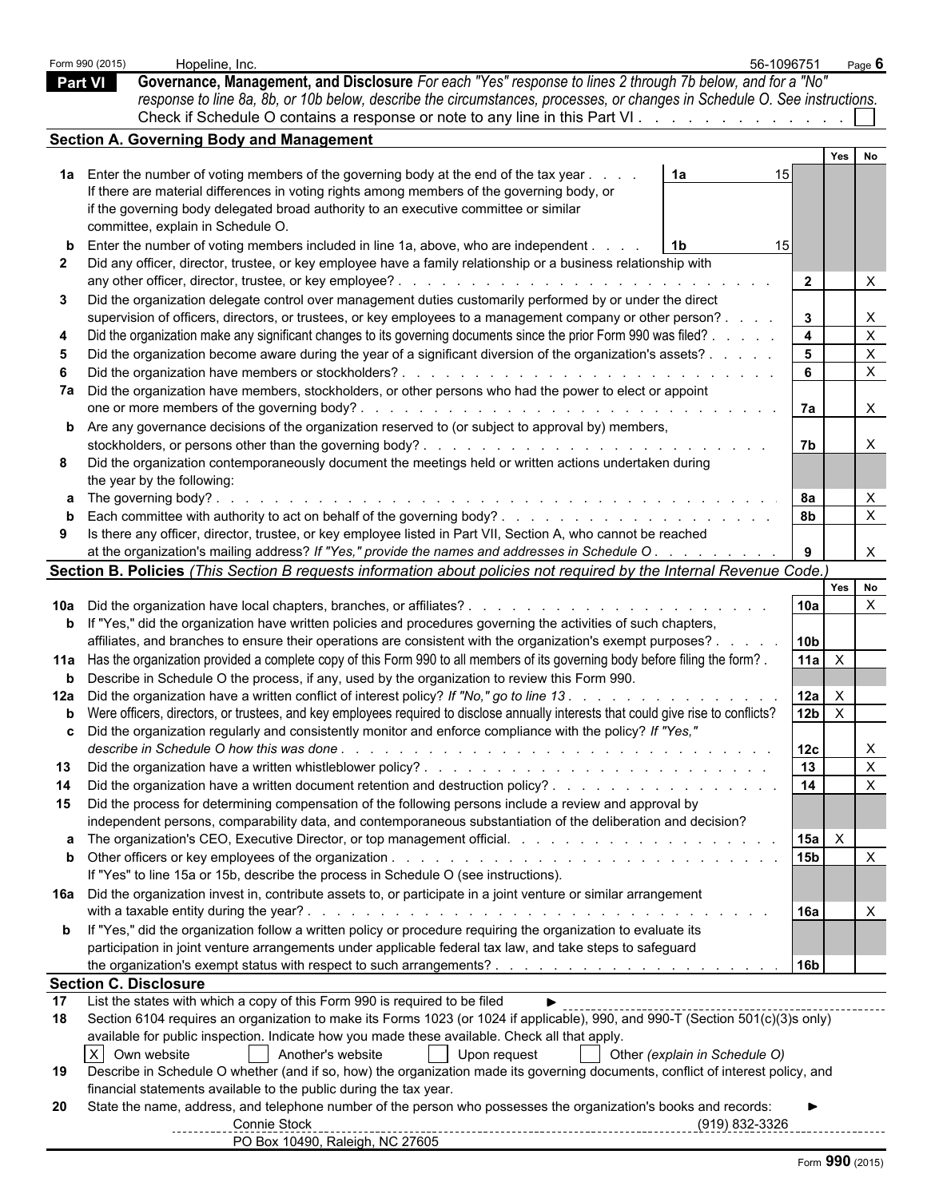|                | Form 990 (2015) | Hopeline, Inc.                                                                                                                                                                                                                                                                          | 56-1096751                    |                 |              | Page $6$                  |
|----------------|-----------------|-----------------------------------------------------------------------------------------------------------------------------------------------------------------------------------------------------------------------------------------------------------------------------------------|-------------------------------|-----------------|--------------|---------------------------|
| <b>Part VI</b> |                 | Governance, Management, and Disclosure For each "Yes" response to lines 2 through 7b below, and for a "No"                                                                                                                                                                              |                               |                 |              |                           |
|                |                 | response to line 8a, 8b, or 10b below, describe the circumstances, processes, or changes in Schedule O. See instructions.<br>Check if Schedule O contains a response or note to any line in this Part VI.                                                                               |                               |                 |              |                           |
|                |                 | <b>Section A. Governing Body and Management</b>                                                                                                                                                                                                                                         |                               |                 |              |                           |
|                |                 |                                                                                                                                                                                                                                                                                         |                               |                 | Yes No       |                           |
|                |                 | 1a Enter the number of voting members of the governing body at the end of the tax year.<br>1a                                                                                                                                                                                           | 15                            |                 |              |                           |
|                |                 | If there are material differences in voting rights among members of the governing body, or                                                                                                                                                                                              |                               |                 |              |                           |
|                |                 | if the governing body delegated broad authority to an executive committee or similar<br>committee, explain in Schedule O.                                                                                                                                                               |                               |                 |              |                           |
|                |                 | Enter the number of voting members included in line 1a, above, who are independent.                                                                                                                                                                                                     |                               |                 |              |                           |
|                |                 | Did any officer, director, trustee, or key employee have a family relationship or a business relationship with                                                                                                                                                                          |                               |                 |              |                           |
|                |                 |                                                                                                                                                                                                                                                                                         |                               | $\overline{2}$  |              |                           |
| 3              |                 | Did the organization delegate control over management duties customarily performed by or under the direct                                                                                                                                                                               |                               |                 |              |                           |
|                |                 | supervision of officers, directors, or trustees, or key employees to a management company or other person?.                                                                                                                                                                             |                               | $3^{\circ}$     |              | X                         |
|                |                 | Did the organization make any significant changes to its governing documents since the prior Form 990 was filed?.                                                                                                                                                                       |                               | $\overline{4}$  |              | X<br>X                    |
|                |                 | Did the organization become aware during the year of a significant diversion of the organization's assets?.<br>Did the organization have members or stockholders?.<br>de la construcción de la construcción de la construcción de la construcción de la construcción de la construcción |                               | 5<br>- 6        |              | X                         |
|                |                 | 7a Did the organization have members, stockholders, or other persons who had the power to elect or appoint                                                                                                                                                                              |                               |                 |              |                           |
|                |                 | one or more members of the governing body?<br>and the contract of the contract of the contract of the contract of the contract of the contract of the contract of the contract of the contract of the contract of the contract of the contract of the contract of the contra            |                               | 7a              |              | $\mathsf{X}$              |
|                |                 | <b>b</b> Are any governance decisions of the organization reserved to (or subject to approval by) members,                                                                                                                                                                              |                               |                 |              |                           |
|                |                 |                                                                                                                                                                                                                                                                                         |                               | <b>7b</b>       |              | Χ                         |
|                |                 | Did the organization contemporaneously document the meetings held or written actions undertaken during                                                                                                                                                                                  |                               |                 |              |                           |
|                |                 | the year by the following:<br><b>a</b> The governing body?                                                                                                                                                                                                                              |                               | 8a              |              |                           |
|                |                 |                                                                                                                                                                                                                                                                                         |                               | 8 <sub>b</sub>  |              | X                         |
|                |                 | Is there any officer, director, trustee, or key employee listed in Part VII, Section A, who cannot be reached                                                                                                                                                                           |                               |                 |              |                           |
|                |                 | at the organization's mailing address? If "Yes," provide the names and addresses in Schedule O.                                                                                                                                                                                         |                               |                 |              |                           |
|                |                 | Section B. Policies (This Section B requests information about policies not required by the Internal Revenue Code.)                                                                                                                                                                     |                               |                 |              |                           |
|                |                 |                                                                                                                                                                                                                                                                                         |                               | 10a             | Yes No       | $\times$                  |
|                |                 | <b>b</b> If "Yes," did the organization have written policies and procedures governing the activities of such chapters,                                                                                                                                                                 |                               |                 |              |                           |
|                |                 | affiliates, and branches to ensure their operations are consistent with the organization's exempt purposes?.                                                                                                                                                                            |                               | 10 <sub>b</sub> |              |                           |
|                |                 | 11a Has the organization provided a complete copy of this Form 990 to all members of its governing body before filing the form?.                                                                                                                                                        |                               | 11a             | $\mathsf{X}$ |                           |
| $\mathbf b$    |                 | Describe in Schedule O the process, if any, used by the organization to review this Form 990.                                                                                                                                                                                           |                               |                 |              |                           |
|                |                 | Did the organization have a written conflict of interest policy? If "No," go to line 13.                                                                                                                                                                                                |                               | 12a             | $\mathsf{X}$ |                           |
|                |                 | b Were officers, directors, or trustees, and key employees required to disclose annually interests that could give rise to conflicts?                                                                                                                                                   |                               | 12 <sub>b</sub> | $\mathsf{X}$ |                           |
|                |                 | c Did the organization regularly and consistently monitor and enforce compliance with the policy? If "Yes,"                                                                                                                                                                             |                               |                 |              |                           |
|                |                 |                                                                                                                                                                                                                                                                                         |                               | 12c<br>13       |              | X<br>$\mathsf{X}$         |
| 13<br>14       |                 |                                                                                                                                                                                                                                                                                         |                               | 14              |              | $\mathsf{X}$              |
|                |                 | 15 Did the process for determining compensation of the following persons include a review and approval by                                                                                                                                                                               |                               |                 |              |                           |
|                |                 | independent persons, comparability data, and contemporaneous substantiation of the deliberation and decision?                                                                                                                                                                           |                               |                 |              |                           |
|                |                 |                                                                                                                                                                                                                                                                                         |                               |                 | $\mathsf{X}$ |                           |
|                |                 |                                                                                                                                                                                                                                                                                         |                               | 15 <sub>b</sub> |              | $\boldsymbol{\mathsf{X}}$ |
|                |                 | If "Yes" to line 15a or 15b, describe the process in Schedule O (see instructions).                                                                                                                                                                                                     |                               |                 |              |                           |
|                |                 | 16a Did the organization invest in, contribute assets to, or participate in a joint venture or similar arrangement                                                                                                                                                                      |                               |                 |              |                           |
|                |                 | <b>b</b> If "Yes," did the organization follow a written policy or procedure requiring the organization to evaluate its                                                                                                                                                                 |                               | <b>16a</b>      |              | X                         |
|                |                 | participation in joint venture arrangements under applicable federal tax law, and take steps to safeguard                                                                                                                                                                               |                               |                 |              |                           |
|                |                 |                                                                                                                                                                                                                                                                                         |                               | 16 <sub>b</sub> |              |                           |
|                |                 | <b>Section C. Disclosure</b>                                                                                                                                                                                                                                                            |                               |                 |              |                           |
| 17             |                 | List the states with which a copy of this Form 990 is required to be filed                                                                                                                                                                                                              |                               |                 |              |                           |
| 18             |                 | Section 6104 requires an organization to make its Forms 1023 (or 1024 if applicable), 990, and 990-T (Section 501(c)(3)s only)<br>available for public inspection. Indicate how you made these available. Check all that apply.                                                         |                               |                 |              |                           |
|                | X               | Another's website<br>Own website<br>Upon request                                                                                                                                                                                                                                        | Other (explain in Schedule O) |                 |              |                           |
| 19             |                 | Describe in Schedule O whether (and if so, how) the organization made its governing documents, conflict of interest policy, and                                                                                                                                                         |                               |                 |              |                           |
|                |                 | financial statements available to the public during the tax year.                                                                                                                                                                                                                       |                               |                 |              |                           |
| 20             |                 | State the name, address, and telephone number of the person who possesses the organization's books and records:                                                                                                                                                                         |                               |                 |              |                           |
|                |                 | Connie Stock<br>PO Box 10490, Raleigh, NC 27605                                                                                                                                                                                                                                         | (919) 832-3326                |                 |              |                           |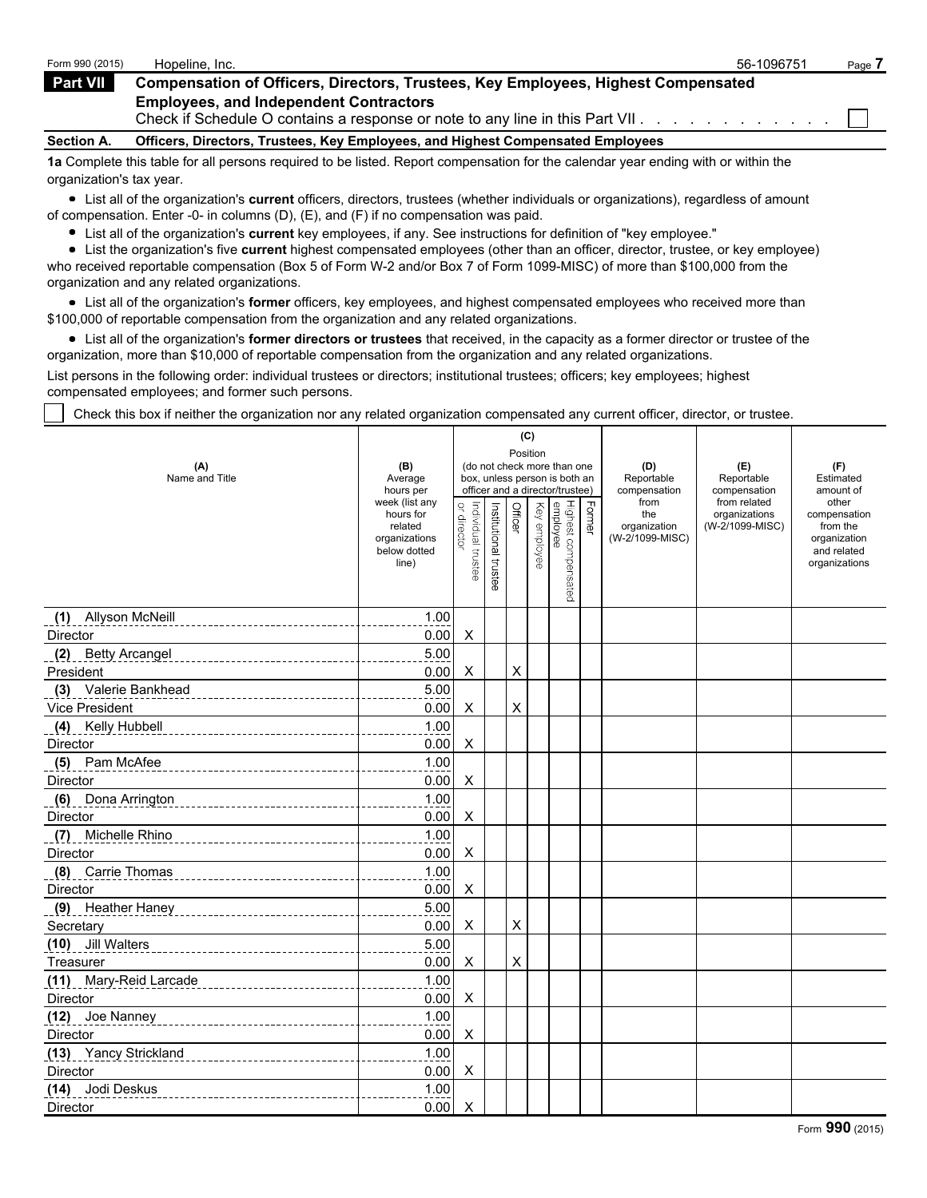| Form 990 (2015)   | Hopeline, Inc.                                                                                                                 | 56-1096751 | Page |
|-------------------|--------------------------------------------------------------------------------------------------------------------------------|------------|------|
| <b>Part VII</b>   | <b>Compensation of Officers, Directors, Trustees, Key Employees, Highest Compensated</b>                                       |            |      |
|                   | <b>Employees, and Independent Contractors</b><br>Check if Schedule O contains a response or note to any line in this Part VII. |            |      |
| <b>Section A.</b> | Officers, Directors, Trustees, Key Employees, and Highest Compensated Employees                                                |            |      |
|                   |                                                                                                                                |            |      |

**1a** Complete this table for all persons required to be listed. Report compensation for the calendar year ending with or within the organization's tax year.

List all of the organization's **current** officers, directors, trustees (whether individuals or organizations), regardless of amount of compensation. Enter -0- in columns (D), (E), and (F) if no compensation was paid.

List all of the organization's **current** key employees, if any. See instructions for definition of "key employee."

List the organization's five **current** highest compensated employees (other than an officer, director, trustee, or key employee) who received reportable compensation (Box 5 of Form W-2 and/or Box 7 of Form 1099-MISC) of more than \$100,000 from the organization and any related organizations.

List all of the organization's **former** officers, key employees, and highest compensated employees who received more than \$100,000 of reportable compensation from the organization and any related organizations.

List all of the organization's **former directors or trustees** that received, in the capacity as a former director or trustee of the organization, more than \$10,000 of reportable compensation from the organization and any related organizations.

List persons in the following order: individual trustees or directors; institutional trustees; officers; key employees; highest compensated employees; and former such persons.

Check this box if neither the organization nor any related organization compensated any current officer, director, or trustee.

|                                            |                                                                                  |                                                                          |                       |         | (C)          |                                 |        |                                                |                                  |                                                                                   |
|--------------------------------------------|----------------------------------------------------------------------------------|--------------------------------------------------------------------------|-----------------------|---------|--------------|---------------------------------|--------|------------------------------------------------|----------------------------------|-----------------------------------------------------------------------------------|
| (A)<br>Name and Title                      | (B)<br>Average                                                                   | Position<br>(do not check more than one<br>box, unless person is both an |                       |         |              |                                 |        | (D)<br>Reportable                              | (E)<br>Reportable                | (F)<br>Estimated                                                                  |
|                                            | hours per                                                                        |                                                                          |                       |         |              | officer and a director/trustee) |        | compensation                                   | compensation<br>from related     | amount of                                                                         |
|                                            | week (list any<br>hours for<br>related<br>organizations<br>below dotted<br>line) | or director<br>Individual trustee                                        | Institutional trustee | Officer | Key employee | Highest compensated<br>employee | Former | from<br>the<br>organization<br>(W-2/1099-MISC) | organizations<br>(W-2/1099-MISC) | other<br>compensation<br>from the<br>organization<br>and related<br>organizations |
| (1) Allyson McNeill                        | 1.00                                                                             |                                                                          |                       |         |              |                                 |        |                                                |                                  |                                                                                   |
| Director                                   | 0.00                                                                             | X                                                                        |                       |         |              |                                 |        |                                                |                                  |                                                                                   |
| (2)<br>Betty Arcangel                      | 5.00                                                                             |                                                                          |                       |         |              |                                 |        |                                                |                                  |                                                                                   |
| President                                  | 0.00                                                                             | X                                                                        |                       | X       |              |                                 |        |                                                |                                  |                                                                                   |
| (3) Valerie Bankhead                       | 5.00                                                                             |                                                                          |                       |         |              |                                 |        |                                                |                                  |                                                                                   |
| Vice President                             | 0.00                                                                             | X                                                                        |                       | X       |              |                                 |        |                                                |                                  |                                                                                   |
| (4) Kelly Hubbell                          | 1.00                                                                             |                                                                          |                       |         |              |                                 |        |                                                |                                  |                                                                                   |
| Director                                   | 0.00                                                                             | X                                                                        |                       |         |              |                                 |        |                                                |                                  |                                                                                   |
| (5) Pam McAfee                             | 1.00                                                                             |                                                                          |                       |         |              |                                 |        |                                                |                                  |                                                                                   |
| Director                                   | 0.00                                                                             | X                                                                        |                       |         |              |                                 |        |                                                |                                  |                                                                                   |
| (6) Dona Arrington                         | 1.00                                                                             |                                                                          |                       |         |              |                                 |        |                                                |                                  |                                                                                   |
| Director                                   | 0.00                                                                             | X                                                                        |                       |         |              |                                 |        |                                                |                                  |                                                                                   |
| (7)<br>Michelle Rhino                      | 1.00                                                                             |                                                                          |                       |         |              |                                 |        |                                                |                                  |                                                                                   |
| Director                                   | 0.00                                                                             | X                                                                        |                       |         |              |                                 |        |                                                |                                  |                                                                                   |
| (8) Carrie Thomas                          | 1.00                                                                             |                                                                          |                       |         |              |                                 |        |                                                |                                  |                                                                                   |
| Director                                   | 0.00                                                                             | X                                                                        |                       |         |              |                                 |        |                                                |                                  |                                                                                   |
| (9) Heather Haney<br>--------------------- | 5.00                                                                             |                                                                          |                       |         |              |                                 |        |                                                |                                  |                                                                                   |
| Secretary                                  | 0.00                                                                             | X                                                                        |                       | X       |              |                                 |        |                                                |                                  |                                                                                   |
| (10) Jill Walters                          | 5.00                                                                             |                                                                          |                       |         |              |                                 |        |                                                |                                  |                                                                                   |
| Treasurer                                  | 0.00                                                                             | X                                                                        |                       | X       |              |                                 |        |                                                |                                  |                                                                                   |
| (11) Mary-Reid Larcade                     | 1.00                                                                             |                                                                          |                       |         |              |                                 |        |                                                |                                  |                                                                                   |
| Director                                   | 0.00                                                                             | X                                                                        |                       |         |              |                                 |        |                                                |                                  |                                                                                   |
| (12) Joe Nanney                            | 1.00                                                                             |                                                                          |                       |         |              |                                 |        |                                                |                                  |                                                                                   |
| Director                                   | 0.00                                                                             | X                                                                        |                       |         |              |                                 |        |                                                |                                  |                                                                                   |
| (13) Yancy Strickland                      | 1.00                                                                             |                                                                          |                       |         |              |                                 |        |                                                |                                  |                                                                                   |
| Director                                   | 0.00                                                                             | X                                                                        |                       |         |              |                                 |        |                                                |                                  |                                                                                   |
| (14) Jodi Deskus                           | 1.00                                                                             |                                                                          |                       |         |              |                                 |        |                                                |                                  |                                                                                   |
| Director                                   | 0.00                                                                             | X                                                                        |                       |         |              |                                 |        |                                                |                                  |                                                                                   |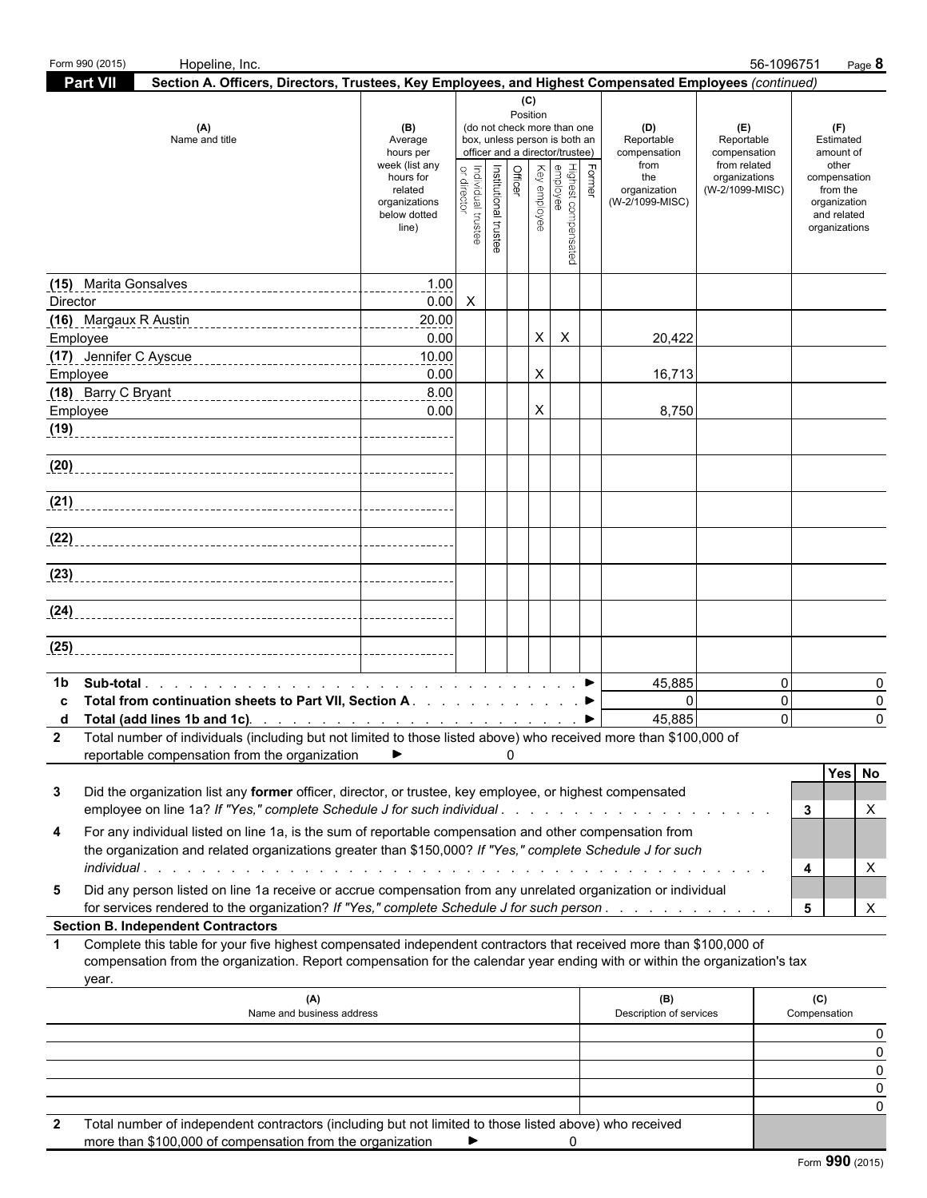| Part VII<br>Section A. Officers, Directors, Trustees, Key Employees, and Highest Compensated Employees (continued)<br>(C)<br>Position<br>(do not check more than one<br>(A)<br>(D)<br>(E)<br>(F)<br>(B)<br>Name and title<br>box, unless person is both an<br>Reportable<br>Reportable<br>Estimated<br>Average<br>officer and a director/trustee)<br>compensation<br>hours per<br>compensation<br>amount of<br>week (list any<br>from<br>from related<br>other<br>Officer<br>Institutional trustee<br>Former<br>Highest compensated<br>employee<br>Key employee<br>or directo<br>ndividual trustee<br>hours for<br>the<br>organizations<br>compensation<br>organization<br>related<br>(W-2/1099-MISC)<br>from the<br>(W-2/1099-MISC)<br>organizations<br>organization<br>and related<br>below dotted<br>line)<br>organizations<br>(15) Marita Gonsalves<br>1.00<br>0.00<br>$\boldsymbol{\mathsf{X}}$<br>Director<br>(16) Margaux R Austin<br>20.00<br>0.00<br>X<br>X<br>20,422<br>Employee<br>10.00<br>X<br>0.00<br>16,713<br>Employee<br>8.00<br>0.00<br>X<br>Employee<br>8,750<br>(19)<br>(20)<br>(21)<br>(22)<br>(23)<br>(24)<br>(25)<br>$\mathbf 0$<br>45,885<br>0<br>1b<br>$\overline{0}$<br>$\mathbf 0$<br>Total from continuation sheets to Part VII, Section A. ▶<br>0<br>45,885<br>$\Omega$<br>0<br>2 Total number of individuals (including but not limited to those listed above) who received more than \$100,000 of<br>reportable compensation from the organization<br>▶<br>0<br>Yes No<br>Did the organization list any former officer, director, or trustee, key employee, or highest compensated<br>3<br>employee on line 1a? If "Yes," complete Schedule J for such individual<br>Х<br>3<br>For any individual listed on line 1a, is the sum of reportable compensation and other compensation from<br>4<br>the organization and related organizations greater than \$150,000? If "Yes," complete Schedule J for such<br>X<br>4<br>Did any person listed on line 1a receive or accrue compensation from any unrelated organization or individual<br>5<br>X<br>for services rendered to the organization? If "Yes," complete Schedule J for such person.<br>5<br><b>Section B. Independent Contractors</b><br>Complete this table for your five highest compensated independent contractors that received more than \$100,000 of<br>$\mathbf 1$<br>compensation from the organization. Report compensation for the calendar year ending with or within the organization's tax<br>year.<br>(B)<br>(A)<br>(C)<br>Name and business address<br>Description of services<br>Compensation<br>Total number of independent contractors (including but not limited to those listed above) who received<br>more than \$100,000 of compensation from the organization<br>$\mathbf 0$<br>▶ | Form 990 (2015) | Hopeline, Inc. |  |  |  |  | 56-1096751 | Page 8 |
|-------------------------------------------------------------------------------------------------------------------------------------------------------------------------------------------------------------------------------------------------------------------------------------------------------------------------------------------------------------------------------------------------------------------------------------------------------------------------------------------------------------------------------------------------------------------------------------------------------------------------------------------------------------------------------------------------------------------------------------------------------------------------------------------------------------------------------------------------------------------------------------------------------------------------------------------------------------------------------------------------------------------------------------------------------------------------------------------------------------------------------------------------------------------------------------------------------------------------------------------------------------------------------------------------------------------------------------------------------------------------------------------------------------------------------------------------------------------------------------------------------------------------------------------------------------------------------------------------------------------------------------------------------------------------------------------------------------------------------------------------------------------------------------------------------------------------------------------------------------------------------------------------------------------------------------------------------------------------------------------------------------------------------------------------------------------------------------------------------------------------------------------------------------------------------------------------------------------------------------------------------------------------------------------------------------------------------------------------------------------------------------------------------------------------------------------------------------------------------------------------------------------------------------------------------------------------------------------------------------------------------------------------------------------------------------------------------------------------------------------------------------------------------------------------|-----------------|----------------|--|--|--|--|------------|--------|
|                                                                                                                                                                                                                                                                                                                                                                                                                                                                                                                                                                                                                                                                                                                                                                                                                                                                                                                                                                                                                                                                                                                                                                                                                                                                                                                                                                                                                                                                                                                                                                                                                                                                                                                                                                                                                                                                                                                                                                                                                                                                                                                                                                                                                                                                                                                                                                                                                                                                                                                                                                                                                                                                                                                                                                                                 |                 |                |  |  |  |  |            |        |
|                                                                                                                                                                                                                                                                                                                                                                                                                                                                                                                                                                                                                                                                                                                                                                                                                                                                                                                                                                                                                                                                                                                                                                                                                                                                                                                                                                                                                                                                                                                                                                                                                                                                                                                                                                                                                                                                                                                                                                                                                                                                                                                                                                                                                                                                                                                                                                                                                                                                                                                                                                                                                                                                                                                                                                                                 |                 |                |  |  |  |  |            |        |
|                                                                                                                                                                                                                                                                                                                                                                                                                                                                                                                                                                                                                                                                                                                                                                                                                                                                                                                                                                                                                                                                                                                                                                                                                                                                                                                                                                                                                                                                                                                                                                                                                                                                                                                                                                                                                                                                                                                                                                                                                                                                                                                                                                                                                                                                                                                                                                                                                                                                                                                                                                                                                                                                                                                                                                                                 |                 |                |  |  |  |  |            |        |
|                                                                                                                                                                                                                                                                                                                                                                                                                                                                                                                                                                                                                                                                                                                                                                                                                                                                                                                                                                                                                                                                                                                                                                                                                                                                                                                                                                                                                                                                                                                                                                                                                                                                                                                                                                                                                                                                                                                                                                                                                                                                                                                                                                                                                                                                                                                                                                                                                                                                                                                                                                                                                                                                                                                                                                                                 |                 |                |  |  |  |  |            |        |
|                                                                                                                                                                                                                                                                                                                                                                                                                                                                                                                                                                                                                                                                                                                                                                                                                                                                                                                                                                                                                                                                                                                                                                                                                                                                                                                                                                                                                                                                                                                                                                                                                                                                                                                                                                                                                                                                                                                                                                                                                                                                                                                                                                                                                                                                                                                                                                                                                                                                                                                                                                                                                                                                                                                                                                                                 |                 |                |  |  |  |  |            |        |
|                                                                                                                                                                                                                                                                                                                                                                                                                                                                                                                                                                                                                                                                                                                                                                                                                                                                                                                                                                                                                                                                                                                                                                                                                                                                                                                                                                                                                                                                                                                                                                                                                                                                                                                                                                                                                                                                                                                                                                                                                                                                                                                                                                                                                                                                                                                                                                                                                                                                                                                                                                                                                                                                                                                                                                                                 |                 |                |  |  |  |  |            |        |
|                                                                                                                                                                                                                                                                                                                                                                                                                                                                                                                                                                                                                                                                                                                                                                                                                                                                                                                                                                                                                                                                                                                                                                                                                                                                                                                                                                                                                                                                                                                                                                                                                                                                                                                                                                                                                                                                                                                                                                                                                                                                                                                                                                                                                                                                                                                                                                                                                                                                                                                                                                                                                                                                                                                                                                                                 |                 |                |  |  |  |  |            |        |
|                                                                                                                                                                                                                                                                                                                                                                                                                                                                                                                                                                                                                                                                                                                                                                                                                                                                                                                                                                                                                                                                                                                                                                                                                                                                                                                                                                                                                                                                                                                                                                                                                                                                                                                                                                                                                                                                                                                                                                                                                                                                                                                                                                                                                                                                                                                                                                                                                                                                                                                                                                                                                                                                                                                                                                                                 |                 |                |  |  |  |  |            |        |
|                                                                                                                                                                                                                                                                                                                                                                                                                                                                                                                                                                                                                                                                                                                                                                                                                                                                                                                                                                                                                                                                                                                                                                                                                                                                                                                                                                                                                                                                                                                                                                                                                                                                                                                                                                                                                                                                                                                                                                                                                                                                                                                                                                                                                                                                                                                                                                                                                                                                                                                                                                                                                                                                                                                                                                                                 |                 |                |  |  |  |  |            |        |
|                                                                                                                                                                                                                                                                                                                                                                                                                                                                                                                                                                                                                                                                                                                                                                                                                                                                                                                                                                                                                                                                                                                                                                                                                                                                                                                                                                                                                                                                                                                                                                                                                                                                                                                                                                                                                                                                                                                                                                                                                                                                                                                                                                                                                                                                                                                                                                                                                                                                                                                                                                                                                                                                                                                                                                                                 |                 |                |  |  |  |  |            |        |
|                                                                                                                                                                                                                                                                                                                                                                                                                                                                                                                                                                                                                                                                                                                                                                                                                                                                                                                                                                                                                                                                                                                                                                                                                                                                                                                                                                                                                                                                                                                                                                                                                                                                                                                                                                                                                                                                                                                                                                                                                                                                                                                                                                                                                                                                                                                                                                                                                                                                                                                                                                                                                                                                                                                                                                                                 |                 |                |  |  |  |  |            |        |
|                                                                                                                                                                                                                                                                                                                                                                                                                                                                                                                                                                                                                                                                                                                                                                                                                                                                                                                                                                                                                                                                                                                                                                                                                                                                                                                                                                                                                                                                                                                                                                                                                                                                                                                                                                                                                                                                                                                                                                                                                                                                                                                                                                                                                                                                                                                                                                                                                                                                                                                                                                                                                                                                                                                                                                                                 |                 |                |  |  |  |  |            |        |
|                                                                                                                                                                                                                                                                                                                                                                                                                                                                                                                                                                                                                                                                                                                                                                                                                                                                                                                                                                                                                                                                                                                                                                                                                                                                                                                                                                                                                                                                                                                                                                                                                                                                                                                                                                                                                                                                                                                                                                                                                                                                                                                                                                                                                                                                                                                                                                                                                                                                                                                                                                                                                                                                                                                                                                                                 |                 |                |  |  |  |  |            |        |
|                                                                                                                                                                                                                                                                                                                                                                                                                                                                                                                                                                                                                                                                                                                                                                                                                                                                                                                                                                                                                                                                                                                                                                                                                                                                                                                                                                                                                                                                                                                                                                                                                                                                                                                                                                                                                                                                                                                                                                                                                                                                                                                                                                                                                                                                                                                                                                                                                                                                                                                                                                                                                                                                                                                                                                                                 |                 |                |  |  |  |  |            |        |
|                                                                                                                                                                                                                                                                                                                                                                                                                                                                                                                                                                                                                                                                                                                                                                                                                                                                                                                                                                                                                                                                                                                                                                                                                                                                                                                                                                                                                                                                                                                                                                                                                                                                                                                                                                                                                                                                                                                                                                                                                                                                                                                                                                                                                                                                                                                                                                                                                                                                                                                                                                                                                                                                                                                                                                                                 |                 |                |  |  |  |  |            |        |
|                                                                                                                                                                                                                                                                                                                                                                                                                                                                                                                                                                                                                                                                                                                                                                                                                                                                                                                                                                                                                                                                                                                                                                                                                                                                                                                                                                                                                                                                                                                                                                                                                                                                                                                                                                                                                                                                                                                                                                                                                                                                                                                                                                                                                                                                                                                                                                                                                                                                                                                                                                                                                                                                                                                                                                                                 |                 |                |  |  |  |  |            |        |
|                                                                                                                                                                                                                                                                                                                                                                                                                                                                                                                                                                                                                                                                                                                                                                                                                                                                                                                                                                                                                                                                                                                                                                                                                                                                                                                                                                                                                                                                                                                                                                                                                                                                                                                                                                                                                                                                                                                                                                                                                                                                                                                                                                                                                                                                                                                                                                                                                                                                                                                                                                                                                                                                                                                                                                                                 |                 |                |  |  |  |  |            |        |
|                                                                                                                                                                                                                                                                                                                                                                                                                                                                                                                                                                                                                                                                                                                                                                                                                                                                                                                                                                                                                                                                                                                                                                                                                                                                                                                                                                                                                                                                                                                                                                                                                                                                                                                                                                                                                                                                                                                                                                                                                                                                                                                                                                                                                                                                                                                                                                                                                                                                                                                                                                                                                                                                                                                                                                                                 |                 |                |  |  |  |  |            |        |
|                                                                                                                                                                                                                                                                                                                                                                                                                                                                                                                                                                                                                                                                                                                                                                                                                                                                                                                                                                                                                                                                                                                                                                                                                                                                                                                                                                                                                                                                                                                                                                                                                                                                                                                                                                                                                                                                                                                                                                                                                                                                                                                                                                                                                                                                                                                                                                                                                                                                                                                                                                                                                                                                                                                                                                                                 |                 |                |  |  |  |  |            |        |
|                                                                                                                                                                                                                                                                                                                                                                                                                                                                                                                                                                                                                                                                                                                                                                                                                                                                                                                                                                                                                                                                                                                                                                                                                                                                                                                                                                                                                                                                                                                                                                                                                                                                                                                                                                                                                                                                                                                                                                                                                                                                                                                                                                                                                                                                                                                                                                                                                                                                                                                                                                                                                                                                                                                                                                                                 |                 |                |  |  |  |  |            |        |
| 0<br>0<br>0<br>0                                                                                                                                                                                                                                                                                                                                                                                                                                                                                                                                                                                                                                                                                                                                                                                                                                                                                                                                                                                                                                                                                                                                                                                                                                                                                                                                                                                                                                                                                                                                                                                                                                                                                                                                                                                                                                                                                                                                                                                                                                                                                                                                                                                                                                                                                                                                                                                                                                                                                                                                                                                                                                                                                                                                                                                |                 |                |  |  |  |  |            |        |
|                                                                                                                                                                                                                                                                                                                                                                                                                                                                                                                                                                                                                                                                                                                                                                                                                                                                                                                                                                                                                                                                                                                                                                                                                                                                                                                                                                                                                                                                                                                                                                                                                                                                                                                                                                                                                                                                                                                                                                                                                                                                                                                                                                                                                                                                                                                                                                                                                                                                                                                                                                                                                                                                                                                                                                                                 |                 |                |  |  |  |  |            |        |
|                                                                                                                                                                                                                                                                                                                                                                                                                                                                                                                                                                                                                                                                                                                                                                                                                                                                                                                                                                                                                                                                                                                                                                                                                                                                                                                                                                                                                                                                                                                                                                                                                                                                                                                                                                                                                                                                                                                                                                                                                                                                                                                                                                                                                                                                                                                                                                                                                                                                                                                                                                                                                                                                                                                                                                                                 |                 |                |  |  |  |  |            |        |
|                                                                                                                                                                                                                                                                                                                                                                                                                                                                                                                                                                                                                                                                                                                                                                                                                                                                                                                                                                                                                                                                                                                                                                                                                                                                                                                                                                                                                                                                                                                                                                                                                                                                                                                                                                                                                                                                                                                                                                                                                                                                                                                                                                                                                                                                                                                                                                                                                                                                                                                                                                                                                                                                                                                                                                                                 |                 |                |  |  |  |  |            |        |
|                                                                                                                                                                                                                                                                                                                                                                                                                                                                                                                                                                                                                                                                                                                                                                                                                                                                                                                                                                                                                                                                                                                                                                                                                                                                                                                                                                                                                                                                                                                                                                                                                                                                                                                                                                                                                                                                                                                                                                                                                                                                                                                                                                                                                                                                                                                                                                                                                                                                                                                                                                                                                                                                                                                                                                                                 |                 |                |  |  |  |  |            |        |
| 0                                                                                                                                                                                                                                                                                                                                                                                                                                                                                                                                                                                                                                                                                                                                                                                                                                                                                                                                                                                                                                                                                                                                                                                                                                                                                                                                                                                                                                                                                                                                                                                                                                                                                                                                                                                                                                                                                                                                                                                                                                                                                                                                                                                                                                                                                                                                                                                                                                                                                                                                                                                                                                                                                                                                                                                               |                 |                |  |  |  |  |            |        |
|                                                                                                                                                                                                                                                                                                                                                                                                                                                                                                                                                                                                                                                                                                                                                                                                                                                                                                                                                                                                                                                                                                                                                                                                                                                                                                                                                                                                                                                                                                                                                                                                                                                                                                                                                                                                                                                                                                                                                                                                                                                                                                                                                                                                                                                                                                                                                                                                                                                                                                                                                                                                                                                                                                                                                                                                 |                 |                |  |  |  |  |            |        |
|                                                                                                                                                                                                                                                                                                                                                                                                                                                                                                                                                                                                                                                                                                                                                                                                                                                                                                                                                                                                                                                                                                                                                                                                                                                                                                                                                                                                                                                                                                                                                                                                                                                                                                                                                                                                                                                                                                                                                                                                                                                                                                                                                                                                                                                                                                                                                                                                                                                                                                                                                                                                                                                                                                                                                                                                 |                 |                |  |  |  |  |            |        |
|                                                                                                                                                                                                                                                                                                                                                                                                                                                                                                                                                                                                                                                                                                                                                                                                                                                                                                                                                                                                                                                                                                                                                                                                                                                                                                                                                                                                                                                                                                                                                                                                                                                                                                                                                                                                                                                                                                                                                                                                                                                                                                                                                                                                                                                                                                                                                                                                                                                                                                                                                                                                                                                                                                                                                                                                 |                 |                |  |  |  |  |            |        |
|                                                                                                                                                                                                                                                                                                                                                                                                                                                                                                                                                                                                                                                                                                                                                                                                                                                                                                                                                                                                                                                                                                                                                                                                                                                                                                                                                                                                                                                                                                                                                                                                                                                                                                                                                                                                                                                                                                                                                                                                                                                                                                                                                                                                                                                                                                                                                                                                                                                                                                                                                                                                                                                                                                                                                                                                 |                 |                |  |  |  |  |            |        |
|                                                                                                                                                                                                                                                                                                                                                                                                                                                                                                                                                                                                                                                                                                                                                                                                                                                                                                                                                                                                                                                                                                                                                                                                                                                                                                                                                                                                                                                                                                                                                                                                                                                                                                                                                                                                                                                                                                                                                                                                                                                                                                                                                                                                                                                                                                                                                                                                                                                                                                                                                                                                                                                                                                                                                                                                 |                 |                |  |  |  |  |            |        |
|                                                                                                                                                                                                                                                                                                                                                                                                                                                                                                                                                                                                                                                                                                                                                                                                                                                                                                                                                                                                                                                                                                                                                                                                                                                                                                                                                                                                                                                                                                                                                                                                                                                                                                                                                                                                                                                                                                                                                                                                                                                                                                                                                                                                                                                                                                                                                                                                                                                                                                                                                                                                                                                                                                                                                                                                 |                 |                |  |  |  |  |            |        |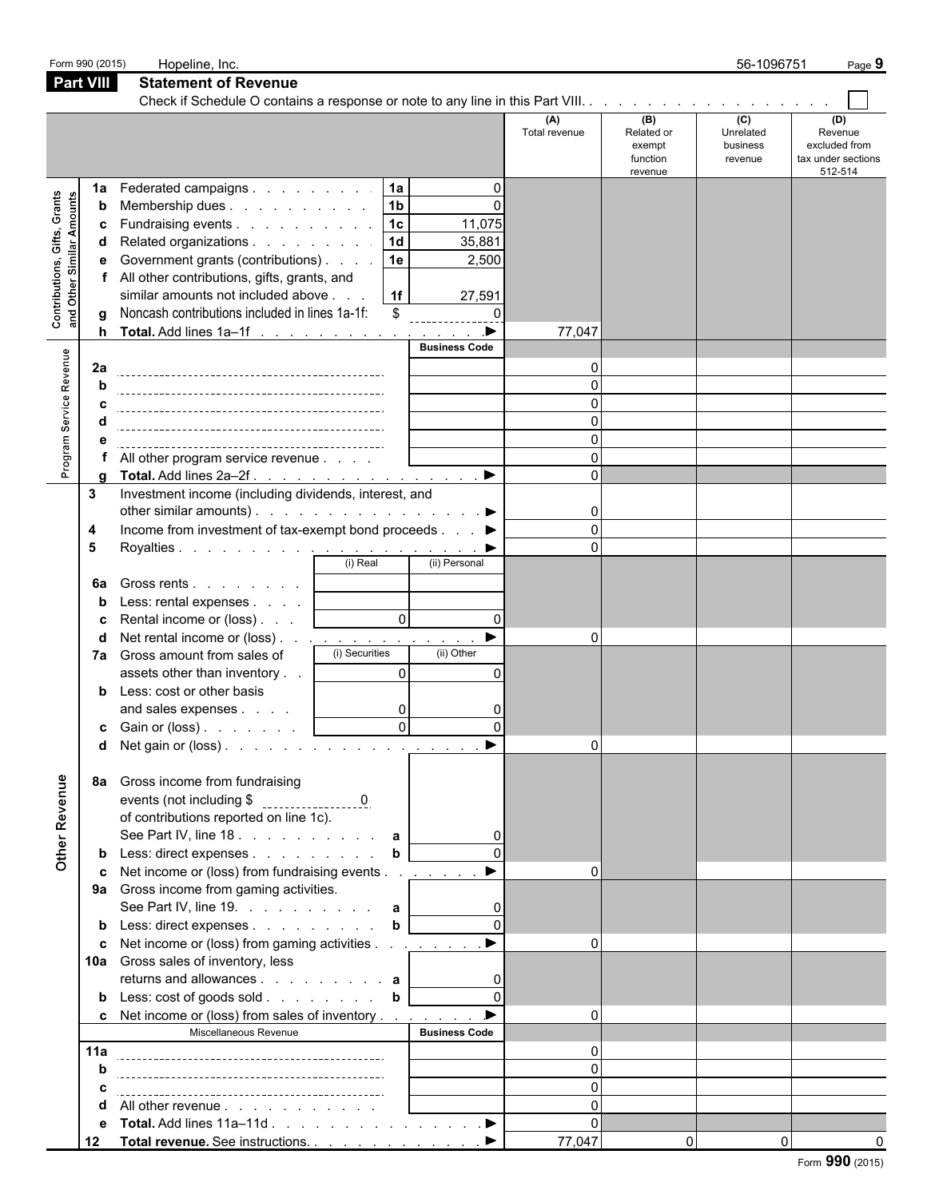| Form 990 (2015)                                                 |                            | Hopeline, Inc.                                                                                                                                                                                                                                                                                                                                                                                                                                                                                                                                                          |                                                               |                                                                         |                                                                                  |                                                    | 56-1096751                              | Page 9                                                           |
|-----------------------------------------------------------------|----------------------------|-------------------------------------------------------------------------------------------------------------------------------------------------------------------------------------------------------------------------------------------------------------------------------------------------------------------------------------------------------------------------------------------------------------------------------------------------------------------------------------------------------------------------------------------------------------------------|---------------------------------------------------------------|-------------------------------------------------------------------------|----------------------------------------------------------------------------------|----------------------------------------------------|-----------------------------------------|------------------------------------------------------------------|
| Part VIII                                                       |                            | <b>Statement of Revenue</b>                                                                                                                                                                                                                                                                                                                                                                                                                                                                                                                                             |                                                               |                                                                         |                                                                                  |                                                    |                                         |                                                                  |
|                                                                 |                            |                                                                                                                                                                                                                                                                                                                                                                                                                                                                                                                                                                         |                                                               |                                                                         |                                                                                  |                                                    |                                         |                                                                  |
|                                                                 |                            |                                                                                                                                                                                                                                                                                                                                                                                                                                                                                                                                                                         |                                                               |                                                                         | (A)<br>Total revenue                                                             | (B)<br>Related or<br>exempt<br>function<br>revenue | (C)<br>Unrelated<br>business<br>revenue | (D)<br>Revenue<br>excluded from<br>tax under sections<br>512-514 |
| 1a<br>Contributions, Gifts, Grants<br>and Other Similar Amounts | b<br>c<br>d<br>е<br>a<br>h | Federated campaigns<br>Membership dues<br>Fundraising events 1c<br>Related organizations<br>Government grants (contributions)<br>All other contributions, gifts, grants, and<br>similar amounts not included above<br>Noncash contributions included in lines 1a-1f:<br>Total. Add lines 1a–1f ▶                                                                                                                                                                                                                                                                        | 1a<br>1 <sub>b</sub><br> 1d <br> 1e <br> 1f <br>$\mathfrak s$ | $\Omega$<br>11,075<br>35,881<br>2,500<br>27,591<br>$\mathbf{0}$         | 77,047                                                                           |                                                    |                                         |                                                                  |
| Program Service Revenue<br>2a                                   | h<br>a                     | All other program service revenue                                                                                                                                                                                                                                                                                                                                                                                                                                                                                                                                       |                                                               | <b>Business Code</b>                                                    | $\Omega$<br>$\Omega$<br>$\Omega$<br>$\Omega$<br>$\Omega$<br>$\Omega$<br>$\Omega$ |                                                    |                                         |                                                                  |
| 3<br>4<br>5<br>6a                                               |                            | Investment income (including dividends, interest, and<br>other similar amounts). $\ldots$ $\ldots$ $\ldots$ $\ldots$ $\ldots$ $\ldots$<br>Income from investment of tax-exempt bond proceeds ▶<br>(i) Real<br>Gross rents                                                                                                                                                                                                                                                                                                                                               |                                                               | $\blacktriangleright$<br>(ii) Personal                                  | $\Omega$<br>$\Omega$<br>$\Omega$                                                 |                                                    |                                         |                                                                  |
|                                                                 | b<br>c<br>d                | Less: rental expenses<br>Rental income or (loss)  <br>Net rental income or (loss) <u>.</u><br>(i) Securities<br>7a Gross amount from sales of<br>assets other than inventory<br><b>b</b> Less: cost or other basis<br>and sales expenses<br><b>c</b> Gain or (loss) $\ldots$ $\ldots$ $\ldots$                                                                                                                                                                                                                                                                          | $\overline{0}$<br>$\Omega$<br>0<br>$\Omega$                   | $\Omega$<br>$\blacktriangleright$<br>(ii) Other<br>$\Omega$<br>$\Omega$ | $\Omega$                                                                         |                                                    |                                         |                                                                  |
| Other Revenue<br>8a<br>9а<br>10a<br>11a                         | b<br>c                     | Gross income from fundraising<br>of contributions reported on line 1c).<br>See Part IV, line 18. $\ldots$ $\ldots$ $\ldots$ <b>a</b><br>Less: direct expenses<br>Net income or (loss) from fundraising events<br>Gross income from gaming activities.<br>See Part IV, line 19. a<br>Less: direct expenses b<br>Net income or (loss) from gaming activities <u>. ▶</u><br>Gross sales of inventory, less<br>returns and allowances <b>a</b><br>Less: $\cosh$ of goods sold b $\lfloor$<br><b>c</b> Net income or (loss) from sales of inventory<br>Miscellaneous Revenue | $\mathbf b$                                                   | <b>Business Code</b>                                                    |                                                                                  |                                                    |                                         |                                                                  |
| 12                                                              | b<br>α<br>е                | All other revenue<br>Total. Add lines 11a–11d ▶                                                                                                                                                                                                                                                                                                                                                                                                                                                                                                                         |                                                               |                                                                         | $\Omega$<br>77,047                                                               | $\Omega$                                           | $\mathbf{0}$                            |                                                                  |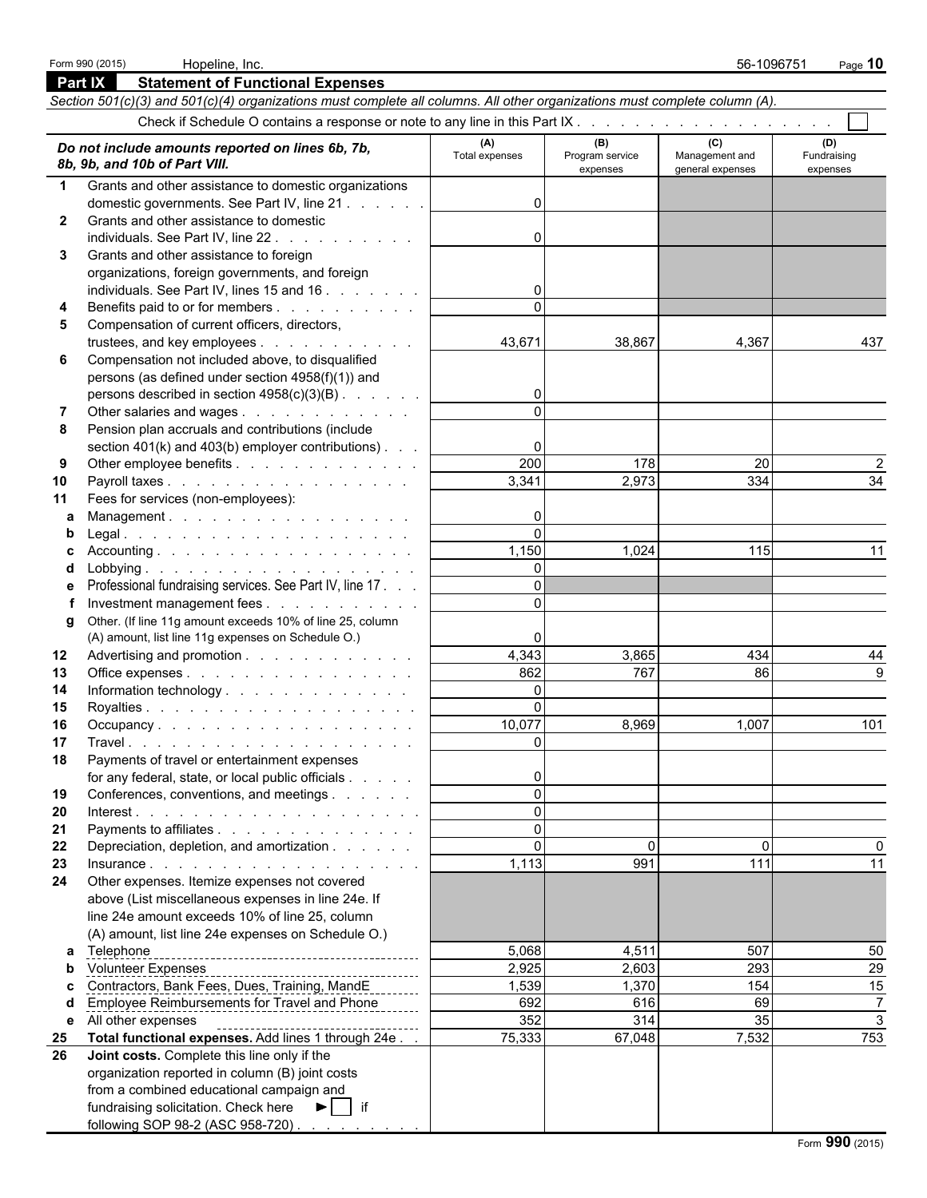|              | <b>Part IX</b><br><b>Statement of Functional Expenses</b>                                                                  |                    |                             |                                    |                         |
|--------------|----------------------------------------------------------------------------------------------------------------------------|--------------------|-----------------------------|------------------------------------|-------------------------|
|              | Section 501(c)(3) and 501(c)(4) organizations must complete all columns. All other organizations must complete column (A). |                    |                             |                                    |                         |
|              |                                                                                                                            |                    |                             |                                    |                         |
|              | Do not include amounts reported on lines 6b, 7b,                                                                           | (A)                | (B)                         | (C)                                | (D)                     |
|              | 8b, 9b, and 10b of Part VIII.                                                                                              | Total expenses     | Program service<br>expenses | Management and<br>general expenses | Fundraising<br>expenses |
| $\mathbf 1$  | Grants and other assistance to domestic organizations                                                                      |                    |                             |                                    |                         |
|              | domestic governments. See Part IV, line 21                                                                                 | $\Omega$           |                             |                                    |                         |
| $\mathbf{2}$ | Grants and other assistance to domestic                                                                                    |                    |                             |                                    |                         |
|              | individuals. See Part IV, line 22.                                                                                         | 0                  |                             |                                    |                         |
| 3            | Grants and other assistance to foreign                                                                                     |                    |                             |                                    |                         |
|              | organizations, foreign governments, and foreign                                                                            |                    |                             |                                    |                         |
|              | individuals. See Part IV, lines 15 and 16                                                                                  | 0                  |                             |                                    |                         |
| 4            | Benefits paid to or for members                                                                                            | $\Omega$           |                             |                                    |                         |
| 5            | Compensation of current officers, directors,                                                                               |                    |                             |                                    |                         |
|              | trustees, and key employees                                                                                                | 43,671             | 38,867                      | 4,367                              | 437                     |
| 6            | Compensation not included above, to disqualified                                                                           |                    |                             |                                    |                         |
|              | persons (as defined under section 4958(f)(1)) and                                                                          |                    |                             |                                    |                         |
|              | persons described in section 4958(c)(3)(B)                                                                                 | $\overline{0}$     |                             |                                    |                         |
| 7            | Other salaries and wages                                                                                                   | $\Omega$           |                             |                                    |                         |
| 8            | Pension plan accruals and contributions (include                                                                           |                    |                             |                                    |                         |
|              | section 401(k) and 403(b) employer contributions).                                                                         | 0                  |                             |                                    |                         |
| 9            | Other employee benefits                                                                                                    | 200                | 178                         | 20                                 | 2                       |
| 10           | Payroll taxes                                                                                                              | 3,341              | 2,973                       | 334                                | 34                      |
| 11           | Fees for services (non-employees):                                                                                         |                    |                             |                                    |                         |
| a            | Management.                                                                                                                | $\mathbf{0}$       |                             |                                    |                         |
| b            |                                                                                                                            | $\Omega$           |                             |                                    |                         |
|              |                                                                                                                            | 1,150              | 1,024                       | 115                                | 11                      |
|              |                                                                                                                            | $\Omega$           |                             |                                    |                         |
|              | Professional fundraising services. See Part IV, line 17.                                                                   | $\Omega$           |                             |                                    |                         |
|              | Investment management fees                                                                                                 | $\Omega$           |                             |                                    |                         |
| g            | Other. (If line 11g amount exceeds 10% of line 25, column                                                                  |                    |                             |                                    |                         |
|              | (A) amount, list line 11g expenses on Schedule O.)                                                                         |                    |                             |                                    |                         |
| 12           | Advertising and promotion                                                                                                  | 4,343              | 3,865                       | 434                                | 44                      |
| 13           | Office expenses                                                                                                            | 862                | 767                         | 86                                 | 9                       |
| 14           | Information technology                                                                                                     | $\overline{0}$     |                             |                                    |                         |
| 15           |                                                                                                                            | $\Omega$<br>10,077 |                             | 1,007                              | 101                     |
| 16<br>17     | Occupancy.                                                                                                                 | $\Omega$           | 8,969                       |                                    |                         |
| 18           | Payments of travel or entertainment expenses                                                                               |                    |                             |                                    |                         |
|              | for any federal, state, or local public officials                                                                          | 0                  |                             |                                    |                         |
| 19           | Conferences, conventions, and meetings                                                                                     | $\Omega$           |                             |                                    |                         |
| 20           |                                                                                                                            | $\Omega$           |                             |                                    |                         |
| 21           | Payments to affiliates                                                                                                     | $\Omega$           |                             |                                    |                         |
| 22           | Depreciation, depletion, and amortization                                                                                  | $\mathbf{0}$       | $\mathbf{0}$                | $\Omega$                           |                         |
| 23           | Insurance.                                                                                                                 | 1,113              | 991                         | 111                                | 11                      |
| 24           | Other expenses. Itemize expenses not covered                                                                               |                    |                             |                                    |                         |
|              | above (List miscellaneous expenses in line 24e. If                                                                         |                    |                             |                                    |                         |
|              | line 24e amount exceeds 10% of line 25, column                                                                             |                    |                             |                                    |                         |
|              | (A) amount, list line 24e expenses on Schedule O.)                                                                         |                    |                             |                                    |                         |
| a            | Telephone                                                                                                                  | 5,068              | 4,511                       | 507                                | 50                      |
| b            |                                                                                                                            | 2,925              | 2,603                       | 293                                | 29                      |
|              | Contractors, Bank Fees, Dues, Training, MandE                                                                              | 1,539              | 1,370                       | 154                                | 15                      |
|              | <b>Employee Reimbursements for Travel and Phone</b>                                                                        | 692                | 616                         | 69                                 | $\overline{7}$          |
| е            | All other expenses<br>-------------------------------------                                                                | 352                | 314                         | 35                                 | $\sqrt{3}$              |
| 25           | Total functional expenses. Add lines 1 through 24e                                                                         | 75,333             | 67,048                      | 7,532                              | 753                     |
| 26           | Joint costs. Complete this line only if the                                                                                |                    |                             |                                    |                         |
|              | organization reported in column (B) joint costs                                                                            |                    |                             |                                    |                         |
|              | from a combined educational campaign and                                                                                   |                    |                             |                                    |                         |
|              | fundraising solicitation. Check here ▶   if                                                                                |                    |                             |                                    |                         |
|              | following SOP 98-2 (ASC 958-720)                                                                                           |                    |                             |                                    |                         |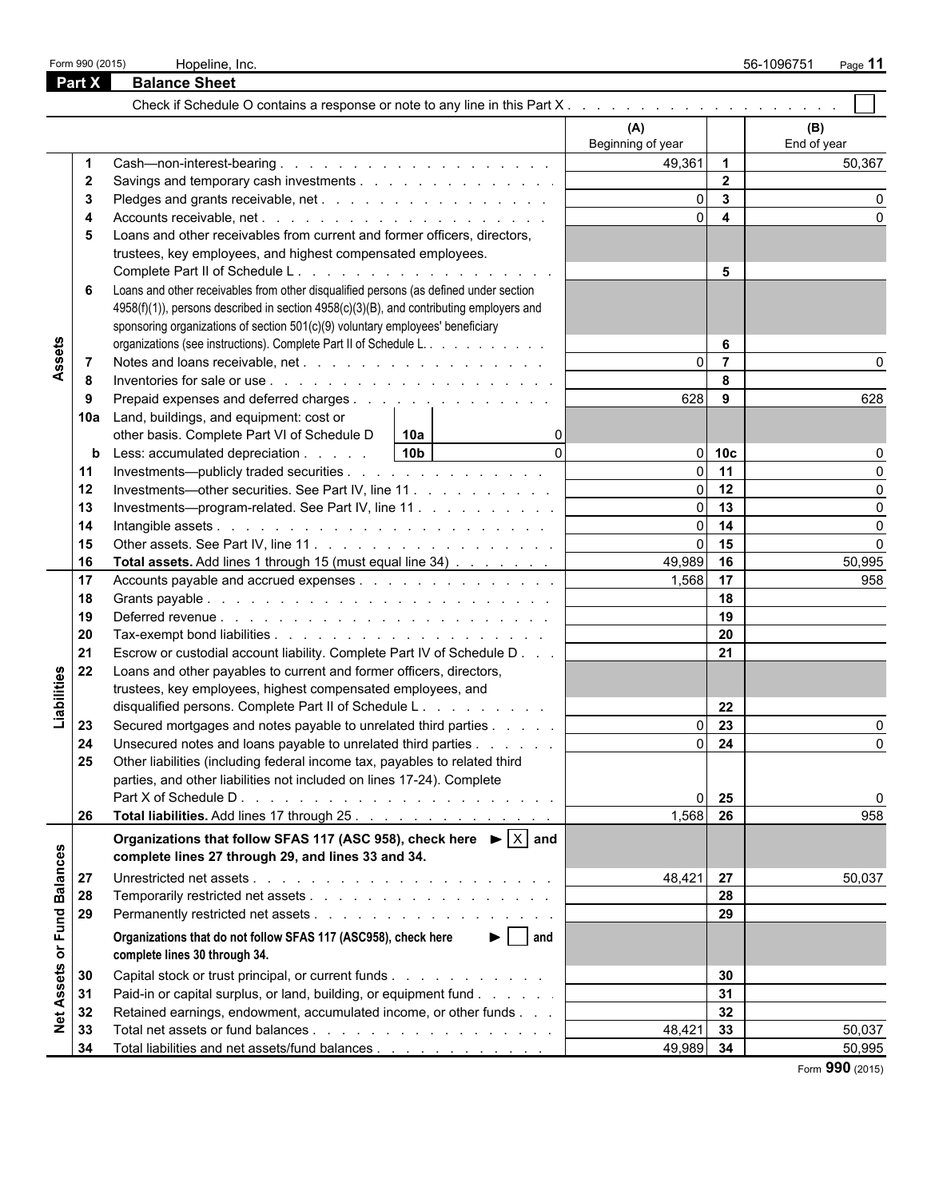|                                                                          |                                                                                                                                                                                                                      | Hopeline, Inc.                                                                                                                                    |                          |                         | 56-1096751<br>Page 11 |
|--------------------------------------------------------------------------|----------------------------------------------------------------------------------------------------------------------------------------------------------------------------------------------------------------------|---------------------------------------------------------------------------------------------------------------------------------------------------|--------------------------|-------------------------|-----------------------|
|                                                                          |                                                                                                                                                                                                                      | <b>Balance Sheet</b>                                                                                                                              |                          |                         |                       |
|                                                                          |                                                                                                                                                                                                                      |                                                                                                                                                   |                          |                         |                       |
|                                                                          |                                                                                                                                                                                                                      |                                                                                                                                                   | (A)<br>Beginning of year |                         | (B)<br>End of year    |
|                                                                          |                                                                                                                                                                                                                      | Cash-non-interest-bearing                                                                                                                         | 49,361                   | $\overline{1}$          | 50,367                |
|                                                                          |                                                                                                                                                                                                                      | Savings and temporary cash investments                                                                                                            |                          | $\overline{2}$          |                       |
|                                                                          |                                                                                                                                                                                                                      |                                                                                                                                                   | $\Omega$                 | $\overline{3}$          |                       |
|                                                                          |                                                                                                                                                                                                                      |                                                                                                                                                   |                          | $\overline{\mathbf{4}}$ |                       |
|                                                                          | 5                                                                                                                                                                                                                    | Loans and other receivables from current and former officers, directors,                                                                          |                          |                         |                       |
|                                                                          |                                                                                                                                                                                                                      | trustees, key employees, and highest compensated employees.                                                                                       |                          |                         |                       |
|                                                                          |                                                                                                                                                                                                                      |                                                                                                                                                   |                          | 5                       |                       |
|                                                                          |                                                                                                                                                                                                                      | Loans and other receivables from other disqualified persons (as defined under section                                                             |                          |                         |                       |
|                                                                          | Form 990 (2015)<br>Part X<br>$\mathbf{2}$<br>-3<br>6<br>-7<br>8<br>9<br>10a<br>b<br>11<br>12<br>13<br>14<br>15<br>16<br>17<br>18<br>19<br>20<br>21<br>22<br>23<br>24<br>25<br>26<br>27<br>28<br>29<br>30<br>31<br>32 | 4958(f)(1)), persons described in section 4958(c)(3)(B), and contributing employers and                                                           |                          |                         |                       |
|                                                                          |                                                                                                                                                                                                                      | sponsoring organizations of section 501(c)(9) voluntary employees' beneficiary                                                                    |                          |                         |                       |
|                                                                          |                                                                                                                                                                                                                      | organizations (see instructions). Complete Part II of Schedule L.                                                                                 |                          | 6                       |                       |
|                                                                          |                                                                                                                                                                                                                      |                                                                                                                                                   |                          | $\overline{7}$          |                       |
|                                                                          |                                                                                                                                                                                                                      |                                                                                                                                                   |                          | 8                       |                       |
|                                                                          |                                                                                                                                                                                                                      | Prepaid expenses and deferred charges                                                                                                             | 628                      | 9                       | 628                   |
|                                                                          |                                                                                                                                                                                                                      | Land, buildings, and equipment: cost or                                                                                                           |                          |                         |                       |
|                                                                          |                                                                                                                                                                                                                      | other basis. Complete Part VI of Schedule D<br>$\vert$ 10a                                                                                        |                          |                         |                       |
|                                                                          |                                                                                                                                                                                                                      | $\Omega$<br>10 <sub>b</sub><br>Less: accumulated depreciation                                                                                     |                          | 10 <sub>c</sub>         |                       |
|                                                                          |                                                                                                                                                                                                                      | Investments—publicly traded securities                                                                                                            |                          | 11                      |                       |
|                                                                          |                                                                                                                                                                                                                      | Investments—other securities. See Part IV, line 11                                                                                                | $\Omega$                 | 12                      |                       |
|                                                                          |                                                                                                                                                                                                                      | Investments---program-related. See Part IV, line 11                                                                                               | $\Omega$                 | 13                      | $\Omega$              |
|                                                                          |                                                                                                                                                                                                                      |                                                                                                                                                   |                          | 14                      | $\Omega$              |
|                                                                          |                                                                                                                                                                                                                      |                                                                                                                                                   |                          | 15                      | $\Omega$              |
|                                                                          |                                                                                                                                                                                                                      | Total assets. Add lines 1 through 15 (must equal line 34)                                                                                         | 49,989                   | 16                      | 50,995                |
|                                                                          |                                                                                                                                                                                                                      | Accounts payable and accrued expenses                                                                                                             | 1,568                    | 17                      | 958                   |
|                                                                          |                                                                                                                                                                                                                      |                                                                                                                                                   |                          | 18                      |                       |
|                                                                          |                                                                                                                                                                                                                      |                                                                                                                                                   |                          | 19                      |                       |
|                                                                          |                                                                                                                                                                                                                      |                                                                                                                                                   |                          | 20                      |                       |
|                                                                          |                                                                                                                                                                                                                      |                                                                                                                                                   |                          | 21                      |                       |
|                                                                          |                                                                                                                                                                                                                      | Escrow or custodial account liability. Complete Part IV of Schedule D                                                                             |                          |                         |                       |
|                                                                          |                                                                                                                                                                                                                      | Loans and other payables to current and former officers, directors,                                                                               |                          |                         |                       |
|                                                                          |                                                                                                                                                                                                                      | trustees, key employees, highest compensated employees, and                                                                                       |                          |                         |                       |
|                                                                          |                                                                                                                                                                                                                      | disqualified persons. Complete Part II of Schedule L.                                                                                             |                          | 22<br>$\overline{23}$   |                       |
|                                                                          |                                                                                                                                                                                                                      | Secured mortgages and notes payable to unrelated third parties                                                                                    | $\Omega$                 |                         |                       |
|                                                                          |                                                                                                                                                                                                                      | Unsecured notes and loans payable to unrelated third parties                                                                                      | $\Omega$                 | 24                      | 0                     |
|                                                                          |                                                                                                                                                                                                                      | Other liabilities (including federal income tax, payables to related third                                                                        |                          |                         |                       |
|                                                                          |                                                                                                                                                                                                                      | parties, and other liabilities not included on lines 17-24). Complete                                                                             |                          |                         |                       |
|                                                                          |                                                                                                                                                                                                                      |                                                                                                                                                   |                          | 25                      | 0                     |
|                                                                          |                                                                                                                                                                                                                      | Total liabilities. Add lines 17 through 25.                                                                                                       | 1,568                    | 26                      | 958                   |
|                                                                          |                                                                                                                                                                                                                      | Organizations that follow SFAS 117 (ASC 958), check here $\blacktriangleright$ $\mid$ X and<br>complete lines 27 through 29, and lines 33 and 34. |                          |                         |                       |
| Assets<br>Liabilities<br><b>Balances</b><br>or Fund<br><b>Net Assets</b> |                                                                                                                                                                                                                      |                                                                                                                                                   | 48,421                   | 27                      | 50,037                |
|                                                                          |                                                                                                                                                                                                                      |                                                                                                                                                   |                          | 28                      |                       |
|                                                                          |                                                                                                                                                                                                                      |                                                                                                                                                   |                          | 29                      |                       |
|                                                                          |                                                                                                                                                                                                                      | Organizations that do not follow SFAS 117 (ASC958), check here<br>$\blacktriangleright$   and                                                     |                          |                         |                       |
|                                                                          |                                                                                                                                                                                                                      | complete lines 30 through 34.                                                                                                                     |                          |                         |                       |
|                                                                          |                                                                                                                                                                                                                      | Capital stock or trust principal, or current funds                                                                                                |                          | 30                      |                       |
|                                                                          |                                                                                                                                                                                                                      | Paid-in or capital surplus, or land, building, or equipment fund                                                                                  |                          | 31                      |                       |
|                                                                          |                                                                                                                                                                                                                      | Retained earnings, endowment, accumulated income, or other funds                                                                                  |                          | 32                      |                       |
|                                                                          | 33                                                                                                                                                                                                                   |                                                                                                                                                   | 48,421                   | 33                      | 50,037                |
|                                                                          | 34                                                                                                                                                                                                                   | Total liabilities and net assets/fund balances                                                                                                    | 49,989                   | 34                      | 50,995                |

Form **990** (2015)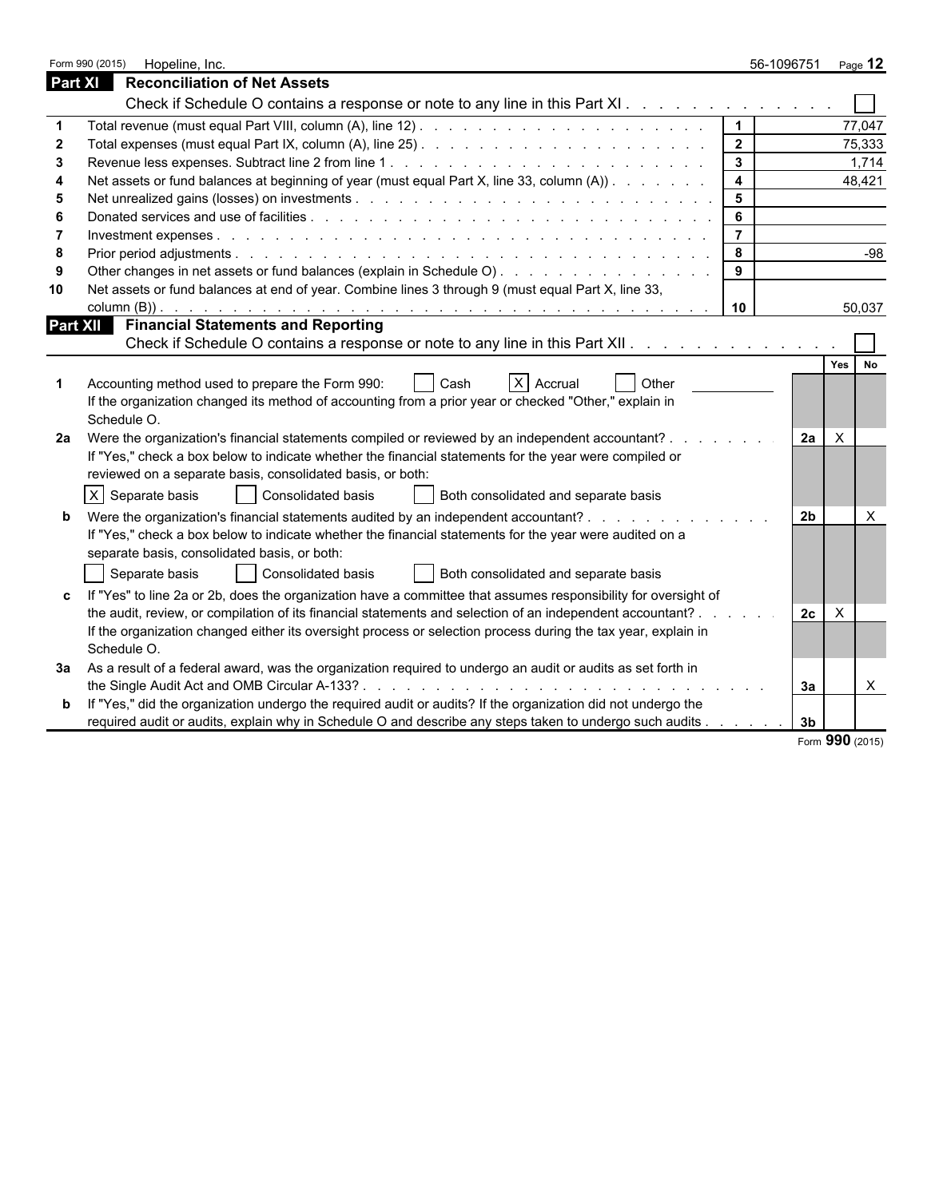| <b>Part XI</b><br><b>Reconciliation of Net Assets</b><br>Check if Schedule O contains a response or note to any line in this Part XI<br>$\vert$ 1<br>77,047<br>$\overline{\mathbf{2}}$<br>75,333<br>$\mathbf{3}$<br>1,714<br>$\overline{4}$<br>Net assets or fund balances at beginning of year (must equal Part X, line 33, column (A))<br>48,421<br>$5\phantom{1}$<br>6<br>$\overline{7}$<br>8<br>$-98$<br>Other changes in net assets or fund balances (explain in Schedule O).<br>9<br>Net assets or fund balances at end of year. Combine lines 3 through 9 (must equal Part X, line 33,<br>10<br>10<br>50,037<br><b>Financial Statements and Reporting</b><br><b>Part XII</b><br>Check if Schedule O contains a response or note to any line in this Part XII.<br>Yes  <br><b>No</b><br>$X$ Accrual<br>Other<br>Accounting method used to prepare the Form 990:<br>Cash<br>If the organization changed its method of accounting from a prior year or checked "Other," explain in<br>Schedule O.<br>Were the organization's financial statements compiled or reviewed by an independent accountant? .<br>$\times$<br>2а<br>2а<br>If "Yes," check a box below to indicate whether the financial statements for the year were compiled or<br>reviewed on a separate basis, consolidated basis, or both:<br>X Separate basis<br>Consolidated basis<br>Both consolidated and separate basis<br>Were the organization's financial statements audited by an independent accountant?<br>2 <sub>b</sub><br>X<br>b<br>If "Yes," check a box below to indicate whether the financial statements for the year were audited on a<br>separate basis, consolidated basis, or both:<br>Separate basis<br><b>Consolidated basis</b><br>Both consolidated and separate basis<br>If "Yes" to line 2a or 2b, does the organization have a committee that assumes responsibility for oversight of<br>c<br>the audit, review, or compilation of its financial statements and selection of an independent accountant?.<br>2c<br>$\times$<br>If the organization changed either its oversight process or selection process during the tax year, explain in<br>Schedule O.<br>As a result of a federal award, was the organization required to undergo an audit or audits as set forth in<br>За<br>$\mathsf{X}$<br>За<br>If "Yes," did the organization undergo the required audit or audits? If the organization did not undergo the<br>b<br>required audit or audits, explain why in Schedule O and describe any steps taken to undergo such audits<br>3b<br>Form 990 (2015) | Form 990 (2015)<br>Hopeline, Inc. | 56-1096751<br>Page $12$ |
|-------------------------------------------------------------------------------------------------------------------------------------------------------------------------------------------------------------------------------------------------------------------------------------------------------------------------------------------------------------------------------------------------------------------------------------------------------------------------------------------------------------------------------------------------------------------------------------------------------------------------------------------------------------------------------------------------------------------------------------------------------------------------------------------------------------------------------------------------------------------------------------------------------------------------------------------------------------------------------------------------------------------------------------------------------------------------------------------------------------------------------------------------------------------------------------------------------------------------------------------------------------------------------------------------------------------------------------------------------------------------------------------------------------------------------------------------------------------------------------------------------------------------------------------------------------------------------------------------------------------------------------------------------------------------------------------------------------------------------------------------------------------------------------------------------------------------------------------------------------------------------------------------------------------------------------------------------------------------------------------------------------------------------------------------------------------------------------------------------------------------------------------------------------------------------------------------------------------------------------------------------------------------------------------------------------------------------------------------------------------------------------------------------------------------------------------------------------------------------------------------------------------------------------------------------------|-----------------------------------|-------------------------|
|                                                                                                                                                                                                                                                                                                                                                                                                                                                                                                                                                                                                                                                                                                                                                                                                                                                                                                                                                                                                                                                                                                                                                                                                                                                                                                                                                                                                                                                                                                                                                                                                                                                                                                                                                                                                                                                                                                                                                                                                                                                                                                                                                                                                                                                                                                                                                                                                                                                                                                                                                             |                                   |                         |
|                                                                                                                                                                                                                                                                                                                                                                                                                                                                                                                                                                                                                                                                                                                                                                                                                                                                                                                                                                                                                                                                                                                                                                                                                                                                                                                                                                                                                                                                                                                                                                                                                                                                                                                                                                                                                                                                                                                                                                                                                                                                                                                                                                                                                                                                                                                                                                                                                                                                                                                                                             |                                   |                         |
|                                                                                                                                                                                                                                                                                                                                                                                                                                                                                                                                                                                                                                                                                                                                                                                                                                                                                                                                                                                                                                                                                                                                                                                                                                                                                                                                                                                                                                                                                                                                                                                                                                                                                                                                                                                                                                                                                                                                                                                                                                                                                                                                                                                                                                                                                                                                                                                                                                                                                                                                                             |                                   |                         |
|                                                                                                                                                                                                                                                                                                                                                                                                                                                                                                                                                                                                                                                                                                                                                                                                                                                                                                                                                                                                                                                                                                                                                                                                                                                                                                                                                                                                                                                                                                                                                                                                                                                                                                                                                                                                                                                                                                                                                                                                                                                                                                                                                                                                                                                                                                                                                                                                                                                                                                                                                             |                                   |                         |
|                                                                                                                                                                                                                                                                                                                                                                                                                                                                                                                                                                                                                                                                                                                                                                                                                                                                                                                                                                                                                                                                                                                                                                                                                                                                                                                                                                                                                                                                                                                                                                                                                                                                                                                                                                                                                                                                                                                                                                                                                                                                                                                                                                                                                                                                                                                                                                                                                                                                                                                                                             |                                   |                         |
|                                                                                                                                                                                                                                                                                                                                                                                                                                                                                                                                                                                                                                                                                                                                                                                                                                                                                                                                                                                                                                                                                                                                                                                                                                                                                                                                                                                                                                                                                                                                                                                                                                                                                                                                                                                                                                                                                                                                                                                                                                                                                                                                                                                                                                                                                                                                                                                                                                                                                                                                                             |                                   |                         |
|                                                                                                                                                                                                                                                                                                                                                                                                                                                                                                                                                                                                                                                                                                                                                                                                                                                                                                                                                                                                                                                                                                                                                                                                                                                                                                                                                                                                                                                                                                                                                                                                                                                                                                                                                                                                                                                                                                                                                                                                                                                                                                                                                                                                                                                                                                                                                                                                                                                                                                                                                             |                                   |                         |
|                                                                                                                                                                                                                                                                                                                                                                                                                                                                                                                                                                                                                                                                                                                                                                                                                                                                                                                                                                                                                                                                                                                                                                                                                                                                                                                                                                                                                                                                                                                                                                                                                                                                                                                                                                                                                                                                                                                                                                                                                                                                                                                                                                                                                                                                                                                                                                                                                                                                                                                                                             |                                   |                         |
|                                                                                                                                                                                                                                                                                                                                                                                                                                                                                                                                                                                                                                                                                                                                                                                                                                                                                                                                                                                                                                                                                                                                                                                                                                                                                                                                                                                                                                                                                                                                                                                                                                                                                                                                                                                                                                                                                                                                                                                                                                                                                                                                                                                                                                                                                                                                                                                                                                                                                                                                                             |                                   |                         |
|                                                                                                                                                                                                                                                                                                                                                                                                                                                                                                                                                                                                                                                                                                                                                                                                                                                                                                                                                                                                                                                                                                                                                                                                                                                                                                                                                                                                                                                                                                                                                                                                                                                                                                                                                                                                                                                                                                                                                                                                                                                                                                                                                                                                                                                                                                                                                                                                                                                                                                                                                             |                                   |                         |
|                                                                                                                                                                                                                                                                                                                                                                                                                                                                                                                                                                                                                                                                                                                                                                                                                                                                                                                                                                                                                                                                                                                                                                                                                                                                                                                                                                                                                                                                                                                                                                                                                                                                                                                                                                                                                                                                                                                                                                                                                                                                                                                                                                                                                                                                                                                                                                                                                                                                                                                                                             |                                   |                         |
|                                                                                                                                                                                                                                                                                                                                                                                                                                                                                                                                                                                                                                                                                                                                                                                                                                                                                                                                                                                                                                                                                                                                                                                                                                                                                                                                                                                                                                                                                                                                                                                                                                                                                                                                                                                                                                                                                                                                                                                                                                                                                                                                                                                                                                                                                                                                                                                                                                                                                                                                                             |                                   |                         |
|                                                                                                                                                                                                                                                                                                                                                                                                                                                                                                                                                                                                                                                                                                                                                                                                                                                                                                                                                                                                                                                                                                                                                                                                                                                                                                                                                                                                                                                                                                                                                                                                                                                                                                                                                                                                                                                                                                                                                                                                                                                                                                                                                                                                                                                                                                                                                                                                                                                                                                                                                             |                                   |                         |
|                                                                                                                                                                                                                                                                                                                                                                                                                                                                                                                                                                                                                                                                                                                                                                                                                                                                                                                                                                                                                                                                                                                                                                                                                                                                                                                                                                                                                                                                                                                                                                                                                                                                                                                                                                                                                                                                                                                                                                                                                                                                                                                                                                                                                                                                                                                                                                                                                                                                                                                                                             |                                   |                         |
|                                                                                                                                                                                                                                                                                                                                                                                                                                                                                                                                                                                                                                                                                                                                                                                                                                                                                                                                                                                                                                                                                                                                                                                                                                                                                                                                                                                                                                                                                                                                                                                                                                                                                                                                                                                                                                                                                                                                                                                                                                                                                                                                                                                                                                                                                                                                                                                                                                                                                                                                                             |                                   |                         |
|                                                                                                                                                                                                                                                                                                                                                                                                                                                                                                                                                                                                                                                                                                                                                                                                                                                                                                                                                                                                                                                                                                                                                                                                                                                                                                                                                                                                                                                                                                                                                                                                                                                                                                                                                                                                                                                                                                                                                                                                                                                                                                                                                                                                                                                                                                                                                                                                                                                                                                                                                             |                                   |                         |
|                                                                                                                                                                                                                                                                                                                                                                                                                                                                                                                                                                                                                                                                                                                                                                                                                                                                                                                                                                                                                                                                                                                                                                                                                                                                                                                                                                                                                                                                                                                                                                                                                                                                                                                                                                                                                                                                                                                                                                                                                                                                                                                                                                                                                                                                                                                                                                                                                                                                                                                                                             |                                   |                         |
|                                                                                                                                                                                                                                                                                                                                                                                                                                                                                                                                                                                                                                                                                                                                                                                                                                                                                                                                                                                                                                                                                                                                                                                                                                                                                                                                                                                                                                                                                                                                                                                                                                                                                                                                                                                                                                                                                                                                                                                                                                                                                                                                                                                                                                                                                                                                                                                                                                                                                                                                                             |                                   |                         |
|                                                                                                                                                                                                                                                                                                                                                                                                                                                                                                                                                                                                                                                                                                                                                                                                                                                                                                                                                                                                                                                                                                                                                                                                                                                                                                                                                                                                                                                                                                                                                                                                                                                                                                                                                                                                                                                                                                                                                                                                                                                                                                                                                                                                                                                                                                                                                                                                                                                                                                                                                             |                                   |                         |
|                                                                                                                                                                                                                                                                                                                                                                                                                                                                                                                                                                                                                                                                                                                                                                                                                                                                                                                                                                                                                                                                                                                                                                                                                                                                                                                                                                                                                                                                                                                                                                                                                                                                                                                                                                                                                                                                                                                                                                                                                                                                                                                                                                                                                                                                                                                                                                                                                                                                                                                                                             |                                   |                         |
|                                                                                                                                                                                                                                                                                                                                                                                                                                                                                                                                                                                                                                                                                                                                                                                                                                                                                                                                                                                                                                                                                                                                                                                                                                                                                                                                                                                                                                                                                                                                                                                                                                                                                                                                                                                                                                                                                                                                                                                                                                                                                                                                                                                                                                                                                                                                                                                                                                                                                                                                                             |                                   |                         |
|                                                                                                                                                                                                                                                                                                                                                                                                                                                                                                                                                                                                                                                                                                                                                                                                                                                                                                                                                                                                                                                                                                                                                                                                                                                                                                                                                                                                                                                                                                                                                                                                                                                                                                                                                                                                                                                                                                                                                                                                                                                                                                                                                                                                                                                                                                                                                                                                                                                                                                                                                             |                                   |                         |
|                                                                                                                                                                                                                                                                                                                                                                                                                                                                                                                                                                                                                                                                                                                                                                                                                                                                                                                                                                                                                                                                                                                                                                                                                                                                                                                                                                                                                                                                                                                                                                                                                                                                                                                                                                                                                                                                                                                                                                                                                                                                                                                                                                                                                                                                                                                                                                                                                                                                                                                                                             |                                   |                         |

|  |  | $\frac{1}{2}$ orm 990 (2015) |
|--|--|------------------------------|
|--|--|------------------------------|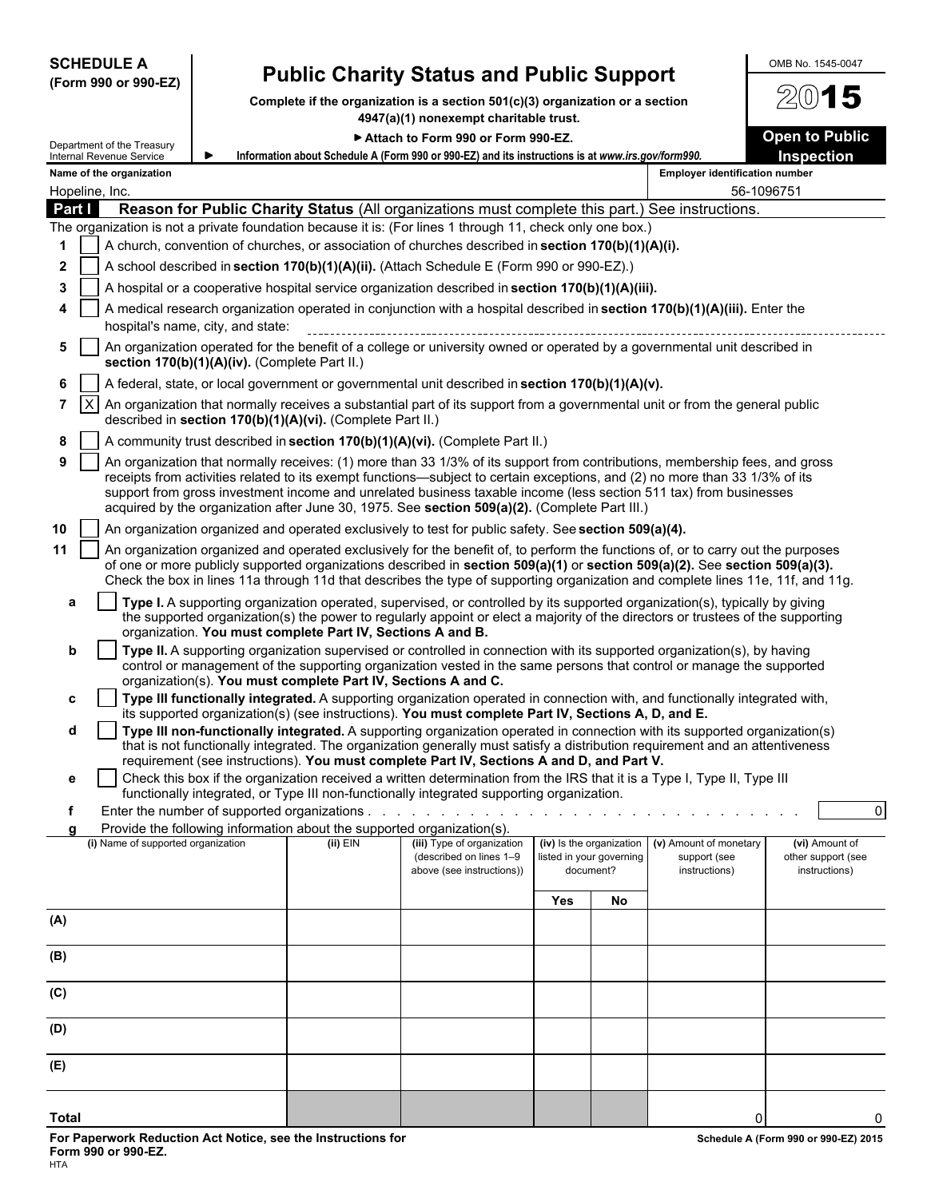| <b>SCHEDULE A</b>                                                                                         |                                                                                                                       | <b>Public Charity Status and Public Support</b>                                                                                                                                                                                                                                                                                                                                                                                                                                  |     |                                                                   |                                                         | OMB No. 1545-0047                                     |  |
|-----------------------------------------------------------------------------------------------------------|-----------------------------------------------------------------------------------------------------------------------|----------------------------------------------------------------------------------------------------------------------------------------------------------------------------------------------------------------------------------------------------------------------------------------------------------------------------------------------------------------------------------------------------------------------------------------------------------------------------------|-----|-------------------------------------------------------------------|---------------------------------------------------------|-------------------------------------------------------|--|
| (Form 990 or 990-EZ)                                                                                      |                                                                                                                       | Complete if the organization is a section $501(c)(3)$ organization or a section                                                                                                                                                                                                                                                                                                                                                                                                  |     |                                                                   |                                                         | 15                                                    |  |
|                                                                                                           |                                                                                                                       | 4947(a)(1) nonexempt charitable trust.                                                                                                                                                                                                                                                                                                                                                                                                                                           |     |                                                                   |                                                         |                                                       |  |
| Department of the Treasury                                                                                |                                                                                                                       | Attach to Form 990 or Form 990-EZ.                                                                                                                                                                                                                                                                                                                                                                                                                                               |     |                                                                   |                                                         | <b>Open to Public</b>                                 |  |
| Internal Revenue Service<br>Name of the organization                                                      |                                                                                                                       | Information about Schedule A (Form 990 or 990-EZ) and its instructions is at www.irs.gov/form990.                                                                                                                                                                                                                                                                                                                                                                                |     |                                                                   | <b>Employer identification number</b>                   | <b>Inspection</b>                                     |  |
| Hopeline, Inc.                                                                                            |                                                                                                                       |                                                                                                                                                                                                                                                                                                                                                                                                                                                                                  |     |                                                                   |                                                         | 56-1096751                                            |  |
| Part I                                                                                                    |                                                                                                                       | Reason for Public Charity Status (All organizations must complete this part.) See instructions.                                                                                                                                                                                                                                                                                                                                                                                  |     |                                                                   |                                                         |                                                       |  |
| The organization is not a private foundation because it is: (For lines 1 through 11, check only one box.) |                                                                                                                       |                                                                                                                                                                                                                                                                                                                                                                                                                                                                                  |     |                                                                   |                                                         |                                                       |  |
| 1                                                                                                         |                                                                                                                       | A church, convention of churches, or association of churches described in section 170(b)(1)(A)(i).                                                                                                                                                                                                                                                                                                                                                                               |     |                                                                   |                                                         |                                                       |  |
| 2<br>3                                                                                                    |                                                                                                                       | A school described in section 170(b)(1)(A)(ii). (Attach Schedule E (Form 990 or 990-EZ).)<br>A hospital or a cooperative hospital service organization described in section $170(b)(1)(A)(iii)$ .                                                                                                                                                                                                                                                                                |     |                                                                   |                                                         |                                                       |  |
| 4                                                                                                         |                                                                                                                       | A medical research organization operated in conjunction with a hospital described in section 170(b)(1)(A)(iii). Enter the                                                                                                                                                                                                                                                                                                                                                        |     |                                                                   |                                                         |                                                       |  |
| hospital's name, city, and state:                                                                         |                                                                                                                       |                                                                                                                                                                                                                                                                                                                                                                                                                                                                                  |     |                                                                   |                                                         |                                                       |  |
| 5<br>section 170(b)(1)(A)(iv). (Complete Part II.)                                                        |                                                                                                                       | An organization operated for the benefit of a college or university owned or operated by a governmental unit described in                                                                                                                                                                                                                                                                                                                                                        |     |                                                                   |                                                         |                                                       |  |
| 6                                                                                                         |                                                                                                                       | A federal, state, or local government or governmental unit described in section 170(b)(1)(A)(v).                                                                                                                                                                                                                                                                                                                                                                                 |     |                                                                   |                                                         |                                                       |  |
| X<br>7                                                                                                    | described in section 170(b)(1)(A)(vi). (Complete Part II.)                                                            | An organization that normally receives a substantial part of its support from a governmental unit or from the general public                                                                                                                                                                                                                                                                                                                                                     |     |                                                                   |                                                         |                                                       |  |
| 8                                                                                                         |                                                                                                                       | A community trust described in section 170(b)(1)(A)(vi). (Complete Part II.)                                                                                                                                                                                                                                                                                                                                                                                                     |     |                                                                   |                                                         |                                                       |  |
| 9                                                                                                         |                                                                                                                       | An organization that normally receives: (1) more than 33 1/3% of its support from contributions, membership fees, and gross<br>receipts from activities related to its exempt functions—subject to certain exceptions, and (2) no more than 33 1/3% of its<br>support from gross investment income and unrelated business taxable income (less section 511 tax) from businesses<br>acquired by the organization after June 30, 1975. See section 509(a)(2). (Complete Part III.) |     |                                                                   |                                                         |                                                       |  |
| 10                                                                                                        |                                                                                                                       | An organization organized and operated exclusively to test for public safety. See section 509(a)(4).                                                                                                                                                                                                                                                                                                                                                                             |     |                                                                   |                                                         |                                                       |  |
| 11                                                                                                        |                                                                                                                       | An organization organized and operated exclusively for the benefit of, to perform the functions of, or to carry out the purposes<br>of one or more publicly supported organizations described in section 509(a)(1) or section 509(a)(2). See section 509(a)(3).<br>Check the box in lines 11a through 11d that describes the type of supporting organization and complete lines 11e, 11f, and 11g.                                                                               |     |                                                                   |                                                         |                                                       |  |
| a                                                                                                         |                                                                                                                       | Type I. A supporting organization operated, supervised, or controlled by its supported organization(s), typically by giving<br>the supported organization(s) the power to regularly appoint or elect a majority of the directors or trustees of the supporting                                                                                                                                                                                                                   |     |                                                                   |                                                         |                                                       |  |
| b                                                                                                         | organization. You must complete Part IV, Sections A and B.                                                            | Type II. A supporting organization supervised or controlled in connection with its supported organization(s), by having                                                                                                                                                                                                                                                                                                                                                          |     |                                                                   |                                                         |                                                       |  |
|                                                                                                           | organization(s). You must complete Part IV, Sections A and C.                                                         | control or management of the supporting organization vested in the same persons that control or manage the supported                                                                                                                                                                                                                                                                                                                                                             |     |                                                                   |                                                         |                                                       |  |
| c                                                                                                         |                                                                                                                       | Type III functionally integrated. A supporting organization operated in connection with, and functionally integrated with,                                                                                                                                                                                                                                                                                                                                                       |     |                                                                   |                                                         |                                                       |  |
| d                                                                                                         |                                                                                                                       | its supported organization(s) (see instructions). You must complete Part IV, Sections A, D, and E.<br>Type III non-functionally integrated. A supporting organization operated in connection with its supported organization(s)                                                                                                                                                                                                                                                  |     |                                                                   |                                                         |                                                       |  |
|                                                                                                           |                                                                                                                       | that is not functionally integrated. The organization generally must satisfy a distribution requirement and an attentiveness                                                                                                                                                                                                                                                                                                                                                     |     |                                                                   |                                                         |                                                       |  |
| е                                                                                                         |                                                                                                                       | requirement (see instructions). You must complete Part IV, Sections A and D, and Part V.<br>Check this box if the organization received a written determination from the IRS that it is a Type I, Type II, Type III                                                                                                                                                                                                                                                              |     |                                                                   |                                                         |                                                       |  |
|                                                                                                           |                                                                                                                       | functionally integrated, or Type III non-functionally integrated supporting organization.                                                                                                                                                                                                                                                                                                                                                                                        |     |                                                                   |                                                         |                                                       |  |
| f<br>a                                                                                                    | Enter the number of supported organizations<br>Provide the following information about the supported organization(s). |                                                                                                                                                                                                                                                                                                                                                                                                                                                                                  |     |                                                                   |                                                         | $\overline{0}$                                        |  |
| (i) Name of supported organization                                                                        | $(ii)$ EIN                                                                                                            | (iii) Type of organization<br>(described on lines 1-9<br>above (see instructions))                                                                                                                                                                                                                                                                                                                                                                                               |     | (iv) Is the organization<br>listed in your governing<br>document? | (v) Amount of monetary<br>support (see<br>instructions) | (vi) Amount of<br>other support (see<br>instructions) |  |
|                                                                                                           |                                                                                                                       |                                                                                                                                                                                                                                                                                                                                                                                                                                                                                  | Yes | No                                                                |                                                         |                                                       |  |
| (A)                                                                                                       |                                                                                                                       |                                                                                                                                                                                                                                                                                                                                                                                                                                                                                  |     |                                                                   |                                                         |                                                       |  |
| (B)                                                                                                       |                                                                                                                       |                                                                                                                                                                                                                                                                                                                                                                                                                                                                                  |     |                                                                   |                                                         |                                                       |  |
| (C)                                                                                                       |                                                                                                                       |                                                                                                                                                                                                                                                                                                                                                                                                                                                                                  |     |                                                                   |                                                         |                                                       |  |
| (D)                                                                                                       |                                                                                                                       |                                                                                                                                                                                                                                                                                                                                                                                                                                                                                  |     |                                                                   |                                                         |                                                       |  |
| (E)                                                                                                       |                                                                                                                       |                                                                                                                                                                                                                                                                                                                                                                                                                                                                                  |     |                                                                   |                                                         |                                                       |  |
| <b>Total</b>                                                                                              |                                                                                                                       |                                                                                                                                                                                                                                                                                                                                                                                                                                                                                  |     |                                                                   |                                                         |                                                       |  |
|                                                                                                           |                                                                                                                       |                                                                                                                                                                                                                                                                                                                                                                                                                                                                                  |     |                                                                   |                                                         | 0                                                     |  |

**For Paperwork Reduction Act Notice, see the Instructions for Schedule A (Form 990 or 990-EZ) 2015 Form 990 or 990-EZ)** 2015 **Form 990 or 990-EZ.** HTA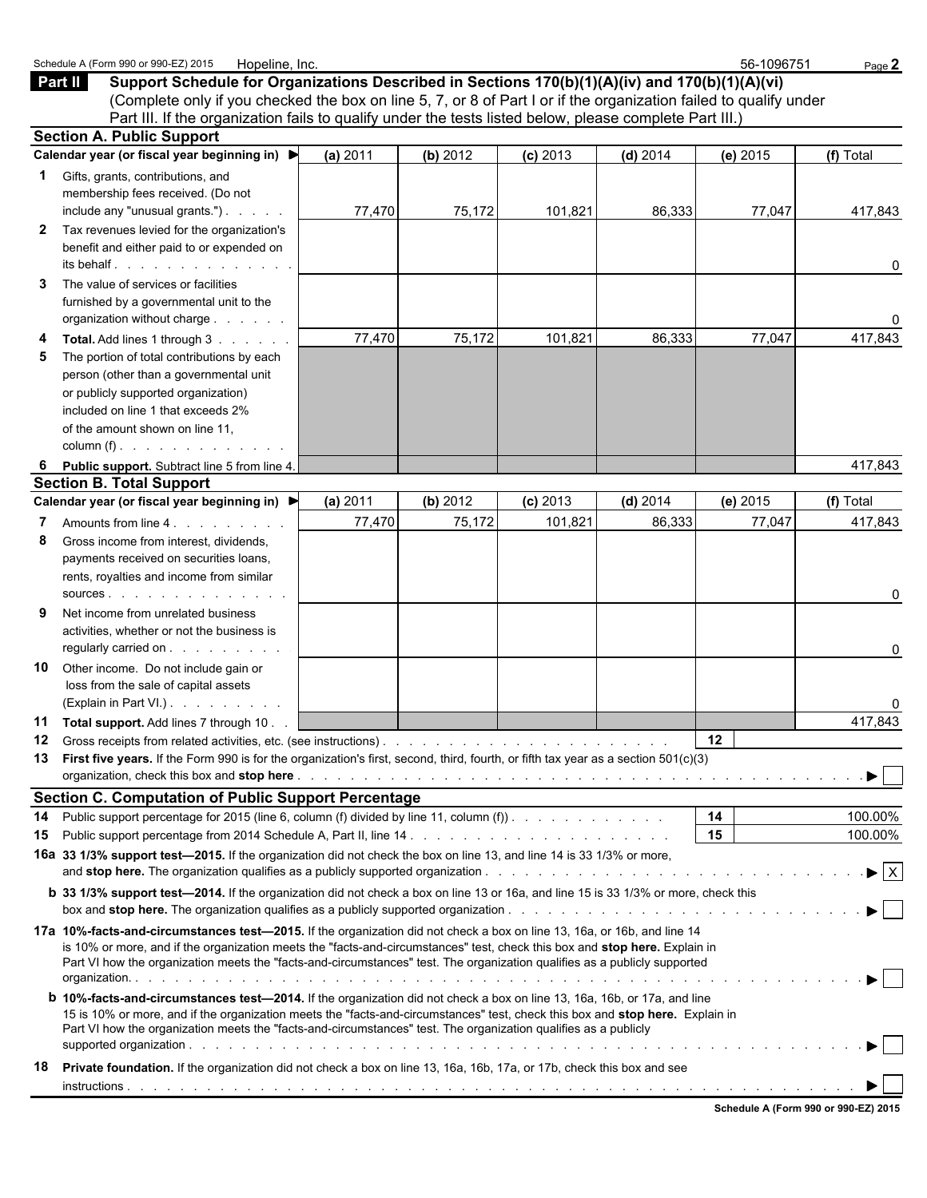|                   | Schedule A (Form 990 or 990-EZ) 2015<br>Hopeline, Inc.                                                                                                                                                                                                                                                                                                                                                                                                                                                               |          |          |            |            | 56-1096751 | Page 2                         |
|-------------------|----------------------------------------------------------------------------------------------------------------------------------------------------------------------------------------------------------------------------------------------------------------------------------------------------------------------------------------------------------------------------------------------------------------------------------------------------------------------------------------------------------------------|----------|----------|------------|------------|------------|--------------------------------|
|                   | Part II<br>Support Schedule for Organizations Described in Sections 170(b)(1)(A)(iv) and 170(b)(1)(A)(vi)<br>(Complete only if you checked the box on line 5, 7, or 8 of Part I or if the organization failed to qualify under<br>Part III. If the organization fails to qualify under the tests listed below, please complete Part III.)                                                                                                                                                                            |          |          |            |            |            |                                |
|                   | <b>Section A. Public Support</b>                                                                                                                                                                                                                                                                                                                                                                                                                                                                                     |          |          |            |            |            |                                |
|                   | Calendar year (or fiscal year beginning in) ▶                                                                                                                                                                                                                                                                                                                                                                                                                                                                        | (a) 2011 | (b) 2012 | $(c)$ 2013 | (d) $2014$ | $(e)$ 2015 | (f) Total                      |
| 1<br>$\mathbf{2}$ | Gifts, grants, contributions, and<br>membership fees received. (Do not<br>include any "unusual grants.")<br>Tax revenues levied for the organization's<br>benefit and either paid to or expended on                                                                                                                                                                                                                                                                                                                  | 77,470   | 75,172   | 101,821    | 86,333     | 77,047     | 417,843                        |
| 3                 | its behalf.<br>The value of services or facilities<br>furnished by a governmental unit to the<br>organization without charge                                                                                                                                                                                                                                                                                                                                                                                         |          |          |            |            |            | 0<br>0                         |
| 4<br>5            | Total. Add lines 1 through 3<br>The portion of total contributions by each<br>person (other than a governmental unit<br>or publicly supported organization)<br>included on line 1 that exceeds 2%<br>of the amount shown on line 11,<br>column (f) $\ldots$ $\ldots$ $\ldots$ $\ldots$ $\ldots$                                                                                                                                                                                                                      | 77,470   | 75,172   | 101,821    | 86,333     | 77,047     | 417,843                        |
| 6                 | Public support. Subtract line 5 from line 4.                                                                                                                                                                                                                                                                                                                                                                                                                                                                         |          |          |            |            |            | 417,843                        |
|                   | <b>Section B. Total Support</b>                                                                                                                                                                                                                                                                                                                                                                                                                                                                                      |          |          |            |            |            |                                |
|                   | Calendar year (or fiscal year beginning in) ▶                                                                                                                                                                                                                                                                                                                                                                                                                                                                        | (a) 2011 | (b) 2012 | $(c)$ 2013 | $(d)$ 2014 | (e) 2015   | (f) Total                      |
| 7<br>8            | Amounts from line 4.<br>Gross income from interest, dividends,<br>payments received on securities loans,<br>rents, royalties and income from similar                                                                                                                                                                                                                                                                                                                                                                 | 77,470   | 75,172   | 101,821    | 86,333     | 77,047     | 417,843<br>0                   |
| 9<br>10           | Net income from unrelated business<br>activities, whether or not the business is<br>regularly carried on<br>Other income. Do not include gain or<br>loss from the sale of capital assets                                                                                                                                                                                                                                                                                                                             |          |          |            |            |            | 0                              |
|                   | (Explain in Part VI.)                                                                                                                                                                                                                                                                                                                                                                                                                                                                                                |          |          |            |            |            | 0                              |
|                   | 11 Total support. Add lines 7 through 10.                                                                                                                                                                                                                                                                                                                                                                                                                                                                            |          |          |            |            |            | 417,843                        |
| 12                | Gross receipts from related activities, etc. (see instructions).<br>13 First five years. If the Form 990 is for the organization's first, second, third, fourth, or fifth tax year as a section 501(c)(3)                                                                                                                                                                                                                                                                                                            |          |          |            |            | 12         |                                |
|                   | <b>Section C. Computation of Public Support Percentage</b>                                                                                                                                                                                                                                                                                                                                                                                                                                                           |          |          |            |            |            |                                |
| 14                | Public support percentage for 2015 (line 6, column (f) divided by line 11, column (f)).                                                                                                                                                                                                                                                                                                                                                                                                                              |          |          |            |            | 14         | 100.00%                        |
| 15                |                                                                                                                                                                                                                                                                                                                                                                                                                                                                                                                      |          |          |            |            | 15         | 100.00%                        |
|                   | 16a 33 1/3% support test-2015. If the organization did not check the box on line 13, and line 14 is 33 1/3% or more,                                                                                                                                                                                                                                                                                                                                                                                                 |          |          |            |            |            | $\blacktriangleright$ $\mid$ X |
|                   | <b>b</b> 33 1/3% support test-2014. If the organization did not check a box on line 13 or 16a, and line 15 is 33 1/3% or more, check this                                                                                                                                                                                                                                                                                                                                                                            |          |          |            |            |            |                                |
|                   | 17a 10%-facts-and-circumstances test-2015. If the organization did not check a box on line 13, 16a, or 16b, and line 14<br>is 10% or more, and if the organization meets the "facts-and-circumstances" test, check this box and stop here. Explain in<br>Part VI how the organization meets the "facts-and-circumstances" test. The organization qualifies as a publicly supported<br><b>b</b> 10%-facts-and-circumstances test-2014. If the organization did not check a box on line 13, 16a, 16b, or 17a, and line |          |          |            |            |            |                                |
|                   | 15 is 10% or more, and if the organization meets the "facts-and-circumstances" test, check this box and stop here. Explain in<br>Part VI how the organization meets the "facts-and-circumstances" test. The organization qualifies as a publicly                                                                                                                                                                                                                                                                     |          |          |            |            |            |                                |
| 18                | <b>Private foundation.</b> If the organization did not check a box on line 13, 16a, 16b, 17a, or 17b, check this box and see                                                                                                                                                                                                                                                                                                                                                                                         |          |          |            |            |            |                                |
|                   |                                                                                                                                                                                                                                                                                                                                                                                                                                                                                                                      |          |          |            |            |            |                                |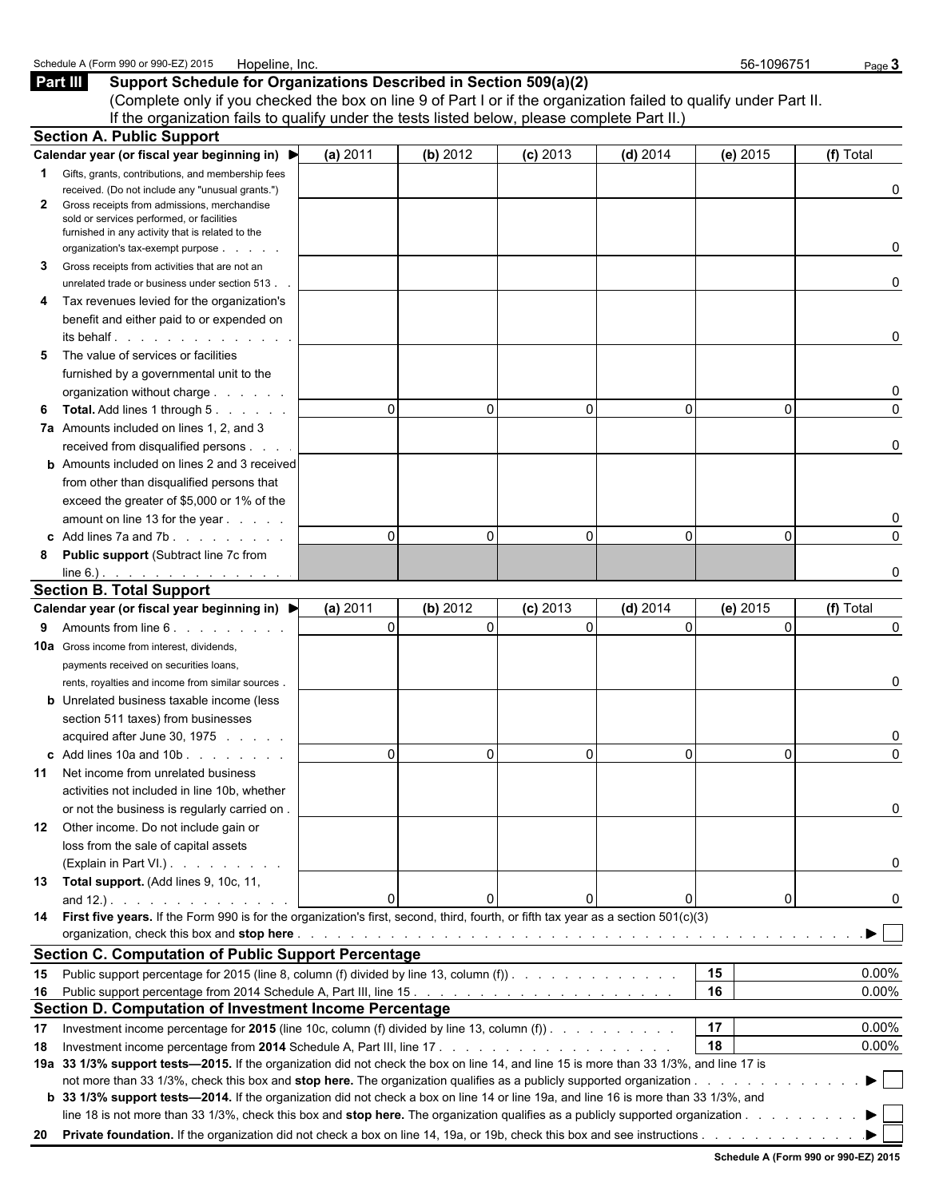|    | (Complete only if you checked the box on line 9 of Part I or if the organization failed to qualify under Part II.                                                                                                             |          |          |            |              |          |               |
|----|-------------------------------------------------------------------------------------------------------------------------------------------------------------------------------------------------------------------------------|----------|----------|------------|--------------|----------|---------------|
|    | If the organization fails to qualify under the tests listed below, please complete Part II.)                                                                                                                                  |          |          |            |              |          |               |
|    | <b>Section A. Public Support</b>                                                                                                                                                                                              |          |          |            |              |          |               |
|    | Calendar year (or fiscal year beginning in) ▶                                                                                                                                                                                 | (a) 2011 | (b) 2012 | $(c)$ 2013 | $(d)$ 2014   | (e) 2015 | (f) Total     |
| 1  | Gifts, grants, contributions, and membership fees                                                                                                                                                                             |          |          |            |              |          |               |
| 2  | received. (Do not include any "unusual grants.")<br>Gross receipts from admissions, merchandise                                                                                                                               |          |          |            |              |          | 0             |
|    | sold or services performed, or facilities                                                                                                                                                                                     |          |          |            |              |          |               |
|    | furnished in any activity that is related to the                                                                                                                                                                              |          |          |            |              |          |               |
|    | organization's tax-exempt purpose                                                                                                                                                                                             |          |          |            |              |          | 0             |
| 3  | Gross receipts from activities that are not an                                                                                                                                                                                |          |          |            |              |          |               |
|    | unrelated trade or business under section 513.                                                                                                                                                                                |          |          |            |              |          | 0             |
| 4  | Tax revenues levied for the organization's                                                                                                                                                                                    |          |          |            |              |          |               |
|    | benefit and either paid to or expended on                                                                                                                                                                                     |          |          |            |              |          |               |
|    | its behalf in the set of the set of the set of the set of the set of the set of the set of the set of the set o                                                                                                               |          |          |            |              |          | 0             |
| 5  | The value of services or facilities                                                                                                                                                                                           |          |          |            |              |          |               |
|    | furnished by a governmental unit to the                                                                                                                                                                                       |          |          |            |              |          |               |
|    | organization without charge                                                                                                                                                                                                   | $\Omega$ | $\Omega$ |            | $\Omega$     |          | 0<br>$\Omega$ |
| 6  | <b>Total.</b> Add lines 1 through 5.                                                                                                                                                                                          |          |          |            |              | $\Omega$ |               |
|    | 7a Amounts included on lines 1, 2, and 3                                                                                                                                                                                      |          |          |            |              |          | 0             |
|    | received from disqualified persons<br><b>b</b> Amounts included on lines 2 and 3 received                                                                                                                                     |          |          |            |              |          |               |
|    | from other than disqualified persons that                                                                                                                                                                                     |          |          |            |              |          |               |
|    | exceed the greater of \$5,000 or 1% of the                                                                                                                                                                                    |          |          |            |              |          |               |
|    | amount on line 13 for the year                                                                                                                                                                                                |          |          |            |              |          |               |
|    | c Add lines 7a and 7b. $\ldots$ $\ldots$ $\ldots$                                                                                                                                                                             | $\Omega$ | $\Omega$ | $\Omega$   | $\mathbf{0}$ | $\Omega$ | $\Omega$      |
| 8  | <b>Public support (Subtract line 7c from</b>                                                                                                                                                                                  |          |          |            |              |          |               |
|    | $line 6.)$ .                                                                                                                                                                                                                  |          |          |            |              |          |               |
|    | <b>Section B. Total Support</b>                                                                                                                                                                                               |          |          |            |              |          |               |
|    | Calendar year (or fiscal year beginning in) ▶                                                                                                                                                                                 | (a) 2011 | (b) 2012 | $(c)$ 2013 | $(d)$ 2014   | (e) 2015 | (f) Total     |
| 9  | Amounts from line 6.                                                                                                                                                                                                          | $\Omega$ | $\Omega$ | $\Omega$   | $\Omega$     | $\Omega$ | 0             |
|    | <b>10a</b> Gross income from interest, dividends,                                                                                                                                                                             |          |          |            |              |          |               |
|    | payments received on securities loans,                                                                                                                                                                                        |          |          |            |              |          |               |
|    | rents, royalties and income from similar sources.                                                                                                                                                                             |          |          |            |              |          | 0             |
|    | <b>b</b> Unrelated business taxable income (less                                                                                                                                                                              |          |          |            |              |          |               |
|    | section 511 taxes) from businesses                                                                                                                                                                                            |          |          |            |              |          |               |
|    | acquired after June 30, 1975                                                                                                                                                                                                  |          |          |            |              |          | 0             |
|    | c Add lines $10a$ and $10b$ .                                                                                                                                                                                                 | $\Omega$ | $\Omega$ |            | $\mathbf{0}$ | 0        | $\Omega$      |
|    | 11 Net income from unrelated business                                                                                                                                                                                         |          |          |            |              |          |               |
|    | activities not included in line 10b, whether                                                                                                                                                                                  |          |          |            |              |          |               |
|    | or not the business is regularly carried on.                                                                                                                                                                                  |          |          |            |              |          | 0             |
|    | 12 Other income. Do not include gain or                                                                                                                                                                                       |          |          |            |              |          |               |
|    | loss from the sale of capital assets                                                                                                                                                                                          |          |          |            |              |          |               |
|    | (Explain in Part VI.).                                                                                                                                                                                                        |          |          |            |              |          | 0             |
|    | 13 Total support. (Add lines 9, 10c, 11,                                                                                                                                                                                      |          |          |            |              |          |               |
|    | and 12.). $\ldots$ $\ldots$ $\ldots$ $\ldots$                                                                                                                                                                                 | $\Omega$ | ΩI       |            | 0            | 0        | 0             |
|    | 14 First five years. If the Form 990 is for the organization's first, second, third, fourth, or fifth tax year as a section 501(c)(3)                                                                                         |          |          |            |              |          |               |
|    | organization, check this box and stop here enterpresent and the content of the content of the content of the content of the content of the content of the content of the content of the content of the content of the content |          |          |            |              |          |               |
|    | <b>Section C. Computation of Public Support Percentage</b>                                                                                                                                                                    |          |          |            |              |          |               |
|    | 15 Public support percentage for 2015 (line 8, column (f) divided by line 13, column (f)).                                                                                                                                    |          |          |            |              | 15       | 0.00%         |
|    |                                                                                                                                                                                                                               |          |          |            |              | 16       | 0.00%         |
|    | Section D. Computation of Investment Income Percentage                                                                                                                                                                        |          |          |            |              |          |               |
| 17 | Investment income percentage for 2015 (line 10c, column (f) divided by line 13, column (f)). $\ldots$                                                                                                                         |          |          |            |              | 17       | 0.00%         |
| 18 | 19a 33 1/3% support tests—2015. If the organization did not check the box on line 14, and line 15 is more than 33 1/3%, and line 17 is                                                                                        |          |          |            |              | 18       | 0.00%         |
|    |                                                                                                                                                                                                                               |          |          |            |              |          |               |
|    | b 33 1/3% support tests-2014. If the organization did not check a box on line 14 or line 19a, and line 16 is more than 33 1/3%, and                                                                                           |          |          |            |              |          |               |
|    | line 18 is not more than 33 1/3%, check this box and stop here. The organization qualifies as a publicly supported organization                                                                                               |          |          |            |              |          |               |
|    |                                                                                                                                                                                                                               |          |          |            |              |          |               |
|    |                                                                                                                                                                                                                               |          |          |            |              |          |               |

**Part III** Support Schedule for Organizations Described in Section 509(a)(2)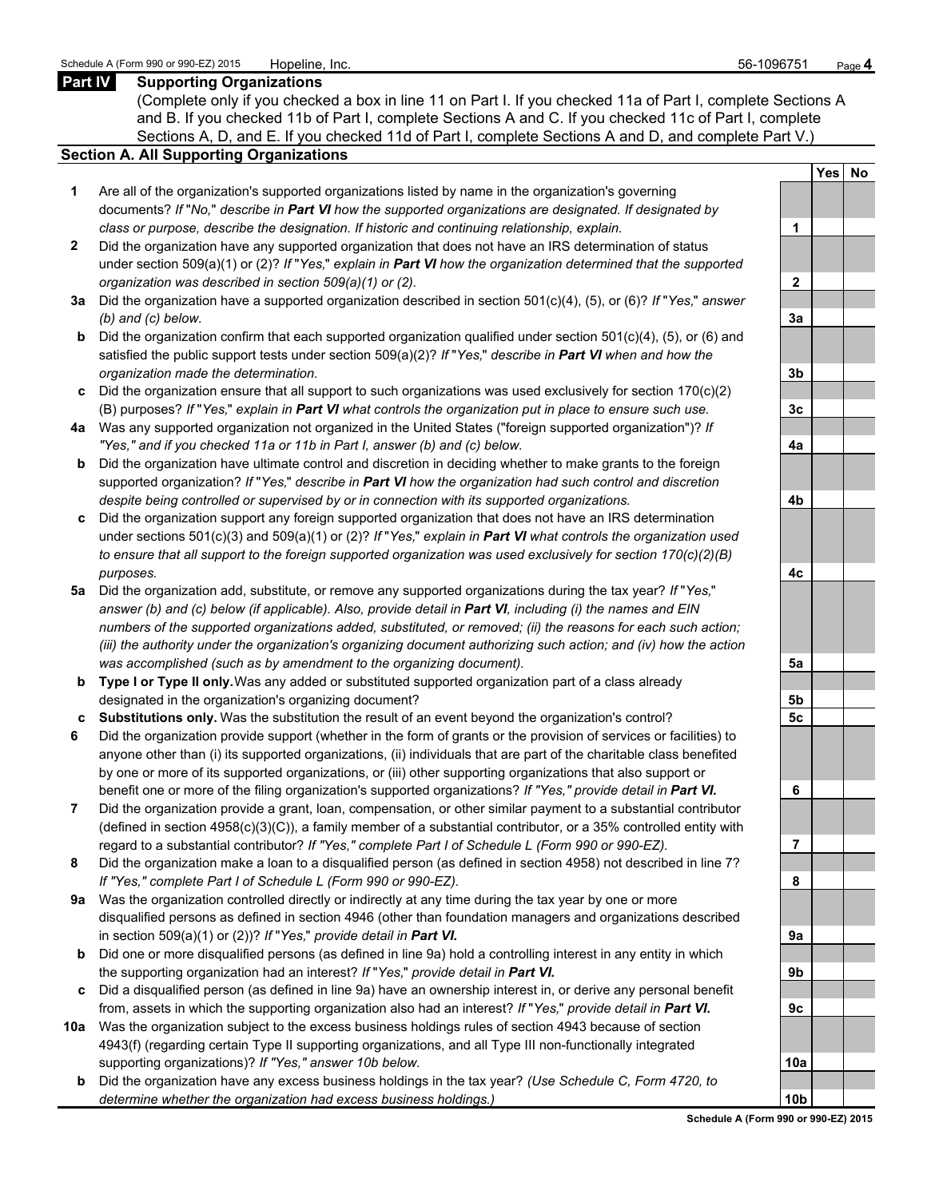## **Part IV Supporting Organizations**

(Complete only if you checked a box in line 11 on Part I. If you checked 11a of Part I, complete Sections A and B. If you checked 11b of Part I, complete Sections A and C. If you checked 11c of Part I, complete Sections A, D, and E. If you checked 11d of Part I, complete Sections A and D, and complete Part V.)

## **Section A. All Supporting Organizations**

- **1** Are all of the organization's supported organizations listed by name in the organization's governing documents? *If* "*No,*" *describe in Part VI how the supported organizations are designated. If designated by class or purpose, describe the designation. If historic and continuing relationship, explain.* **1**
- **2** Did the organization have any supported organization that does not have an IRS determination of status under section 509(a)(1) or (2)? *If* "*Yes,*" *explain in Part VI how the organization determined that the supported organization was described in section 509(a)(1) or (2).*
- **3a** Did the organization have a supported organization described in section 501(c)(4), (5), or (6)? *If* "*Yes,*" *answer (b) and (c) below.* **3a**
- **b** Did the organization confirm that each supported organization qualified under section 501(c)(4), (5), or (6) and satisfied the public support tests under section 509(a)(2)? *If* "*Yes,*" *describe in Part VI when and how the organization made the determination.* **3b**
- **c** Did the organization ensure that all support to such organizations was used exclusively for section 170(c)(2) (B) purposes? *If* "*Yes,*" *explain in Part VI what controls the organization put in place to ensure such use.* **3c**
- **4a** Was any supported organization not organized in the United States ("foreign supported organization")? *If "Yes," and if you checked 11a or 11b in Part I, answer (b) and (c) below.* **4a**
- **b** Did the organization have ultimate control and discretion in deciding whether to make grants to the foreign supported organization? *If* "*Yes,*" *describe in Part VI how the organization had such control and discretion despite being controlled or supervised by or in connection with its supported organizations.* **4b**
- **c** Did the organization support any foreign supported organization that does not have an IRS determination under sections 501(c)(3) and 509(a)(1) or (2)? *If* "*Yes,*" *explain in Part VI what controls the organization used to ensure that all support to the foreign supported organization was used exclusively for section 170(c)(2)(B) purposes.* **4c**
- **5a** Did the organization add, substitute, or remove any supported organizations during the tax year? *If* "*Yes,*" *answer (b) and (c) below (if applicable). Also, provide detail in Part VI, including (i) the names and EIN numbers of the supported organizations added, substituted, or removed; (ii) the reasons for each such action; (iii) the authority under the organization's organizing document authorizing such action; and (iv) how the action was accomplished (such as by amendment to the organizing document).* **5a**
- **b Type I or Type II only.** Was any added or substituted supported organization part of a class already designated in the organization's organizing document? **5b**
- **c Substitutions only.** Was the substitution the result of an event beyond the organization's control? **5c**
- **6** Did the organization provide support (whether in the form of grants or the provision of services or facilities) to anyone other than (i) its supported organizations, (ii) individuals that are part of the charitable class benefited by one or more of its supported organizations, or (iii) other supporting organizations that also support or benefit one or more of the filing organization's supported organizations? *If "Yes," provide detail in Part VI.* **6**
- **7** Did the organization provide a grant, loan, compensation, or other similar payment to a substantial contributor (defined in section 4958(c)(3)(C)), a family member of a substantial contributor, or a 35% controlled entity with regard to a substantial contributor? *If "Yes," complete Part I of Schedule L (Form 990 or 990-EZ).* **7**
- **8** Did the organization make a loan to a disqualified person (as defined in section 4958) not described in line 7? *If "Yes," complete Part I of Schedule L (Form 990 or 990-EZ).* **8**
- **9a** Was the organization controlled directly or indirectly at any time during the tax year by one or more disqualified persons as defined in section 4946 (other than foundation managers and organizations described in section 509(a)(1) or (2))? *If* "*Yes*," *provide detail in Part VI.*
- **b** Did one or more disqualified persons (as defined in line 9a) hold a controlling interest in any entity in which the supporting organization had an interest? *If* "*Yes,*" *provide detail in Part VI.* **9b**
- **c** Did a disqualified person (as defined in line 9a) have an ownership interest in, or derive any personal benefit from, assets in which the supporting organization also had an interest? *If* "*Yes,*" *provide detail in Part VI.* **9c**
- **10a** Was the organization subject to the excess business holdings rules of section 4943 because of section 4943(f) (regarding certain Type II supporting organizations, and all Type III non-functionally integrated supporting organizations)? If "Yes," answer 10b below.
	- **b** Did the organization have any excess business holdings in the tax year? *(Use Schedule C, Form 4720, to determine whether the organization had excess business holdings.)*

|                | Yes No |  |
|----------------|--------|--|
|                |        |  |
| 1              |        |  |
|                |        |  |
| $\overline{2}$ |        |  |
|                |        |  |
| <u>3a</u>      |        |  |
|                |        |  |
| <u>3b</u>      |        |  |
|                |        |  |
| 3c             |        |  |
|                |        |  |
| 4a             |        |  |
|                |        |  |
| 4 <sub>b</sub> |        |  |
|                |        |  |
| 4c             |        |  |
|                |        |  |
| <u>5a</u>      |        |  |
|                |        |  |
| <u>5b</u>      |        |  |
| 5c             |        |  |
|                |        |  |
| 6              |        |  |
|                |        |  |
| 7              |        |  |
|                |        |  |
| 8              |        |  |
|                |        |  |
| 9a             |        |  |
|                |        |  |
| 9b             |        |  |
| <u>9c</u>      |        |  |
|                |        |  |
| <u>10a</u>     |        |  |
|                |        |  |
| 10b            |        |  |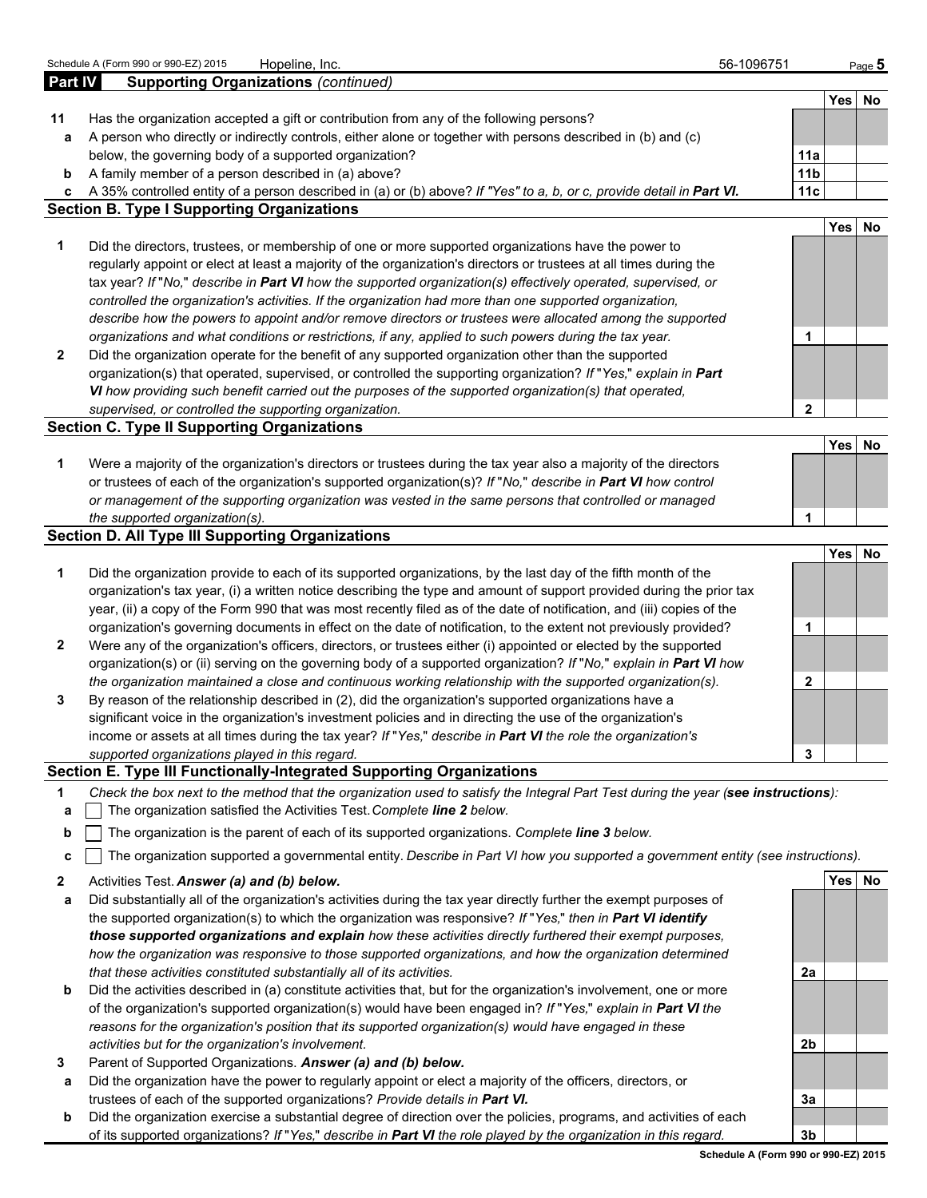|         | Schedule A (Form 990 or 990-EZ) 2015<br>Hopeline, Inc.                                                                                                                                                                                 | 56-1096751             |            | Page $5$ |
|---------|----------------------------------------------------------------------------------------------------------------------------------------------------------------------------------------------------------------------------------------|------------------------|------------|----------|
| Part IV | <b>Supporting Organizations (continued)</b>                                                                                                                                                                                            |                        |            |          |
|         |                                                                                                                                                                                                                                        |                        |            | Yes No   |
| 11      | Has the organization accepted a gift or contribution from any of the following persons?                                                                                                                                                |                        |            |          |
| а       | A person who directly or indirectly controls, either alone or together with persons described in (b) and (c)<br>below, the governing body of a supported organization?                                                                 |                        |            |          |
| b       | A family member of a person described in (a) above?                                                                                                                                                                                    | 11a<br>11 <sub>b</sub> |            |          |
| c       | A 35% controlled entity of a person described in (a) or (b) above? If "Yes" to a, b, or c, provide detail in Part VI.                                                                                                                  | 11c                    |            |          |
|         | <b>Section B. Type I Supporting Organizations</b>                                                                                                                                                                                      |                        |            |          |
|         |                                                                                                                                                                                                                                        |                        | Yes        | No       |
| 1       | Did the directors, trustees, or membership of one or more supported organizations have the power to                                                                                                                                    |                        |            |          |
|         | regularly appoint or elect at least a majority of the organization's directors or trustees at all times during the                                                                                                                     |                        |            |          |
|         | tax year? If "No," describe in Part VI how the supported organization(s) effectively operated, supervised, or                                                                                                                          |                        |            |          |
|         | controlled the organization's activities. If the organization had more than one supported organization,                                                                                                                                |                        |            |          |
|         | describe how the powers to appoint and/or remove directors or trustees were allocated among the supported                                                                                                                              |                        |            |          |
|         | organizations and what conditions or restrictions, if any, applied to such powers during the tax year.                                                                                                                                 | 1                      |            |          |
| 2       | Did the organization operate for the benefit of any supported organization other than the supported                                                                                                                                    |                        |            |          |
|         | organization(s) that operated, supervised, or controlled the supporting organization? If "Yes," explain in Part                                                                                                                        |                        |            |          |
|         | VI how providing such benefit carried out the purposes of the supported organization(s) that operated,                                                                                                                                 |                        |            |          |
|         | supervised, or controlled the supporting organization.<br><b>Section C. Type II Supporting Organizations</b>                                                                                                                           | $\mathbf{2}$           |            |          |
|         |                                                                                                                                                                                                                                        |                        | <b>Yes</b> | No       |
| 1       | Were a majority of the organization's directors or trustees during the tax year also a majority of the directors                                                                                                                       |                        |            |          |
|         | or trustees of each of the organization's supported organization(s)? If "No," describe in Part VI how control                                                                                                                          |                        |            |          |
|         | or management of the supporting organization was vested in the same persons that controlled or managed                                                                                                                                 |                        |            |          |
|         | the supported organization(s).                                                                                                                                                                                                         | 1                      |            |          |
|         | <b>Section D. All Type III Supporting Organizations</b>                                                                                                                                                                                |                        |            |          |
|         |                                                                                                                                                                                                                                        |                        | <b>Yes</b> | No       |
| 1       | Did the organization provide to each of its supported organizations, by the last day of the fifth month of the                                                                                                                         |                        |            |          |
|         | organization's tax year, (i) a written notice describing the type and amount of support provided during the prior tax                                                                                                                  |                        |            |          |
|         | year, (ii) a copy of the Form 990 that was most recently filed as of the date of notification, and (iii) copies of the                                                                                                                 |                        |            |          |
|         | organization's governing documents in effect on the date of notification, to the extent not previously provided?                                                                                                                       | 1                      |            |          |
| 2       | Were any of the organization's officers, directors, or trustees either (i) appointed or elected by the supported<br>organization(s) or (ii) serving on the governing body of a supported organization? If "No," explain in Part VI how |                        |            |          |
|         | the organization maintained a close and continuous working relationship with the supported organization(s).                                                                                                                            | $\mathbf{2}$           |            |          |
| 3       | By reason of the relationship described in (2), did the organization's supported organizations have a                                                                                                                                  |                        |            |          |
|         | significant voice in the organization's investment policies and in directing the use of the organization's                                                                                                                             |                        |            |          |
|         | income or assets at all times during the tax year? If "Yes," describe in Part VI the role the organization's                                                                                                                           |                        |            |          |
|         | supported organizations played in this regard.                                                                                                                                                                                         | 3                      |            |          |
|         | <b>Section E. Type III Functionally-Integrated Supporting Organizations</b>                                                                                                                                                            |                        |            |          |
| 1       | Check the box next to the method that the organization used to satisfy the Integral Part Test during the year (see instructions):                                                                                                      |                        |            |          |
| a       | The organization satisfied the Activities Test. Complete line 2 below.                                                                                                                                                                 |                        |            |          |
| b       | The organization is the parent of each of its supported organizations. Complete line 3 below.                                                                                                                                          |                        |            |          |
| c       | The organization supported a governmental entity. Describe in Part VI how you supported a government entity (see instructions).                                                                                                        |                        |            |          |
| 2       | Activities Test. Answer (a) and (b) below.                                                                                                                                                                                             |                        |            | Yes No   |
| а       | Did substantially all of the organization's activities during the tax year directly further the exempt purposes of                                                                                                                     |                        |            |          |
|         | the supported organization(s) to which the organization was responsive? If "Yes," then in Part VI identify                                                                                                                             |                        |            |          |
|         | those supported organizations and explain how these activities directly furthered their exempt purposes,                                                                                                                               |                        |            |          |
|         | how the organization was responsive to those supported organizations, and how the organization determined                                                                                                                              |                        |            |          |
|         | that these activities constituted substantially all of its activities.                                                                                                                                                                 | 2a                     |            |          |
| b       | Did the activities described in (a) constitute activities that, but for the organization's involvement, one or more                                                                                                                    |                        |            |          |
|         | of the organization's supported organization(s) would have been engaged in? If "Yes," explain in Part VI the                                                                                                                           |                        |            |          |
|         | reasons for the organization's position that its supported organization(s) would have engaged in these                                                                                                                                 |                        |            |          |
|         | activities but for the organization's involvement.                                                                                                                                                                                     | 2b                     |            |          |
| 3       | Parent of Supported Organizations. Answer (a) and (b) below.                                                                                                                                                                           |                        |            |          |
| а       | Did the organization have the power to regularly appoint or elect a majority of the officers, directors, or                                                                                                                            |                        |            |          |
|         | trustees of each of the supported organizations? Provide details in Part VI.<br>Did the organization exercise a substantial degree of direction over the policies, programs, and activities of each                                    | 3a                     |            |          |
| b       |                                                                                                                                                                                                                                        |                        |            |          |

of its supported organizations? *If* "*Yes,*" *describe in Part VI the role played by the organization in this regard.* **3b**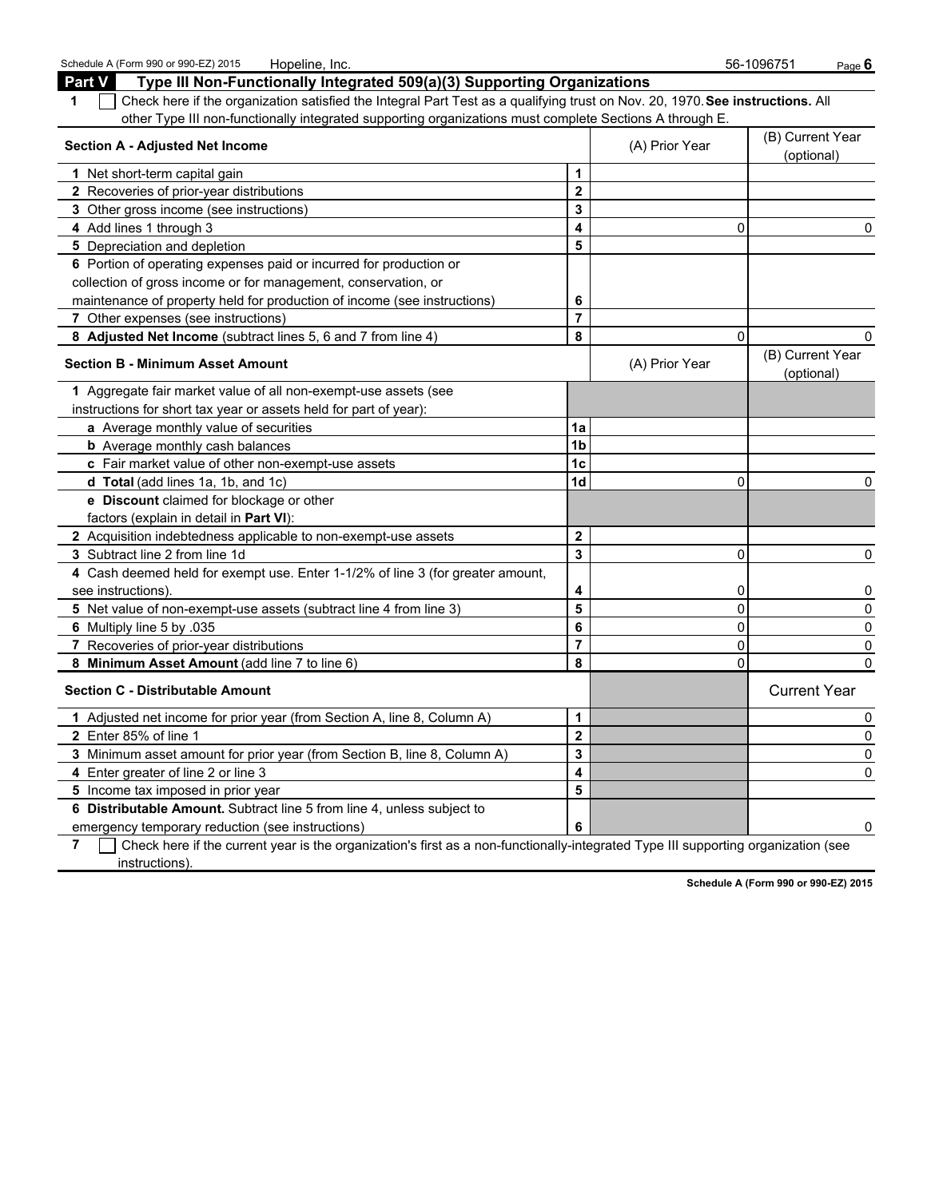| <b>Part V</b><br>Type III Non-Functionally Integrated 509(a)(3) Supporting Organizations                                      |                         |                |                                |  |
|-------------------------------------------------------------------------------------------------------------------------------|-------------------------|----------------|--------------------------------|--|
| Check here if the organization satisfied the Integral Part Test as a qualifying trust on Nov. 20, 1970. See instructions. All |                         |                |                                |  |
| other Type III non-functionally integrated supporting organizations must complete Sections A through E.                       |                         |                |                                |  |
| <b>Section A - Adjusted Net Income</b>                                                                                        |                         | (A) Prior Year | (B) Current Year<br>(optional) |  |
| 1 Net short-term capital gain                                                                                                 | 1                       |                |                                |  |
| 2 Recoveries of prior-year distributions                                                                                      | $\mathbf{2}$            |                |                                |  |
| 3 Other gross income (see instructions)                                                                                       | 3                       |                |                                |  |
| 4 Add lines 1 through 3                                                                                                       | 4                       | $\Omega$       | 0                              |  |
| 5 Depreciation and depletion                                                                                                  | 5                       |                |                                |  |
| 6 Portion of operating expenses paid or incurred for production or                                                            |                         |                |                                |  |
| collection of gross income or for management, conservation, or                                                                |                         |                |                                |  |
| maintenance of property held for production of income (see instructions)                                                      | 6                       |                |                                |  |
| 7 Other expenses (see instructions)                                                                                           | $\overline{\mathbf{r}}$ |                |                                |  |
| 8 Adjusted Net Income (subtract lines 5, 6 and 7 from line 4)                                                                 | 8                       | $\Omega$       | 0                              |  |
| <b>Section B - Minimum Asset Amount</b>                                                                                       |                         | (A) Prior Year | (B) Current Year<br>(optional) |  |
| 1 Aggregate fair market value of all non-exempt-use assets (see                                                               |                         |                |                                |  |
| instructions for short tax year or assets held for part of year):                                                             |                         |                |                                |  |
| a Average monthly value of securities                                                                                         | 1a                      |                |                                |  |
| <b>b</b> Average monthly cash balances                                                                                        | 1 <sub>b</sub>          |                |                                |  |
| c Fair market value of other non-exempt-use assets                                                                            | 1c                      |                |                                |  |
| d Total (add lines 1a, 1b, and 1c)                                                                                            | 1d                      | $\Omega$       | 0                              |  |
| e Discount claimed for blockage or other                                                                                      |                         |                |                                |  |
| factors (explain in detail in Part VI):                                                                                       |                         |                |                                |  |
| 2 Acquisition indebtedness applicable to non-exempt-use assets                                                                | $\mathbf 2$             |                |                                |  |
| 3 Subtract line 2 from line 1d                                                                                                | 3                       | $\mathbf 0$    | 0                              |  |
| 4 Cash deemed held for exempt use. Enter 1-1/2% of line 3 (for greater amount,                                                |                         |                |                                |  |
| see instructions)                                                                                                             | 4                       | 0              | 0                              |  |
| 5 Net value of non-exempt-use assets (subtract line 4 from line 3)                                                            | 5                       | $\mathbf 0$    | 0                              |  |
| 6 Multiply line 5 by .035                                                                                                     | 6                       | $\pmb{0}$      | 0                              |  |
| 7 Recoveries of prior-year distributions                                                                                      | $\overline{7}$          | 0              | 0                              |  |
| 8 Minimum Asset Amount (add line 7 to line 6)                                                                                 | 8                       | $\Omega$       | $\Omega$                       |  |
| <b>Section C - Distributable Amount</b>                                                                                       |                         |                | <b>Current Year</b>            |  |
| 1 Adjusted net income for prior year (from Section A, line 8, Column A)                                                       | 1                       |                | 0                              |  |
| 2 Enter 85% of line 1                                                                                                         | $\overline{\mathbf{2}}$ |                | 0                              |  |
| 3 Minimum asset amount for prior year (from Section B, line 8, Column A)                                                      | 3                       |                | 0                              |  |
| 4 Enter greater of line 2 or line 3                                                                                           | 4                       |                | 0                              |  |
| 5 Income tax imposed in prior year                                                                                            | 5                       |                |                                |  |
| 6 Distributable Amount. Subtract line 5 from line 4, unless subject to                                                        |                         |                |                                |  |
| emergency temporary reduction (see instructions)                                                                              | 6                       |                | 0                              |  |

**7** Check here if the current year is the organization's first as a non-functionally-integrated Type III supporting organization (see instructions).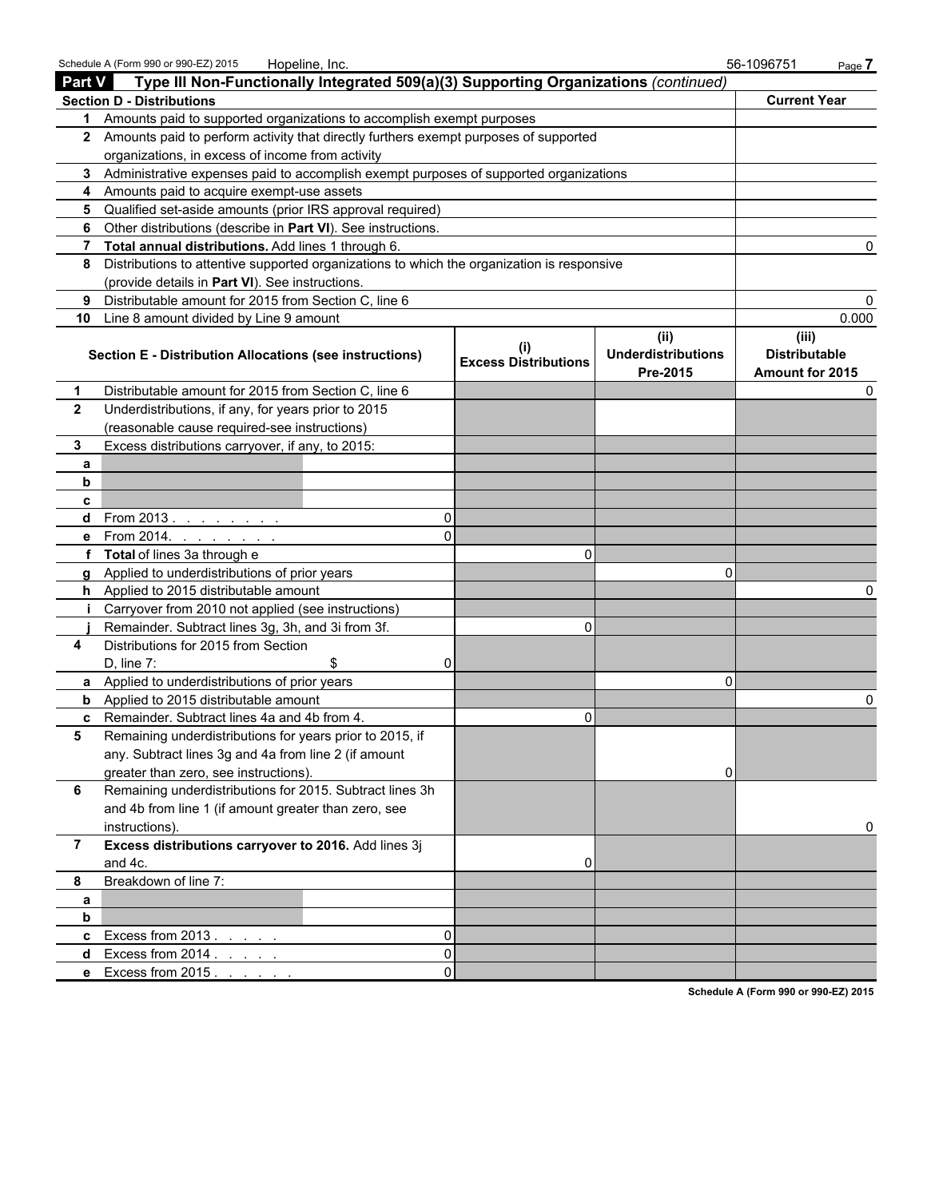|                | Schedule A (Form 990 or 990-EZ) 2015<br>Hopeline, Inc.                                     |                             |                                               | 56-1096751<br>Page 7                                    |  |
|----------------|--------------------------------------------------------------------------------------------|-----------------------------|-----------------------------------------------|---------------------------------------------------------|--|
| Part V         | Type III Non-Functionally Integrated 509(a)(3) Supporting Organizations (continued)        |                             |                                               |                                                         |  |
|                | <b>Section D - Distributions</b>                                                           |                             |                                               | <b>Current Year</b>                                     |  |
| 1.             | Amounts paid to supported organizations to accomplish exempt purposes                      |                             |                                               |                                                         |  |
|                | 2 Amounts paid to perform activity that directly furthers exempt purposes of supported     |                             |                                               |                                                         |  |
|                | organizations, in excess of income from activity                                           |                             |                                               |                                                         |  |
|                | 3 Administrative expenses paid to accomplish exempt purposes of supported organizations    |                             |                                               |                                                         |  |
| 4              | Amounts paid to acquire exempt-use assets                                                  |                             |                                               |                                                         |  |
| 5              | Qualified set-aside amounts (prior IRS approval required)                                  |                             |                                               |                                                         |  |
| 6              | Other distributions (describe in Part VI). See instructions.                               |                             |                                               |                                                         |  |
| 7              | Total annual distributions. Add lines 1 through 6.                                         |                             |                                               |                                                         |  |
| 8              | Distributions to attentive supported organizations to which the organization is responsive |                             |                                               |                                                         |  |
|                | (provide details in Part VI). See instructions.                                            |                             |                                               |                                                         |  |
| 9              | Distributable amount for 2015 from Section C, line 6                                       |                             |                                               |                                                         |  |
| 10             | Line 8 amount divided by Line 9 amount                                                     |                             |                                               | 0.000                                                   |  |
|                | <b>Section E - Distribution Allocations (see instructions)</b>                             | <b>Excess Distributions</b> | (ii)<br><b>Underdistributions</b><br>Pre-2015 | (iii)<br><b>Distributable</b><br><b>Amount for 2015</b> |  |
| 1              | Distributable amount for 2015 from Section C, line 6                                       |                             |                                               |                                                         |  |
| $\mathbf{2}$   | Underdistributions, if any, for years prior to 2015                                        |                             |                                               |                                                         |  |
|                | (reasonable cause required-see instructions)                                               |                             |                                               |                                                         |  |
| 3              | Excess distributions carryover, if any, to 2015:                                           |                             |                                               |                                                         |  |
| a              |                                                                                            |                             |                                               |                                                         |  |
| b              |                                                                                            |                             |                                               |                                                         |  |
| c              |                                                                                            |                             |                                               |                                                         |  |
| d              | From 2013. $\ldots$ $\ldots$ $\ldots$<br>$\Omega$                                          |                             |                                               |                                                         |  |
| е              | From 2014.<br>and a state of the state                                                     |                             |                                               |                                                         |  |
|                | Total of lines 3a through e                                                                | $\Omega$                    |                                               |                                                         |  |
|                | Applied to underdistributions of prior years                                               |                             | O                                             |                                                         |  |
| h.             | Applied to 2015 distributable amount                                                       |                             |                                               |                                                         |  |
| j.             | Carryover from 2010 not applied (see instructions)                                         |                             |                                               |                                                         |  |
|                | Remainder. Subtract lines 3g, 3h, and 3i from 3f.                                          | $\Omega$                    |                                               |                                                         |  |
| 4              | Distributions for 2015 from Section                                                        |                             |                                               |                                                         |  |
|                | D, line 7:<br>\$                                                                           |                             |                                               |                                                         |  |
|                | a Applied to underdistributions of prior years                                             |                             | O                                             |                                                         |  |
| b              | Applied to 2015 distributable amount                                                       |                             |                                               |                                                         |  |
|                | c Remainder. Subtract lines 4a and 4b from 4.                                              | 0                           |                                               |                                                         |  |
| 5              | Remaining underdistributions for years prior to 2015, if                                   |                             |                                               |                                                         |  |
|                | any. Subtract lines 3g and 4a from line 2 (if amount                                       |                             |                                               |                                                         |  |
|                | greater than zero, see instructions).                                                      |                             | 01                                            |                                                         |  |
| 6              | Remaining underdistributions for 2015. Subtract lines 3h                                   |                             |                                               |                                                         |  |
|                | and 4b from line 1 (if amount greater than zero, see                                       |                             |                                               |                                                         |  |
|                | instructions).<br>Excess distributions carryover to 2016. Add lines 3j                     |                             |                                               | 0                                                       |  |
| $\overline{7}$ |                                                                                            |                             |                                               |                                                         |  |
| 8              | and 4c.<br>Breakdown of line 7:                                                            | 0                           |                                               |                                                         |  |
|                |                                                                                            |                             |                                               |                                                         |  |
| a<br>b         |                                                                                            |                             |                                               |                                                         |  |
| c              | Excess from 2013.<br>0                                                                     |                             |                                               |                                                         |  |
| d              | Excess from 2014.<br>0                                                                     |                             |                                               |                                                         |  |
| е              | Excess from 2015.<br>$\Omega$                                                              |                             |                                               |                                                         |  |
|                |                                                                                            |                             |                                               |                                                         |  |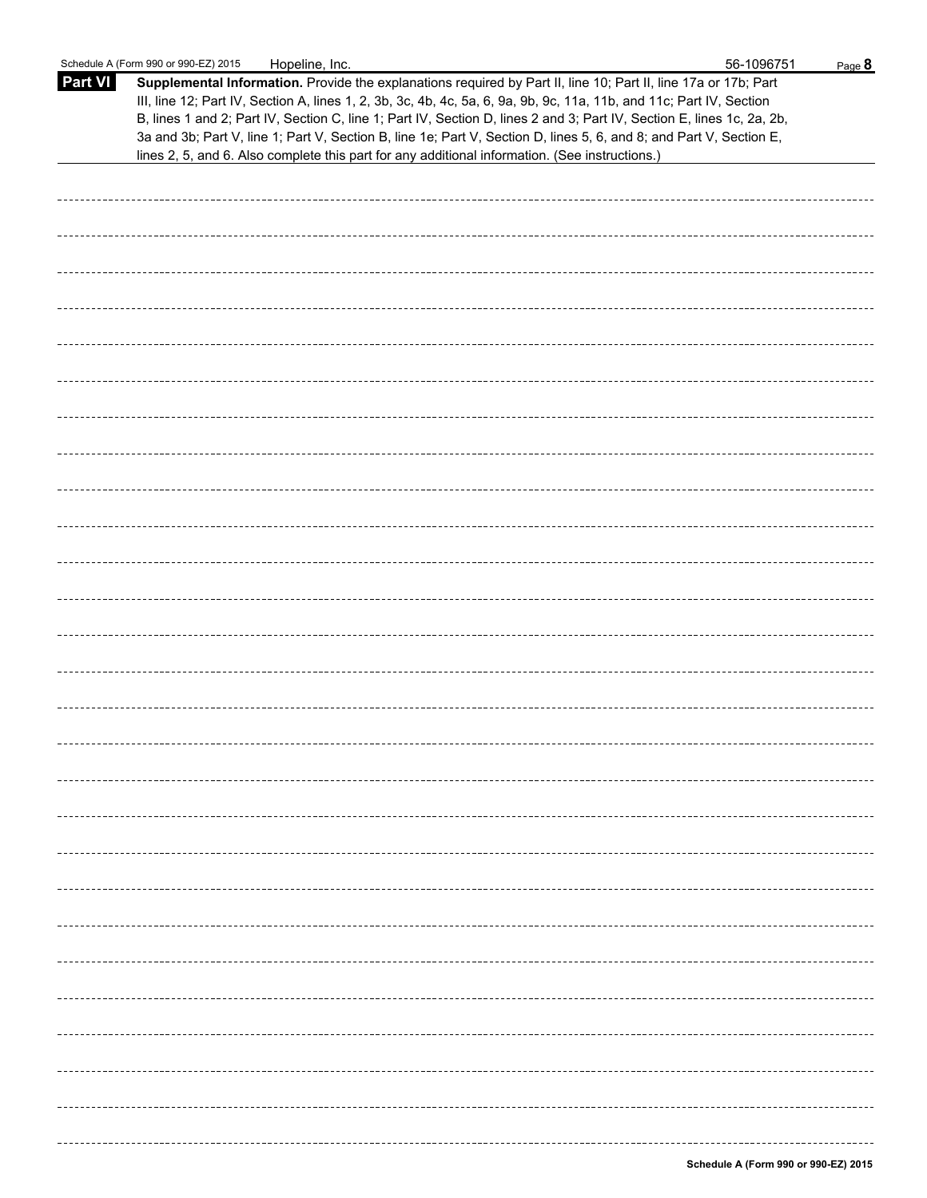|                | Schedule A (Form 990 or 990-EZ) 2015<br>Hopeline, Inc.                                                                                                                                                                                                                                                                                                                                                                                                                                   | 56-1096751 | Page 8 |
|----------------|------------------------------------------------------------------------------------------------------------------------------------------------------------------------------------------------------------------------------------------------------------------------------------------------------------------------------------------------------------------------------------------------------------------------------------------------------------------------------------------|------------|--------|
| <b>Part VI</b> | Supplemental Information. Provide the explanations required by Part II, line 10; Part II, line 17a or 17b; Part<br>III, line 12; Part IV, Section A, lines 1, 2, 3b, 3c, 4b, 4c, 5a, 6, 9a, 9b, 9c, 11a, 11b, and 11c; Part IV, Section<br>B, lines 1 and 2; Part IV, Section C, line 1; Part IV, Section D, lines 2 and 3; Part IV, Section E, lines 1c, 2a, 2b,<br>3a and 3b; Part V, line 1; Part V, Section B, line 1e; Part V, Section D, lines 5, 6, and 8; and Part V, Section E, |            |        |
|                | lines 2, 5, and 6. Also complete this part for any additional information. (See instructions.)                                                                                                                                                                                                                                                                                                                                                                                           |            |        |
|                |                                                                                                                                                                                                                                                                                                                                                                                                                                                                                          |            |        |
|                |                                                                                                                                                                                                                                                                                                                                                                                                                                                                                          |            |        |
|                |                                                                                                                                                                                                                                                                                                                                                                                                                                                                                          |            |        |
|                |                                                                                                                                                                                                                                                                                                                                                                                                                                                                                          |            |        |
|                |                                                                                                                                                                                                                                                                                                                                                                                                                                                                                          |            |        |
|                |                                                                                                                                                                                                                                                                                                                                                                                                                                                                                          |            |        |
|                |                                                                                                                                                                                                                                                                                                                                                                                                                                                                                          |            |        |
|                |                                                                                                                                                                                                                                                                                                                                                                                                                                                                                          |            |        |
|                |                                                                                                                                                                                                                                                                                                                                                                                                                                                                                          |            |        |
|                |                                                                                                                                                                                                                                                                                                                                                                                                                                                                                          |            |        |
|                |                                                                                                                                                                                                                                                                                                                                                                                                                                                                                          |            |        |
|                |                                                                                                                                                                                                                                                                                                                                                                                                                                                                                          |            |        |
|                |                                                                                                                                                                                                                                                                                                                                                                                                                                                                                          |            |        |
|                |                                                                                                                                                                                                                                                                                                                                                                                                                                                                                          |            |        |
|                |                                                                                                                                                                                                                                                                                                                                                                                                                                                                                          |            |        |
|                |                                                                                                                                                                                                                                                                                                                                                                                                                                                                                          |            |        |
|                |                                                                                                                                                                                                                                                                                                                                                                                                                                                                                          |            |        |
|                |                                                                                                                                                                                                                                                                                                                                                                                                                                                                                          |            |        |
|                |                                                                                                                                                                                                                                                                                                                                                                                                                                                                                          |            |        |
|                |                                                                                                                                                                                                                                                                                                                                                                                                                                                                                          |            |        |
|                |                                                                                                                                                                                                                                                                                                                                                                                                                                                                                          |            |        |
|                |                                                                                                                                                                                                                                                                                                                                                                                                                                                                                          |            |        |
|                |                                                                                                                                                                                                                                                                                                                                                                                                                                                                                          |            |        |
|                |                                                                                                                                                                                                                                                                                                                                                                                                                                                                                          |            |        |
|                |                                                                                                                                                                                                                                                                                                                                                                                                                                                                                          |            |        |
|                |                                                                                                                                                                                                                                                                                                                                                                                                                                                                                          |            |        |
|                |                                                                                                                                                                                                                                                                                                                                                                                                                                                                                          |            |        |
|                |                                                                                                                                                                                                                                                                                                                                                                                                                                                                                          |            |        |
|                |                                                                                                                                                                                                                                                                                                                                                                                                                                                                                          |            |        |
|                |                                                                                                                                                                                                                                                                                                                                                                                                                                                                                          |            |        |
|                |                                                                                                                                                                                                                                                                                                                                                                                                                                                                                          |            |        |
|                |                                                                                                                                                                                                                                                                                                                                                                                                                                                                                          |            |        |
|                |                                                                                                                                                                                                                                                                                                                                                                                                                                                                                          |            |        |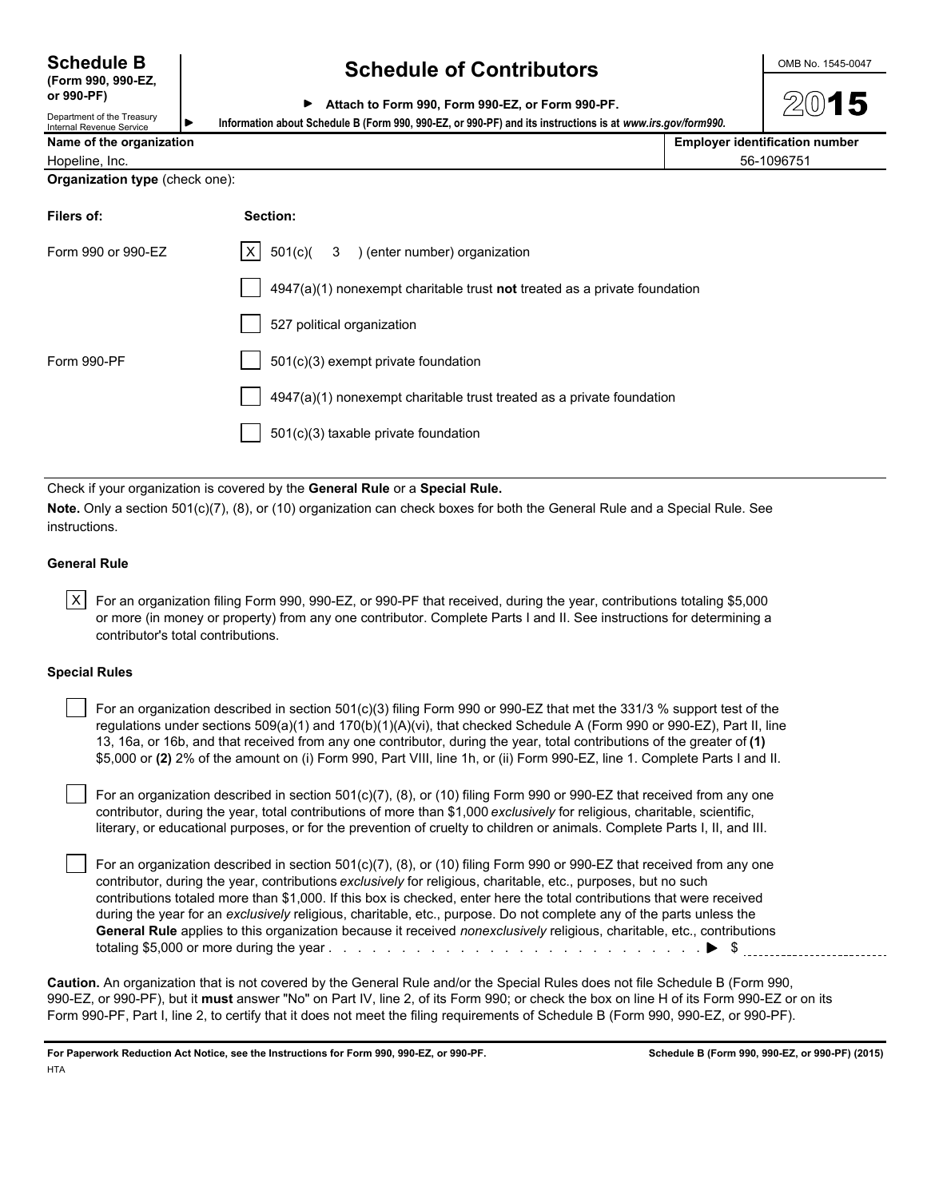**(Form 990, 990-EZ,**

## **Schedule B Schedule of Contributors CONDING 1545-0047**

|  |  |  |  | Attach to Form 990, Form 990-EZ, or Form 990-PF. |
|--|--|--|--|--------------------------------------------------|
|--|--|--|--|--------------------------------------------------|

Department of the Treasury<br>Internal Revenue Service **Name of the organization** 

**or 990-PF)**

| Information about Schedule B (Form 990, 990-EZ, or 990-PF) and its instructions is at www.irs.gov/form990. |                                       |
|------------------------------------------------------------------------------------------------------------|---------------------------------------|
|                                                                                                            | <b>Employer identification number</b> |

| <b>Natile Of the Organization</b> | EIIIpiover identification |
|-----------------------------------|---------------------------|
| Hopeline, Inc.                    | 56-1096751                |
|                                   |                           |

**Organization type** (check one):

| Filers of:         | Section:                                                                  |
|--------------------|---------------------------------------------------------------------------|
| Form 990 or 990-EZ | $ X $ 501(c)( 3 ) (enter number) organization                             |
|                    | 4947(a)(1) nonexempt charitable trust not treated as a private foundation |
|                    | 527 political organization                                                |
| Form 990-PF        | 501(c)(3) exempt private foundation                                       |
|                    | 4947(a)(1) nonexempt charitable trust treated as a private foundation     |
|                    | 501(c)(3) taxable private foundation                                      |
|                    |                                                                           |

Check if your organization is covered by the **General Rule** or a **Special Rule.**

**Note.** Only a section 501(c)(7), (8), or (10) organization can check boxes for both the General Rule and a Special Rule. See instructions.

## **General Rule**

 $|X|$  For an organization filing Form 990, 990-EZ, or 990-PF that received, during the year, contributions totaling \$5,000 or more (in money or property) from any one contributor. Complete Parts I and II. See instructions for determining a contributor's total contributions.

#### **Special Rules**

| For an organization described in section $501(c)(3)$ filing Form 990 or 990-EZ that met the 331/3 % support test of the    |
|----------------------------------------------------------------------------------------------------------------------------|
| regulations under sections 509(a)(1) and 170(b)(1)(A)(vi), that checked Schedule A (Form 990 or 990-EZ), Part II, line     |
| 13, 16a, or 16b, and that received from any one contributor, during the year, total contributions of the greater of (1)    |
| \$5,000 or (2) 2% of the amount on (i) Form 990, Part VIII, line 1h, or (ii) Form 990-EZ, line 1. Complete Parts I and II. |

 For an organization described in section 501(c)(7), (8), or (10) filing Form 990 or 990-EZ that received from any one contributor, during the year, total contributions of more than \$1,000 *exclusively* for religious, charitable, scientific, literary, or educational purposes, or for the prevention of cruelty to children or animals. Complete Parts I, II, and III.

 For an organization described in section 501(c)(7), (8), or (10) filing Form 990 or 990-EZ that received from any one contributor, during the year, contributions *exclusively* for religious, charitable, etc., purposes, but no such contributions totaled more than \$1,000. If this box is checked, enter here the total contributions that were received during the year for an *exclusively* religious, charitable, etc., purpose. Do not complete any of the parts unless the **General Rule** applies to this organization because it received *nonexclusively* religious, charitable, etc., contributions totaling \$5,000 or more during the year . . . . . . . . . . . . . . . . . . . . . . . . . . . . . . . . . . . . . . . . . . . . . . . . . . . \$

**Caution.** An organization that is not covered by the General Rule and/or the Special Rules does not file Schedule B (Form 990, 990-EZ, or 990-PF), but it **must** answer "No" on Part IV, line 2, of its Form 990; or check the box on line H of its Form 990-EZ or on its Form 990-PF, Part I, line 2, to certify that it does not meet the filing requirements of Schedule B (Form 990, 990-EZ, or 990-PF).

**For Paperwork Reduction Act Notice, see the Instructions for Form 990, 990-EZ, or 990-PF. Schedule B (Form 990, 990-EZ, or 990-PF) (2015) HTA**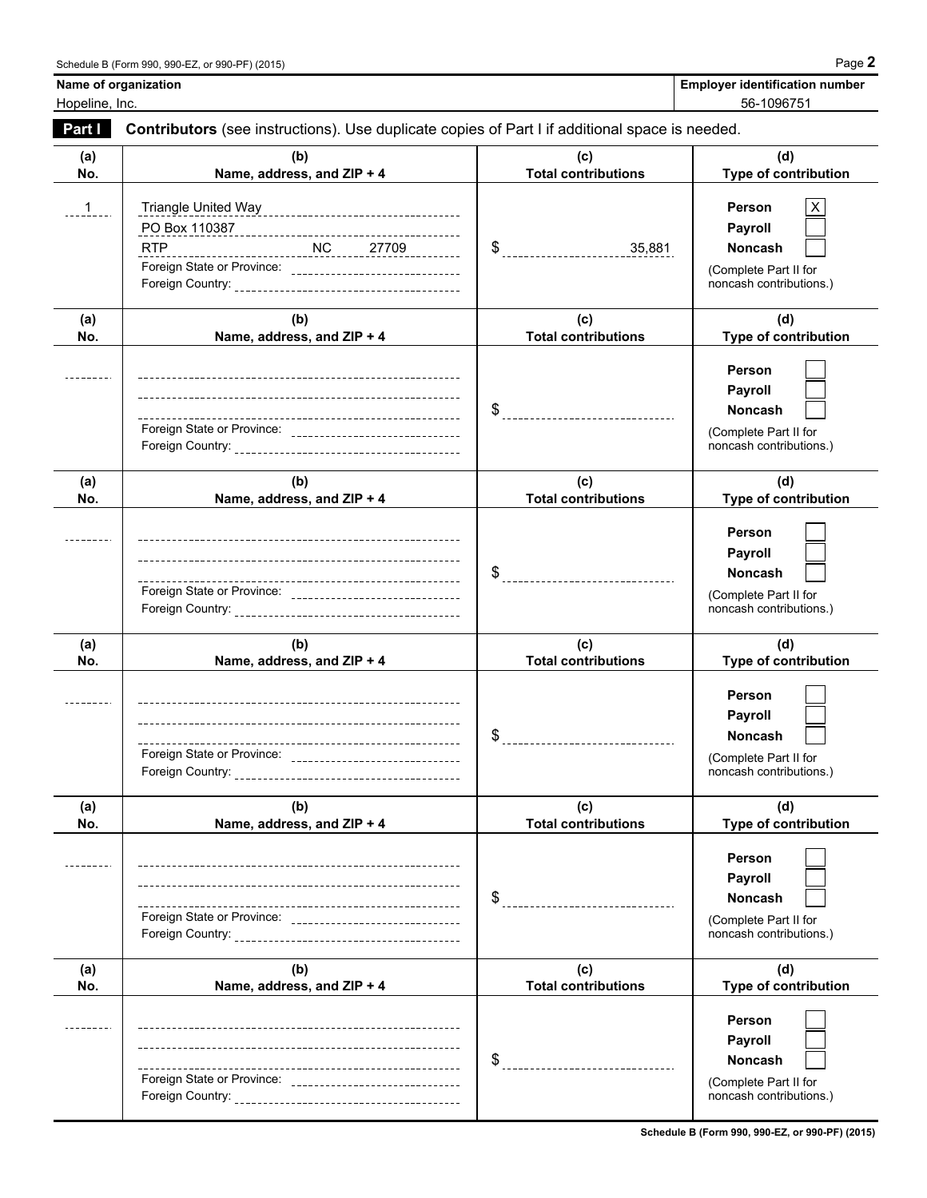| <b>Employer identification number</b> |  |
|---------------------------------------|--|
| $F^{\wedge}$ Annotra                  |  |

**Name of organization** 

Hopeline, Inc. 56-1096751

| Part I        | Contributors (see instructions). Use duplicate copies of Part I if additional space is needed.     |                                   |                                                                                                       |  |  |
|---------------|----------------------------------------------------------------------------------------------------|-----------------------------------|-------------------------------------------------------------------------------------------------------|--|--|
| (a)<br>No.    | (b)<br>Name, address, and ZIP + 4                                                                  | (c)<br><b>Total contributions</b> | (d)<br>Type of contribution                                                                           |  |  |
| $\frac{1}{1}$ | <b>RTP</b><br>Foreign State or Province: ________________________________                          |                                   | Person<br>Payroll<br><b>Noncash</b><br>(Complete Part II for<br>noncash contributions.)               |  |  |
| (a)<br>No.    | (b)<br>Name, address, and ZIP + 4                                                                  | (c)<br><b>Total contributions</b> | (d)<br>Type of contribution                                                                           |  |  |
|               |                                                                                                    |                                   | <b>Person</b><br>Payroll<br>Noncash<br>(Complete Part II for<br>noncash contributions.)               |  |  |
| (a)<br>No.    | (b)<br>Name, address, and ZIP + 4                                                                  | (c)<br><b>Total contributions</b> | (d)<br>Type of contribution                                                                           |  |  |
|               | Foreign State or Province: __________________________________                                      |                                   | <b>Person</b><br>Payroll<br><b>Noncash</b><br>(Complete Part II for<br>noncash contributions.)        |  |  |
| (a)<br>No.    | (b)<br>Name, address, and ZIP + 4                                                                  | (c)<br><b>Total contributions</b> | (d)<br>Type of contribution                                                                           |  |  |
|               | Foreign State or Province: _______________________________                                         |                                   | <b>Person</b><br>Payroll<br><b>Noncash</b><br>(Complete Part II for<br>noncash contributions.)        |  |  |
| (a)<br>No.    | (b)<br>Name, address, and ZIP + 4                                                                  | (c)<br><b>Total contributions</b> | (d)<br>Type of contribution                                                                           |  |  |
|               |                                                                                                    | \$<br>_______________________     | <b>Person</b><br><b>Payroll</b><br><b>Noncash</b><br>(Complete Part II for<br>noncash contributions.) |  |  |
| (a)<br>No.    | (b)<br>Name, address, and ZIP + 4                                                                  | (c)<br><b>Total contributions</b> | (d)<br>Type of contribution                                                                           |  |  |
|               | ----------------------------------<br>Foreign State or Province: _________________________________ | \$                                | <b>Person</b><br><b>Payroll</b><br><b>Noncash</b><br>(Complete Part II for<br>noncash contributions.) |  |  |

**Schedule B (Form 990, 990-EZ, or 990-PF) (2015)**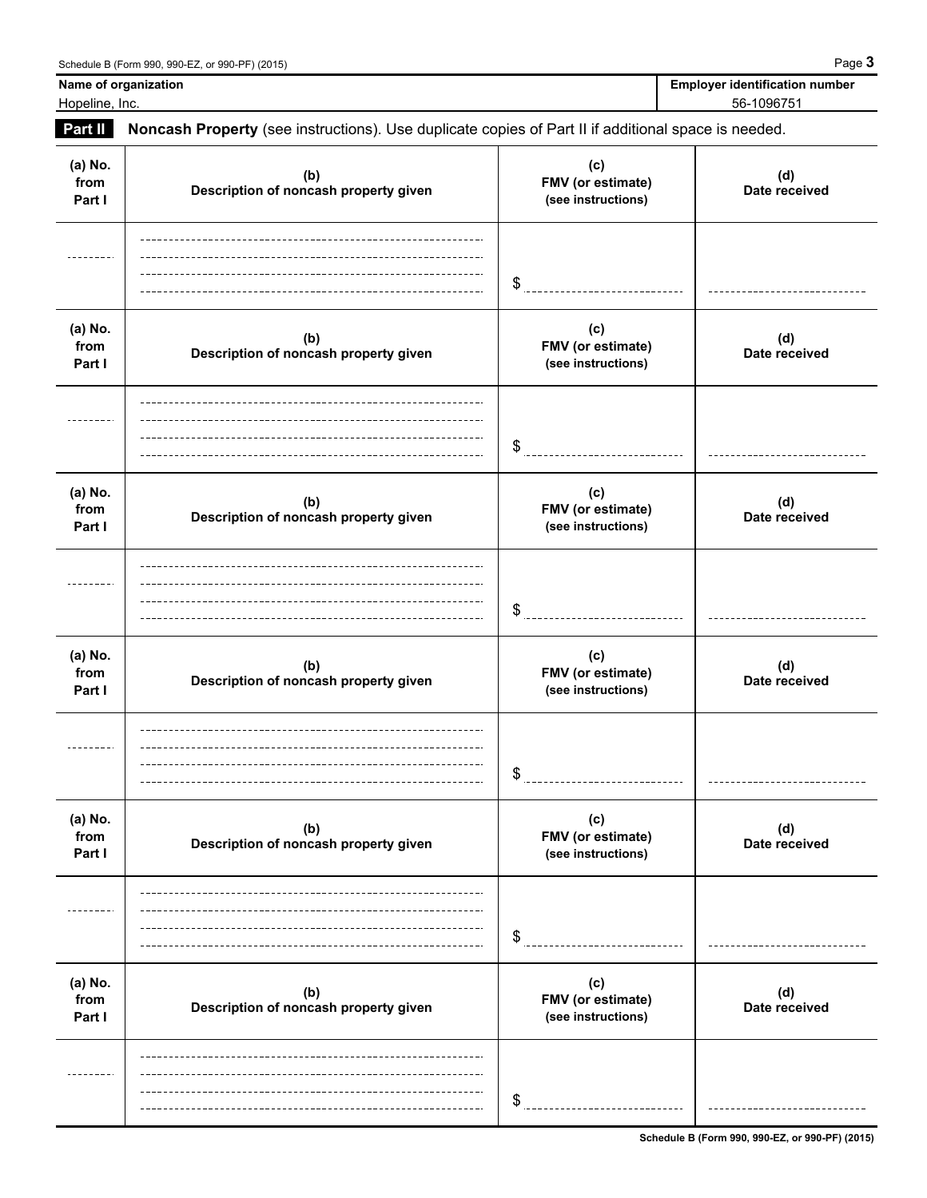**Name of organization** Hopeline, Inc.

| <b>Employer identification number</b> |
|---------------------------------------|
| 56-1096751                            |
|                                       |

| Part II                   | Noncash Property (see instructions). Use duplicate copies of Part II if additional space is needed. |                                                |                      |  |  |
|---------------------------|-----------------------------------------------------------------------------------------------------|------------------------------------------------|----------------------|--|--|
| (a) No.<br>from<br>Part I | (b)<br>Description of noncash property given                                                        | (c)<br>FMV (or estimate)<br>(see instructions) | (d)<br>Date received |  |  |
|                           |                                                                                                     | \$                                             |                      |  |  |
| (a) No.<br>from<br>Part I | (b)<br>Description of noncash property given                                                        | (c)<br>FMV (or estimate)<br>(see instructions) | (d)<br>Date received |  |  |
|                           |                                                                                                     | \$                                             |                      |  |  |
| (a) No.<br>from<br>Part I | (b)<br>Description of noncash property given                                                        | (c)<br>FMV (or estimate)<br>(see instructions) | (d)<br>Date received |  |  |
|                           |                                                                                                     | \$                                             |                      |  |  |
| (a) No.<br>from<br>Part I | (b)<br>Description of noncash property given                                                        | (c)<br>FMV (or estimate)<br>(see instructions) | (d)<br>Date received |  |  |
|                           |                                                                                                     | \$                                             |                      |  |  |
| (a) No.<br>from<br>Part I | (b)<br>Description of noncash property given                                                        | (c)<br>FMV (or estimate)<br>(see instructions) | (d)<br>Date received |  |  |
|                           |                                                                                                     | \$                                             |                      |  |  |
| (a) No.<br>from<br>Part I | (b)<br>Description of noncash property given                                                        | (c)<br>FMV (or estimate)<br>(see instructions) | (d)<br>Date received |  |  |
|                           |                                                                                                     | \$                                             |                      |  |  |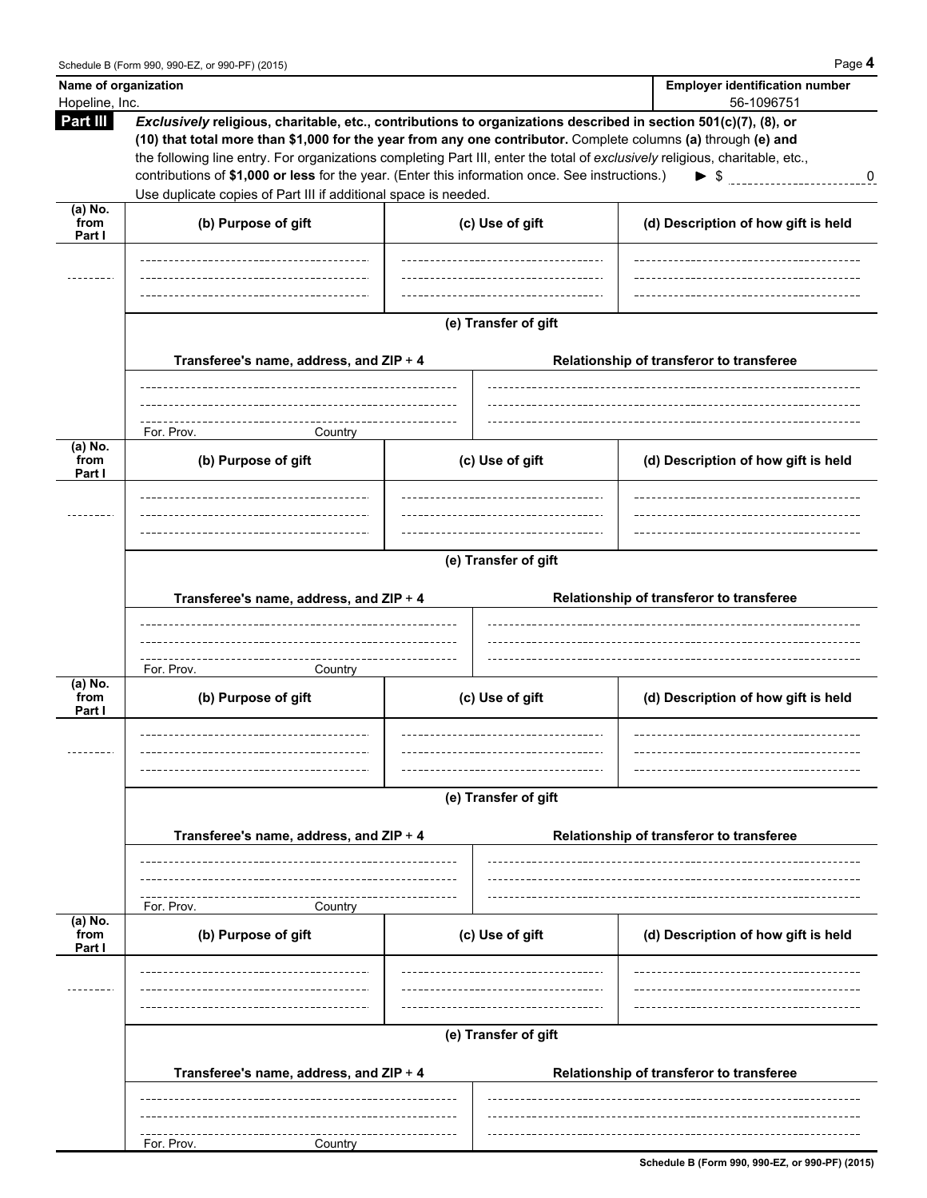| Name of organization<br>Hopeline, Inc. |                                                                                                                                                                                                                                                                                                                                                                                                                                                                                                                                                                               | <b>Employer identification number</b> |                                          |  |  |
|----------------------------------------|-------------------------------------------------------------------------------------------------------------------------------------------------------------------------------------------------------------------------------------------------------------------------------------------------------------------------------------------------------------------------------------------------------------------------------------------------------------------------------------------------------------------------------------------------------------------------------|---------------------------------------|------------------------------------------|--|--|
| Part III                               | 56-1096751<br>Exclusively religious, charitable, etc., contributions to organizations described in section 501(c)(7), (8), or<br>(10) that total more than \$1,000 for the year from any one contributor. Complete columns (a) through (e) and<br>the following line entry. For organizations completing Part III, enter the total of exclusively religious, charitable, etc.,<br>contributions of \$1,000 or less for the year. (Enter this information once. See instructions.)<br>$\triangleright$ \$ 0<br>Use duplicate copies of Part III if additional space is needed. |                                       |                                          |  |  |
| $(a)$ No.<br>from<br>Part I            | (b) Purpose of gift                                                                                                                                                                                                                                                                                                                                                                                                                                                                                                                                                           | (c) Use of gift                       | (d) Description of how gift is held      |  |  |
|                                        |                                                                                                                                                                                                                                                                                                                                                                                                                                                                                                                                                                               |                                       |                                          |  |  |
|                                        | (e) Transfer of gift<br>Transferee's name, address, and ZIP + 4<br>Relationship of transferor to transferee                                                                                                                                                                                                                                                                                                                                                                                                                                                                   |                                       |                                          |  |  |
|                                        | For. Prov.<br>Country                                                                                                                                                                                                                                                                                                                                                                                                                                                                                                                                                         |                                       |                                          |  |  |
| $(a)$ No.<br>from<br>Part I            | (b) Purpose of gift                                                                                                                                                                                                                                                                                                                                                                                                                                                                                                                                                           | (c) Use of gift                       | (d) Description of how gift is held      |  |  |
|                                        | (e) Transfer of gift<br>Transferee's name, address, and ZIP + 4<br>Relationship of transferor to transferee                                                                                                                                                                                                                                                                                                                                                                                                                                                                   |                                       |                                          |  |  |
|                                        | For. Prov.                                                                                                                                                                                                                                                                                                                                                                                                                                                                                                                                                                    |                                       |                                          |  |  |
| $(a)$ No.<br>from<br>Part I<br>(a) No. | Country<br>(b) Purpose of gift                                                                                                                                                                                                                                                                                                                                                                                                                                                                                                                                                | (c) Use of gift                       | (d) Description of how gift is held      |  |  |
|                                        |                                                                                                                                                                                                                                                                                                                                                                                                                                                                                                                                                                               | (e) Transfer of gift                  |                                          |  |  |
|                                        | Transferee's name, address, and ZIP + 4                                                                                                                                                                                                                                                                                                                                                                                                                                                                                                                                       |                                       | Relationship of transferor to transferee |  |  |
|                                        | For. Prov.<br>Country                                                                                                                                                                                                                                                                                                                                                                                                                                                                                                                                                         |                                       |                                          |  |  |
| from<br>Part I                         | (b) Purpose of gift                                                                                                                                                                                                                                                                                                                                                                                                                                                                                                                                                           | (c) Use of gift                       | (d) Description of how gift is held      |  |  |
|                                        | (e) Transfer of gift                                                                                                                                                                                                                                                                                                                                                                                                                                                                                                                                                          |                                       |                                          |  |  |
|                                        | Transferee's name, address, and ZIP + 4                                                                                                                                                                                                                                                                                                                                                                                                                                                                                                                                       |                                       | Relationship of transferor to transferee |  |  |
|                                        | For. Prov.<br>Country                                                                                                                                                                                                                                                                                                                                                                                                                                                                                                                                                         |                                       |                                          |  |  |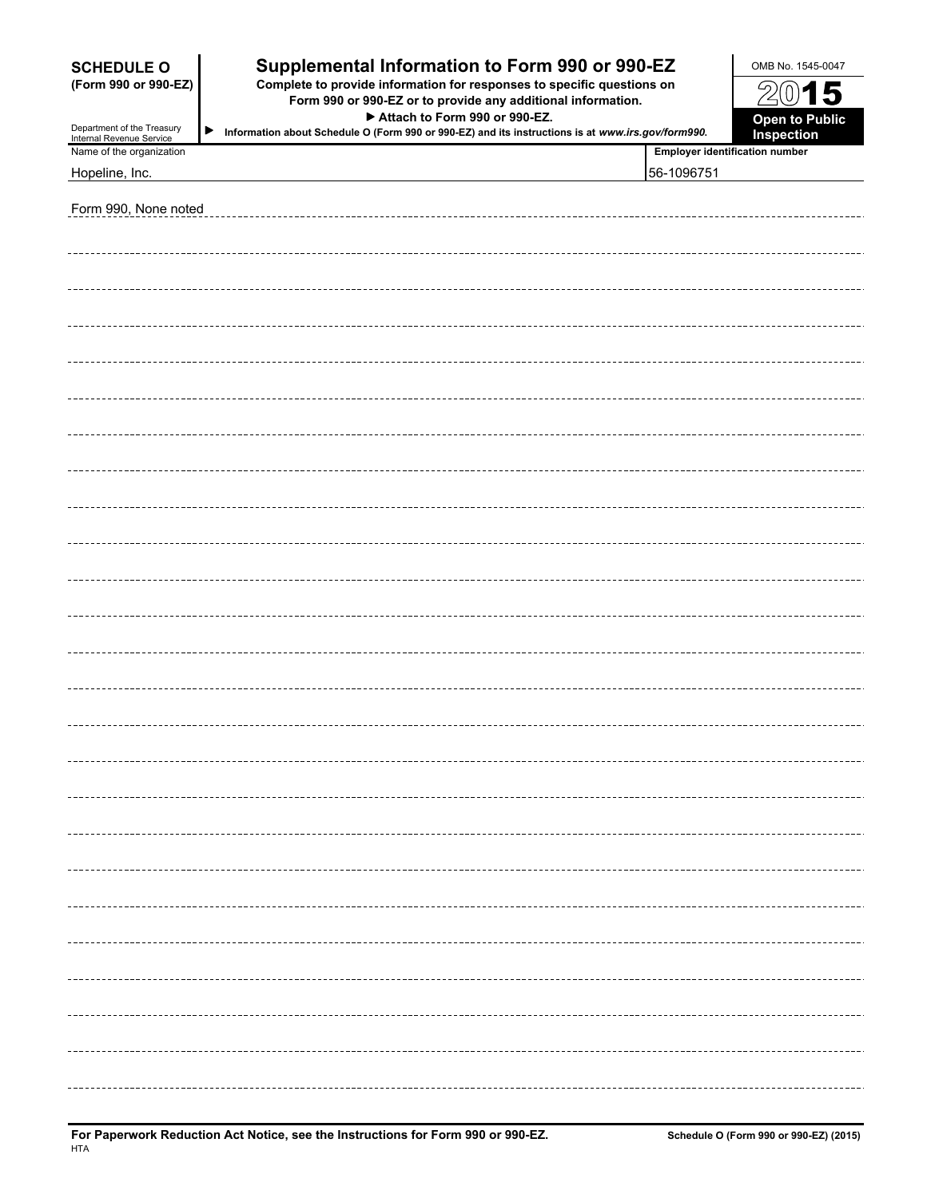| Supplemental Information to Form 990 or 990-EZ<br><b>SCHEDULE O</b><br>Complete to provide information for responses to specific questions on<br>(Form 990 or 990-EZ)<br>Form 990 or 990-EZ or to provide any additional information.<br>Attach to Form 990 or 990-EZ.<br>Department of the Treasury<br>▶<br>Information about Schedule O (Form 990 or 990-EZ) and its instructions is at www.irs.gov/form990.<br>Internal Revenue Service |  |                                       | OMB No. 1545-0047<br>$\frac{5}{2}$<br>15<br>$\overline{0}$<br><b>Open to Public</b><br>Inspection |
|--------------------------------------------------------------------------------------------------------------------------------------------------------------------------------------------------------------------------------------------------------------------------------------------------------------------------------------------------------------------------------------------------------------------------------------------|--|---------------------------------------|---------------------------------------------------------------------------------------------------|
| Name of the organization                                                                                                                                                                                                                                                                                                                                                                                                                   |  | <b>Employer identification number</b> |                                                                                                   |
| Hopeline, Inc.                                                                                                                                                                                                                                                                                                                                                                                                                             |  | 56-1096751                            |                                                                                                   |
| Form 990, None noted                                                                                                                                                                                                                                                                                                                                                                                                                       |  |                                       |                                                                                                   |
|                                                                                                                                                                                                                                                                                                                                                                                                                                            |  |                                       |                                                                                                   |
|                                                                                                                                                                                                                                                                                                                                                                                                                                            |  |                                       |                                                                                                   |
|                                                                                                                                                                                                                                                                                                                                                                                                                                            |  |                                       |                                                                                                   |
|                                                                                                                                                                                                                                                                                                                                                                                                                                            |  |                                       |                                                                                                   |
|                                                                                                                                                                                                                                                                                                                                                                                                                                            |  |                                       |                                                                                                   |
|                                                                                                                                                                                                                                                                                                                                                                                                                                            |  |                                       |                                                                                                   |
|                                                                                                                                                                                                                                                                                                                                                                                                                                            |  |                                       |                                                                                                   |
|                                                                                                                                                                                                                                                                                                                                                                                                                                            |  |                                       |                                                                                                   |
|                                                                                                                                                                                                                                                                                                                                                                                                                                            |  |                                       |                                                                                                   |
|                                                                                                                                                                                                                                                                                                                                                                                                                                            |  |                                       |                                                                                                   |
|                                                                                                                                                                                                                                                                                                                                                                                                                                            |  |                                       |                                                                                                   |
|                                                                                                                                                                                                                                                                                                                                                                                                                                            |  |                                       |                                                                                                   |
|                                                                                                                                                                                                                                                                                                                                                                                                                                            |  |                                       |                                                                                                   |
|                                                                                                                                                                                                                                                                                                                                                                                                                                            |  |                                       |                                                                                                   |
|                                                                                                                                                                                                                                                                                                                                                                                                                                            |  |                                       |                                                                                                   |